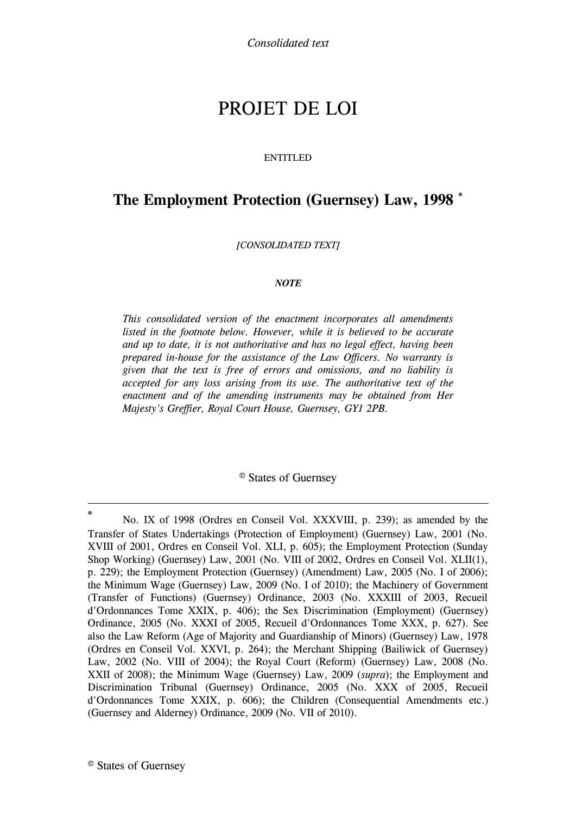# PROJET DE LOI

#### ENTITLED

# **The [Employment Protection \(Guernsey\) Law, 1998](#page-1-0) \***

*[CONSOLIDATED TEXT]*

#### *NOTE*

*This consolidated version of the enactment incorporates all amendments*  listed in the footnote below. However, while it is believed to be accurate *and up to date, it is not authoritative and has no legal effect, having been prepared in-house for the assistance of the Law Officers. No warranty is given that the text is free of errors and omissions, and no liability is accepted for any loss arising from its use. The authoritative text of the enactment and of the amending instruments may be obtained from Her Majesty's Greffier, Royal Court House, Guernsey, GY1 2PB.*

© States of Guernsey

1

**<sup>\*</sup>** No. IX of 1998 (Ordres en Conseil Vol. XXXVIII, p. 239); as amended by the Transfer of States Undertakings (Protection of Employment) (Guernsey) Law, 2001 (No. XVIII of 2001, Ordres en Conseil Vol. XLI, p. 605); the Employment Protection (Sunday Shop Working) (Guernsey) Law, 2001 (No. VIII of 2002, Ordres en Conseil Vol. XLII(1), p. 229); the Employment Protection (Guernsey) (Amendment) Law, 2005 (No. I of 2006); the Minimum Wage (Guernsey) Law, 2009 (No. I of 2010); the Machinery of Government (Transfer of Functions) (Guernsey) Ordinance, 2003 (No. XXXIII of 2003, Recueil d'Ordonnances Tome XXIX, p. 406); the Sex Discrimination (Employment) (Guernsey) Ordinance, 2005 (No. XXXI of 2005, Recueil d'Ordonnances Tome XXX, p. 627). See also the Law Reform (Age of Majority and Guardianship of Minors) (Guernsey) Law, 1978 (Ordres en Conseil Vol. XXVI, p. 264); the Merchant Shipping (Bailiwick of Guernsey) Law, 2002 (No. VIII of 2004); the Royal Court (Reform) (Guernsey) Law, 2008 (No. XXII of 2008); the Minimum Wage (Guernsey) Law, 2009 (*supra*); the Employment and Discrimination Tribunal (Guernsey) Ordinance, 2005 (No. XXX of 2005, Recueil d'Ordonnances Tome XXIX, p. 606); the Children (Consequential Amendments etc.) (Guernsey and Alderney) Ordinance, 2009 (No. VII of 2010).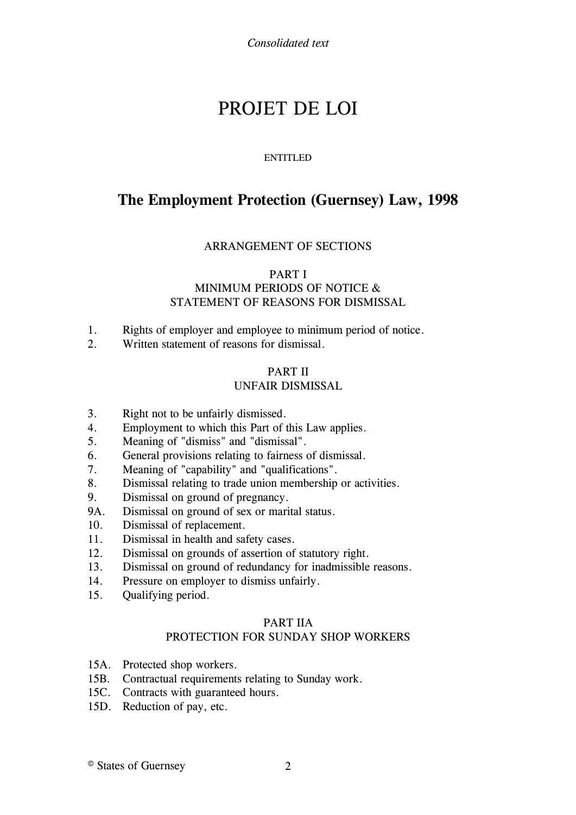# PROJET DE LOI

## ENTITLED

# <span id="page-1-0"></span>**The Employment Protection (Guernsey) Law, 1998**

# ARRANGEMENT OF SECTIONS

# [PART I](#page-4-0)

# MINIMUM PERIODS OF NOTICE & STATEMENT OF REASONS FOR DISMISSAL

- 1. [Rights of employer and employee to minimum period of notice.](#page-4-1)
- 2. [Written statement of reasons for dismissal.](#page-9-0)

## [PART II](#page-10-0) UNFAIR DISMISSAL

- 3. [Right not to be unfairly dismissed.](#page-11-0)
- 4. [Employment to which this Part of this Law applies.](#page-11-1)
- 5. [Meaning of "dismiss" and "dismissal".](#page-13-0)
- 6. [General provisions relating to fairness of dismissal.](#page-14-0)
- 7. [Meaning of "capability" and "qualifications".](#page-16-0)
- 8. [Dismissal relating to trade union membership or activities.](#page-16-1)
- 9. [Dismissal on ground of pregnancy.](#page-18-0)
- 9A. [Dismissal on ground of sex or marital status.](#page-19-0)
- 10. [Dismissal of replacement.](#page-20-0)
- 11. [Dismissal in health and safety cases.](#page-21-0)
- 12. [Dismissal on grounds of assertion of statutory right.](#page-23-0)
- 13. [Dismissal on ground of redundancy for inadmissible reasons.](#page-25-0)
- 14. [Pressure on employer to dismiss unfairly.](#page-27-0)
- 15. [Qualifying period.](#page-27-1)

# [PART IIA](#page-28-0)

# PROTECTION FOR SUNDAY SHOP WORKERS

- 15A. [Protected shop workers.](#page-28-1)
- 15B. [Contractual requirements relating to Sunday work.](#page-30-0)
- 15C. [Contracts with guaranteed hours.](#page-31-0)
- 15D. [Reduction of pay, etc.](#page-32-0)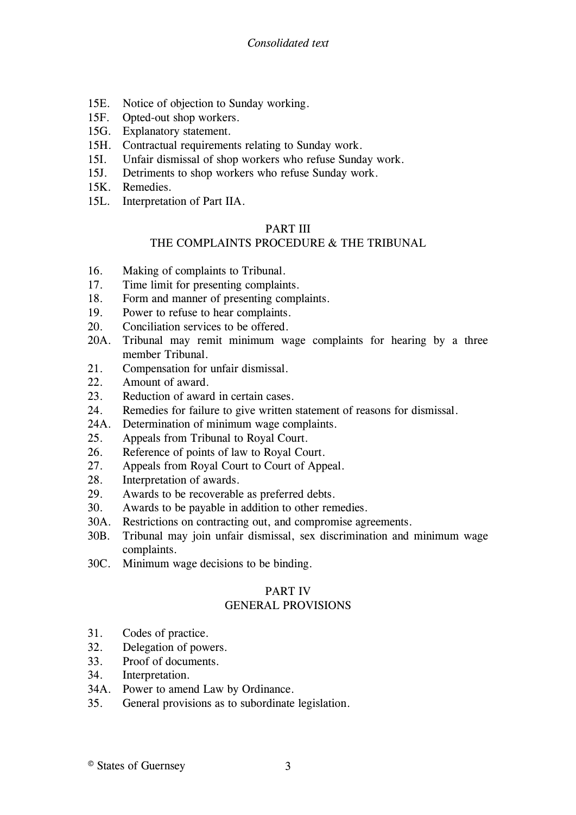- 15E. [Notice of objection to Sunday working.](#page-34-0)
- 15F. [Opted-out shop workers.](#page-35-0)
- 15G. [Explanatory statement.](#page-36-0)
- 15H. [Contractual requirements relating to Sunday work.](#page-38-0)
- 15I. [Unfair dismissal of shop workers who refuse Sunday work.](#page-39-0)
- 15J. [Detriments to shop workers who refuse Sunday work.](#page-40-0)
- 15K. [Remedies.](#page-43-0)
- 15L. [Interpretation of Part IIA.](#page-46-0)

# [PART III](#page-49-0)

# THE COMPLAINTS PROCEDURE & THE TRIBUNAL

- 16. [Making of complaints to Tribunal.](#page-49-1)
- 17. [Time limit for presenting complaints.](#page-51-0)
- 18. [Form and manner of presenting complaints.](#page-54-0)
- 19. [Power to refuse to hear complaints.](#page-55-0)
- 20. [Conciliation services to be offered.](#page-57-0)
- 20A. [Tribunal may remit minimum wage complaints for hearing by a three](#page-59-0)  [member Tribunal.](#page-59-0)
- 21. [Compensation for unfair dismissal.](#page-59-1)
- 22. [Amount of award.](#page-60-0)
- 23. [Reduction of award in certain cases.](#page-61-0)
- 24. [Remedies for failure to give written statement of reasons for dismissal.](#page-63-0)
- 24A. [Determination of minimum wage complaints.](#page-65-0)
- 25. [Appeals from Tribunal to Royal Court.](#page-65-1)
- 26. [Reference of points of law to Royal Court.](#page-66-0)
- 27. [Appeals from Royal Court to Court of Appeal.](#page-67-0)
- 28. [Interpretation of awards.](#page-67-1)
- 29. [Awards to be recoverable as preferred debts.](#page-68-0)
- 30. [Awards to be payable in addition to other remedies.](#page-70-0)
- 30A. [Restrictions on contracting out, and compromise agreements.](#page-70-1)
- 30B. [Tribunal may join unfair dismissal, sex discrimination and minimum wage](#page-74-0)  [complaints.](#page-74-0)
- 30C. Minimum wage decisions to be binding.

# [PART IV](#page-75-0)

# GENERAL PROVISIONS

- 31. [Codes of practice.](#page-76-0)
- 32. [Delegation of powers.](#page-78-0)
- 33. [Proof of documents.](#page-79-0)
- 34. [Interpretation.](#page-80-0)
- 34A. [Power to amend Law by Ordinance.](#page-88-0)
- 35. [General provisions as to subordinate legislation.](#page-89-0)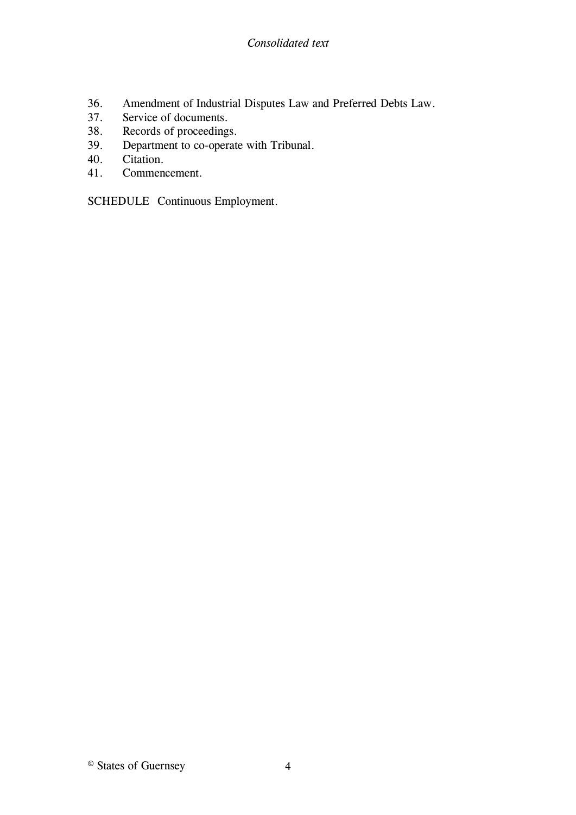- 36. [Amendment of Industrial Disputes Law and Preferred Debts Law.](#page-91-0)
- 37. [Service of documents.](#page-92-0)
- 38. [Records of proceedings.](#page-95-0)
- 39. [Department to co-operate with Tribunal.](#page-96-0)
- 40. [Citation.](#page-96-1)
- 41. [Commencement.](#page-96-2)

SCHEDULE [Continuous Employment.](#page-98-0)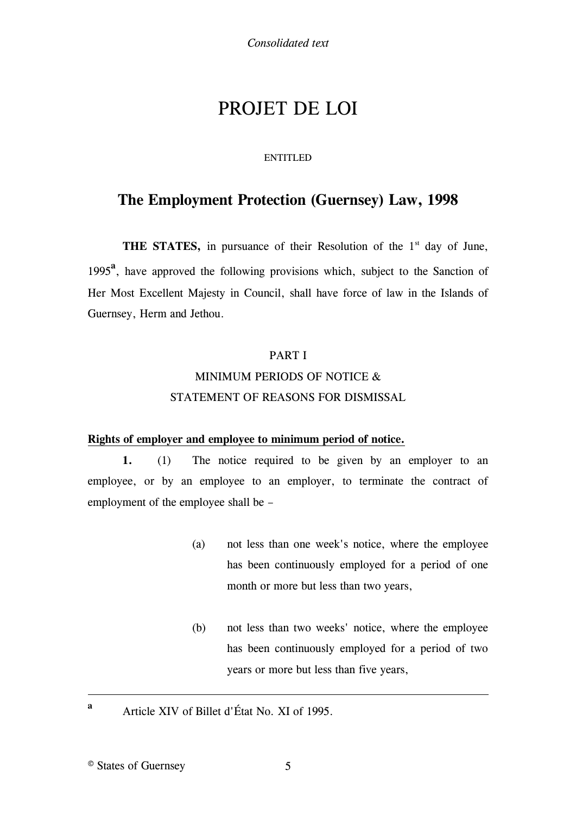# PROJET DE LOI

#### ENTITLED

# **The [Employment Protection \(Guernsey\) Law, 1998](#page-7-0)**

**THE STATES,** in pursuance of their Resolution of the  $1<sup>st</sup>$  day of June, 1995**<sup>a</sup>** , have approved the following provisions which, subject to the Sanction of Her Most Excellent Majesty in Council, shall have force of law in the Islands of Guernsey, Herm and Jethou.

# [PART I](#page-7-1)

# MINIMUM PERIODS OF NOTICE & STATEMENT OF REASONS FOR DISMISSAL

## <span id="page-4-1"></span><span id="page-4-0"></span>**Rights of employer and employee to minimum period of notice.**

**1.** (1) The notice required to be given by an employer to an employee, or by an employee to an employer, to terminate the contract of employment of the employee shall be –

- (a) not less than one week's notice, where the employee has been continuously employed for a period of one month or more but less than two years,
- (b) not less than two weeks' notice, where the employee has been continuously employed for a period of two years or more but less than five years,
- Article XIV of Billet d'État No. XI of 1995.

1 **a**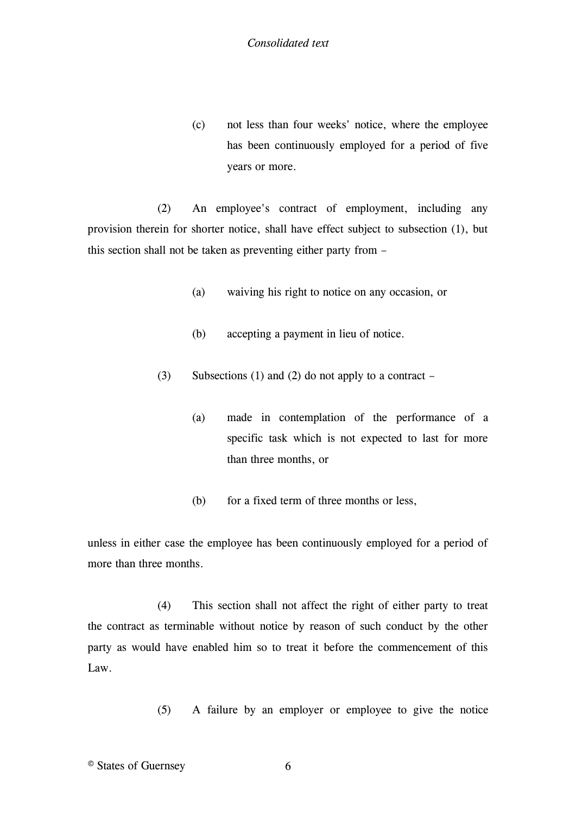(c) not less than four weeks' notice, where the employee has been continuously employed for a period of five years or more.

(2) An employee's contract of employment, including any provision therein for shorter notice, shall have effect subject to subsection (1), but this section shall not be taken as preventing either party from –

- (a) waiving his right to notice on any occasion, or
- (b) accepting a payment in lieu of notice.
- (3) Subsections (1) and (2) do not apply to a contract
	- (a) made in contemplation of the performance of a specific task which is not expected to last for more than three months, or
	- (b) for a fixed term of three months or less,

unless in either case the employee has been continuously employed for a period of more than three months.

(4) This section shall not affect the right of either party to treat the contract as terminable without notice by reason of such conduct by the other party as would have enabled him so to treat it before the commencement of this Law.

(5) A failure by an employer or employee to give the notice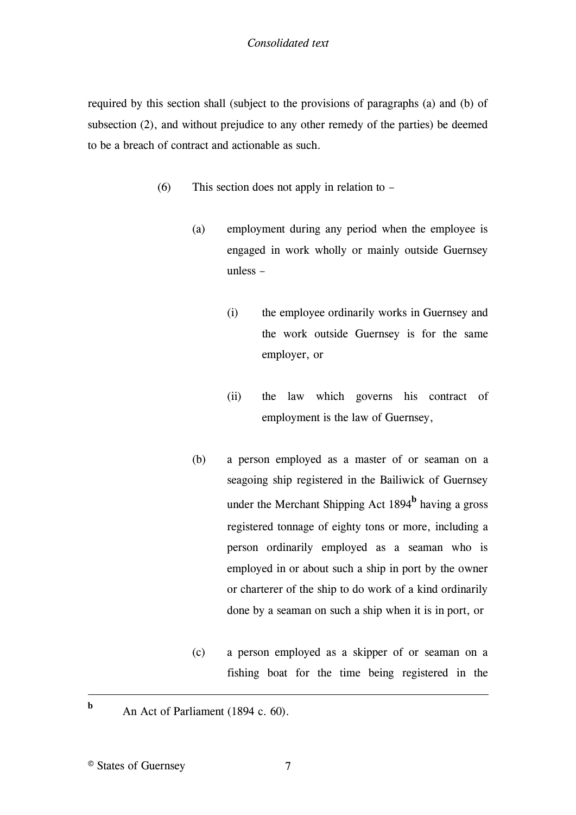required by this section shall (subject to the provisions of paragraphs (a) and (b) of subsection (2), and without prejudice to any other remedy of the parties) be deemed to be a breach of contract and actionable as such.

- (6) This section does not apply in relation to
	- (a) employment during any period when the employee is engaged in work wholly or mainly outside Guernsey unless –
		- (i) the employee ordinarily works in Guernsey and the work outside Guernsey is for the same employer, or
		- (ii) the law which governs his contract of employment is the law of Guernsey,
	- (b) a person employed as a master of or seaman on [a](#page-7-2)  [seagoing ship registered in the Bailiwick of Guernsey](#page-7-2)  [under the Merchant Shipping Act 1894](#page-7-2)**<sup>b</sup>** having a gross registered tonnage of eighty tons or more, including a person ordinarily employed as a seaman who is employed in or about such a ship in port by the owner or charterer of the ship to do work of a kind ordinarily done by a seaman on such a ship when it is in port, or
	- (c) a person employed as a skipper of or seaman on a fishing boat for the time being registered in the
- An Act of Parliament (1894 c. 60).

1 **b**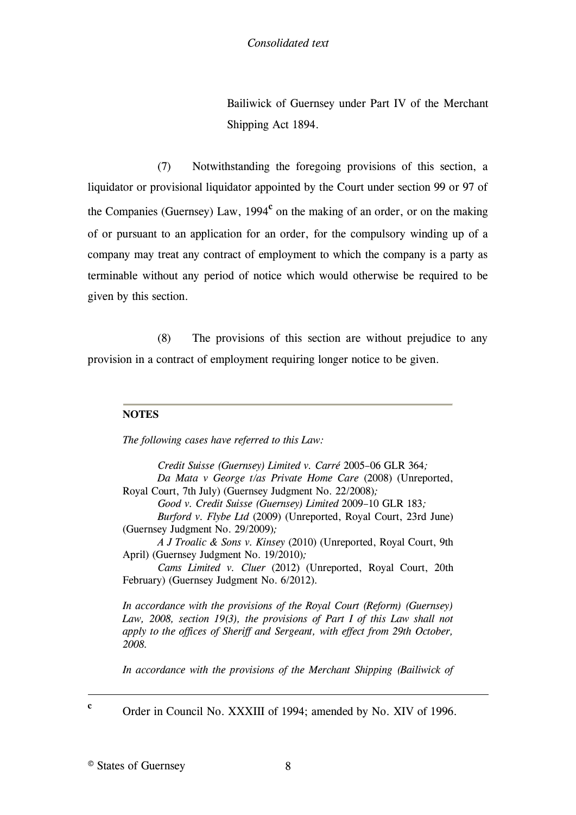Bailiwick of Guernsey under Part IV of the [Merchant](#page-8-0)  [Shipping Act 1894.](#page-8-0)

(7) Notwithstanding the foregoing provisions of this section, a liquidator or provisional liquidator appointed by the Court under section 99 or 97 of the [Companies \(Guernsey\) Law, 1994](#page-8-1)<sup>c</sup> on the making of an order, or on the making of or pursuant to an application for an order, for the compulsory winding up of a company may treat any contract of employment to which the company is a party as terminable without any period of notice which would otherwise be required to be given by this section.

(8) The provisions of this section are without prejudice to any provision in a contract of employment requiring longer notice to be given.

## **NOTES**

<span id="page-7-0"></span>*The following cases have referred to this Law:*

*Credit Suisse (Guernsey) Limited v. Carré* 2005–06 GLR 364*; Da Mata v George t/as Private Home Care* (2008) (Unreported, Royal Court, 7th July) (Guernsey Judgment [No. 22/2008\)](http://www.guernseylegalresources.gg/ccm/legal-resources/judgments/2008-judgments/guernsey-judgment-22-2008---da-mata-v-george-trading-as-private-home-care.en)*;*

*Good v. Credit Suisse (Guernsey) Limited* 2009–10 GLR 183*;*

*Burford v. Flybe Ltd* (2009) (Unreported, Royal Court, 23rd June) (Guernsey Judgment [No. 29/2009\)](http://www.guernseylegalresources.gg/redirect?oid=%255Bcom.runtimecollective.cms.contenttypes.LegalResource%253A%257Bid%253D10627035%257D%255D&context=live)*;*

*A J Troalic & Sons v. Kinsey* (2010) (Unreported, Royal Court, 9th April) (Guernsey Judgment [No. 19/2010\)](http://www.guernseylegalresources.gg/redirect?oid=%255Bcom.runtimecollective.cms.contenttypes.LegalResource%253A%257Bid%253D13540292%257D%255D&context=live)*;*

*Cams Limited v. Cluer* (2012) (Unreported, Royal Court, 20th February) (Guernsey Judgment [No. 6/2012\)](http://www.guernseylegalresources.gg/article/99803/Guernsey-Judgment-62012)*.*

<span id="page-7-1"></span>*In accordance with the provisions of the Royal Court (Reform) (Guernsey)*  Law, 2008, section 19(3), the provisions of Part I of this Law shall not *apply to the offices of Sheriff and Sergeant, with effect from 29th October, 2008.*

*[In accordance with the provisions of the Merchant Shipping \(Bailiwick of](#page-8-0)* 

Order in Council No. XXXIII of 1994; amended by No. XIV of 1996.

© States of Guernsey 8

<span id="page-7-2"></span>1 **c**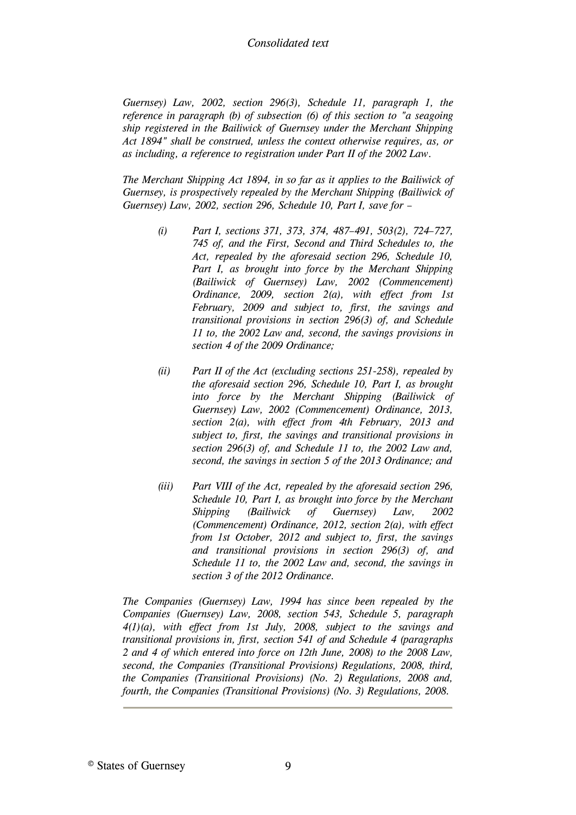*Guernsey) Law, 2002, section 296(3), Schedule 11, paragraph 1, the reference in paragraph (b) of subsection (6) of this section to "a seagoing ship registered in the Bailiwick of Guernsey under the Merchant Shipping Act 1894" shall be construed, unless the context otherwise requires, as, or as including, a reference to registration under Part II of the 2002 Law.*

<span id="page-8-0"></span>*The Merchant Shipping Act 1894, in so far as it applies to the Bailiwick of Guernsey, is prospectively repealed by the Merchant Shipping (Bailiwick of Guernsey) Law, 2002, section 296, Schedule 10, Part I, save for –*

- *(i) Part I, sections 371, 373, 374, 487–491, 503(2), 724–727, 745 of, and the First, Second and Third Schedules to, the Act, repealed by the aforesaid section 296, Schedule 10, Part I, as brought into force by the Merchant Shipping (Bailiwick of Guernsey) Law, 2002 (Commencement) Ordinance, 2009, section 2(a), with effect from 1st February, 2009 and subject to, first, the savings and transitional provisions in section 296(3) of, and Schedule 11 to, the 2002 Law and, second, the savings provisions in section 4 of the 2009 Ordinance;*
- *(ii) Part II of the Act (excluding sections 251-258), repealed by the aforesaid section 296, Schedule 10, Part I, as brought into force by the Merchant Shipping (Bailiwick of Guernsey) Law, 2002 (Commencement) Ordinance, 2013, section 2(a), with effect from 4th February, 2013 and subject to, first, the savings and transitional provisions in section 296(3) of, and Schedule 11 to, the 2002 Law and, second, the savings in section 5 of the 2013 Ordinance; and*
- *(iii) Part VIII of the Act, repealed by the aforesaid section 296, Schedule 10, Part I, as brought into force by the Merchant Shipping (Bailiwick of Guernsey) Law, 2002 (Commencement) Ordinance, 2012, section 2(a), with effect from 1st October, 2012 and subject to, first, the savings and transitional provisions in section 296(3) of, and Schedule 11 to, the 2002 Law and, second, the savings in section 3 of the 2012 Ordinance.*

<span id="page-8-1"></span>*The Companies (Guernsey) Law, 1994 has since been repealed by the Companies (Guernsey) Law, 2008, section 543, Schedule 5, paragraph 4(1)(a), with effect from 1st July, 2008, subject to the savings and transitional provisions in, first, section 541 of and Schedule 4 (paragraphs 2 and 4 of which entered into force on 12th June, 2008) to the 2008 Law, second, the Companies (Transitional Provisions) Regulations, 2008, third, the Companies (Transitional Provisions) (No. 2) Regulations, 2008 and, fourth, the Companies (Transitional Provisions) (No. 3) Regulations, 2008.*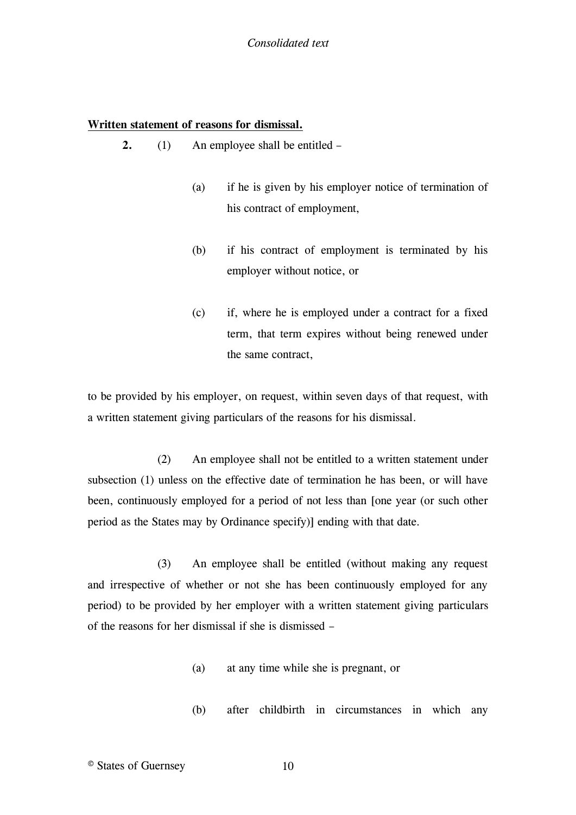## <span id="page-9-0"></span>**Written statement of reasons for dismissal.**

- **2.** (1) An employee shall be entitled
	- (a) if he is given by his employer notice of termination of his contract of employment,
	- (b) if his contract of employment is terminated by his employer without notice, or
	- (c) if, where he is employed under a contract for a fixed term, that term expires without being renewed under the same contract,

to be provided by his employer, on request, within seven days of that request, with a written statement giving particulars of the reasons for his dismissal.

(2) An employee shall not be entitled to a written statement under subsection (1) unless on the effective date of termination he has been, or will have been, continuously employed for a period of not less than [\[one year \(or such other](#page-10-1)  [period as the States may by Ordinance specify\)\]](#page-10-1) ending with that date.

(3) An employee shall be entitled (without making any request and irrespective of whether or not she has been continuously employed for any period) to be provided by her employer with a written statement giving particulars of the reasons for her dismissal if she is dismissed –

- (a) at any time while she is pregnant, or
- (b) after childbirth in circumstances in which any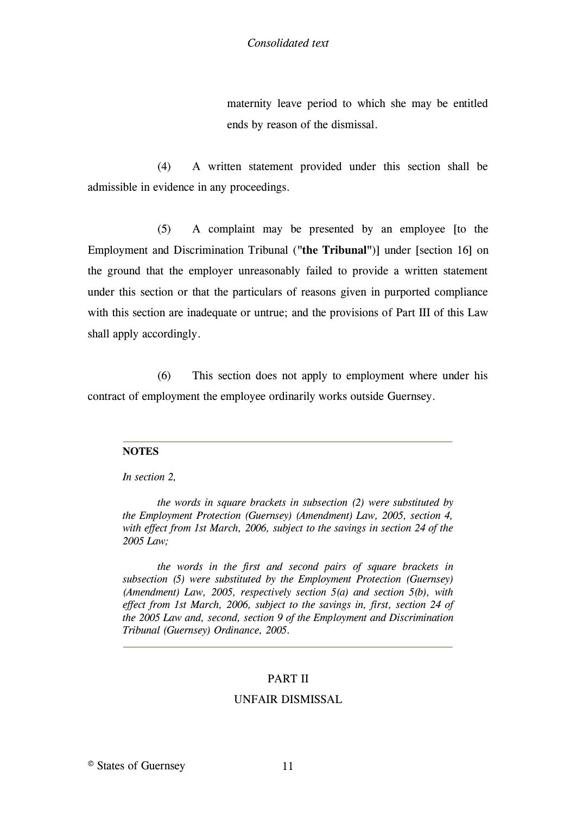maternity leave period to which she may be entitled ends by reason of the dismissal.

(4) A written statement provided under this section shall be admissible in evidence in any proceedings.

(5) A complaint may be presented by an employee [\[to the](#page-10-2)  [Employment and Discrimination Tribunal \(](#page-10-2)**"the Tribunal"**)] under [\[section 16\]](#page-10-2) on the ground that the employer unreasonably failed to provide a written statement under this section or that the particulars of reasons given in purported compliance with this section are inadequate or untrue; and the provisions of Part III of this Law shall apply accordingly.

(6) This section does not apply to employment where under his contract of employment the employee ordinarily works outside Guernsey.

#### **NOTES**

#### *In section 2,*

<span id="page-10-1"></span>*the words in square brackets in subsection (2) were substituted by the Employment Protection (Guernsey) (Amendment) Law, 2005, section 4, with effect from 1st March, 2006, subject to the savings in section 24 of the 2005 Law;*

<span id="page-10-2"></span><span id="page-10-0"></span>*the words in the first and second pairs of square brackets in subsection (5) were substituted by the Employment Protection (Guernsey) (Amendment) Law, 2005, respectively section 5(a) and section 5(b), with effect from 1st March, 2006, subject to the savings in, first, section 24 of the 2005 Law and, second, section 9 of the Employment and Discrimination Tribunal (Guernsey) Ordinance, 2005.*

## [PART II](#page-11-2)

## UNFAIR DISMISSAL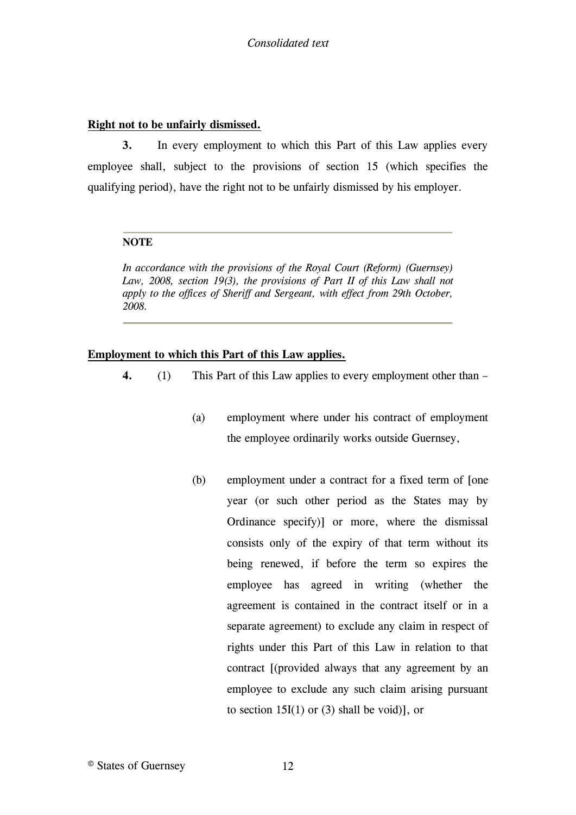## <span id="page-11-0"></span>**Right not to be unfairly dismissed.**

**3.** In every employment to which this Part of this Law applies every employee shall, subject to the provisions of section 15 (which specifies the qualifying period), have the right not to be unfairly dismissed by his employer.

#### **NOTE**

<span id="page-11-2"></span>*In accordance with the provisions of the Royal Court (Reform) (Guernsey)*  Law, 2008, section 19(3), the provisions of Part II of this Law shall not *apply to the offices of Sheriff and Sergeant, with effect from 29th October, 2008.*

## <span id="page-11-1"></span>**Employment to which this Part of this Law applies.**

- **4.** (1) This Part of this Law applies to every employment other than
	- (a) employment where under his contract of employment the employee ordinarily works outside Guernsey,
	- (b) employment under a contract for a fixed term of [\[one](#page-12-0)  [year \(or such other period as the States may by](#page-12-0)  [Ordinance specify\)\]](#page-12-0) or more, where the dismissal consists only of the expiry of that term without its being renewed, if before the term so expires the employee has agreed in writing (whether the agreement is contained in the contract itself or in a separate agreement) to exclude any claim in respect of rights under this Part of this Law in relation to that contract [\[\(provided always that any agreement by an](#page-12-1)  [employee to exclude any such claim arising pursuant](#page-12-1)  [to section 15I\(1\) or \(3\) shall be void\)\],](#page-12-1) or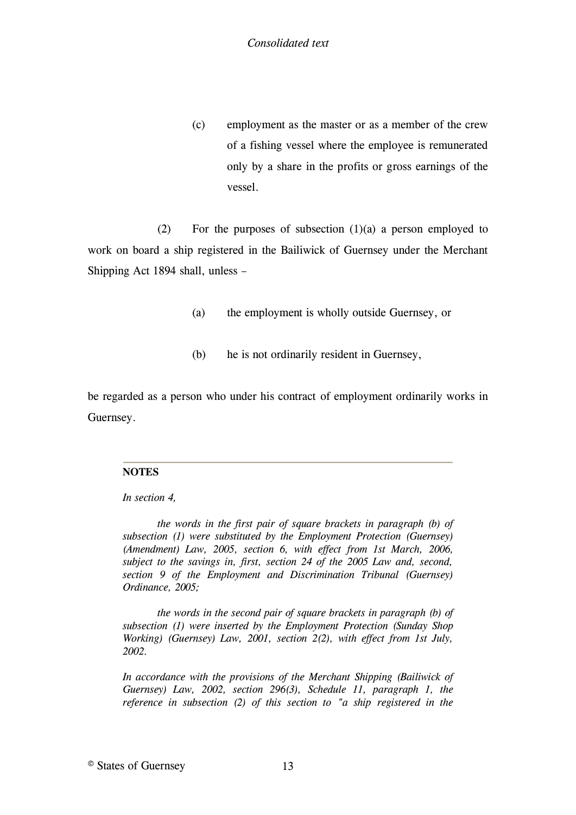(c) employment as the master or as a member of the crew of a fishing vessel where the employee is remunerated only by a share in the profits or gross earnings of the vessel.

(2) For the purposes of subsection  $(1)(a)$  a person employed to work on board [a ship registered in the Bailiwick of Guernsey under the Merchant](#page-12-2)  [Shipping Act 1894](#page-12-2) shall, unless –

- (a) the employment is wholly outside Guernsey, or
- (b) he is not ordinarily resident in Guernsey,

be regarded as a person who under his contract of employment ordinarily works in Guernsey.

#### **NOTES**

#### *In section 4,*

<span id="page-12-0"></span>*the words in the first pair of square brackets in paragraph (b) of subsection (1) were substituted by the Employment Protection (Guernsey) (Amendment) Law, 2005, section 6, with effect from 1st March, 2006, subject to the savings in, first, section 24 of the 2005 Law and, second, section 9 of the Employment and Discrimination Tribunal (Guernsey) Ordinance, 2005;*

<span id="page-12-1"></span>*the words in the second pair of square brackets in paragraph (b) of subsection (1) were inserted by the Employment Protection (Sunday Shop Working) (Guernsey) Law, 2001, section 2(2), with effect from 1st July, 2002.*

<span id="page-12-2"></span>*[In accordance with the provisions of the Merchant Shipping \(Bailiwick of](#page-8-0)  [Guernsey\) Law, 2002, section 296\(3\), Schedule 11, paragraph 1, the](#page-8-0)  [reference in subsection \(2\) of this section to "a ship registered in the](#page-8-0)*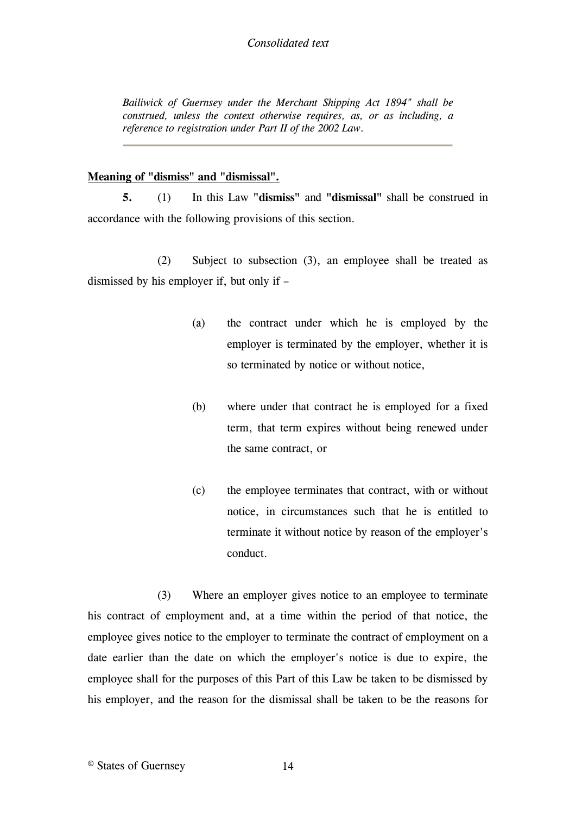*Bailiwick of Guernsey under the Merchant Shipping Act 1894" shall be construed, unless the context otherwise requires, as, or as including, a reference to registration under Part II of the 2002 Law.*

## <span id="page-13-0"></span>**Meaning of "dismiss" and "dismissal".**

**5.** (1) In this Law **"dismiss"** and **"dismissal"** shall be construed in accordance with the following provisions of this section.

(2) Subject to subsection (3), an employee shall be treated as dismissed by his employer if, but only if –

- (a) the contract under which he is employed by the employer is terminated by the employer, whether it is so terminated by notice or without notice,
- (b) where under that contract he is employed for a fixed term, that term expires without being renewed under the same contract, or
- (c) the employee terminates that contract, with or without notice, in circumstances such that he is entitled to terminate it without notice by reason of the employer's conduct.

(3) Where an employer gives notice to an employee to terminate his contract of employment and, at a time within the period of that notice, the employee gives notice to the employer to terminate the contract of employment on a date earlier than the date on which the employer's notice is due to expire, the employee shall for the purposes of this Part of this Law be taken to be dismissed by his employer, and the reason for the dismissal shall be taken to be the reasons for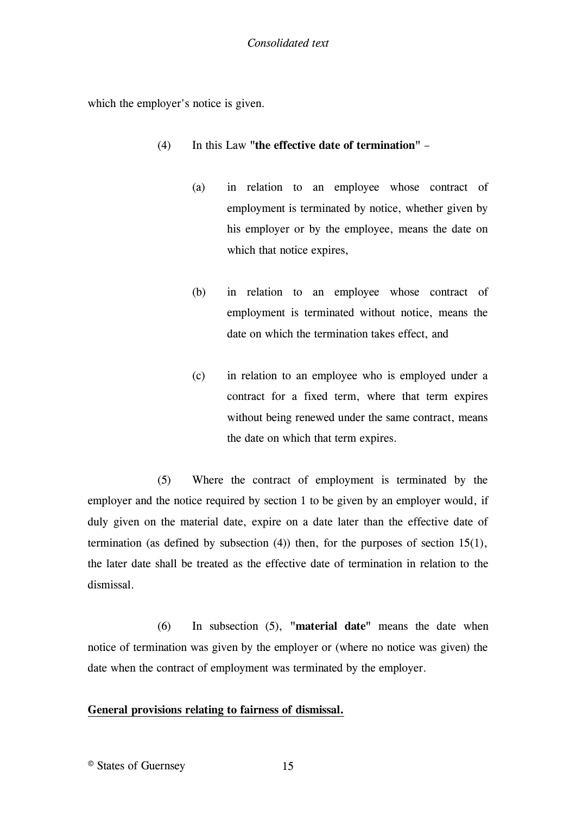which the employer's notice is given.

- (4) In this Law **"the effective date of termination"**
	- (a) in relation to an employee whose contract of employment is terminated by notice, whether given by his employer or by the employee, means the date on which that notice expires,
	- (b) in relation to an employee whose contract of employment is terminated without notice, means the date on which the termination takes effect, and
	- (c) in relation to an employee who is employed under a contract for a fixed term, where that term expires without being renewed under the same contract, means the date on which that term expires.

(5) Where the contract of employment is terminated by the employer and the notice required by section 1 to be given by an employer would, if duly given on the material date, expire on a date later than the effective date of termination (as defined by subsection (4)) then, for the purposes of section 15(1), the later date shall be treated as the effective date of termination in relation to the dismissal.

(6) In subsection (5), **"material date"** means the date when notice of termination was given by the employer or (where no notice was given) the date when the contract of employment was terminated by the employer.

# <span id="page-14-0"></span>**[General provisions relating to fairness of dismissal.](#page-16-2)**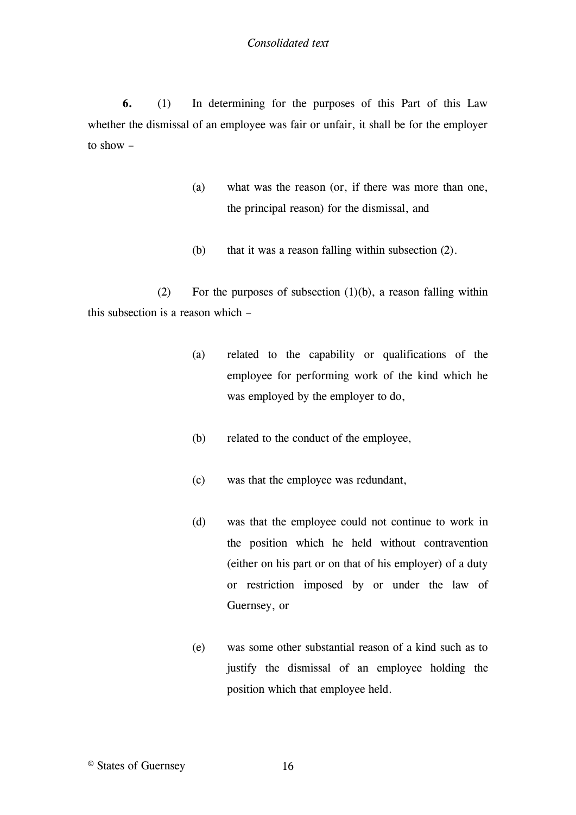**6.** (1) In determining for the purposes of this Part of this Law whether the dismissal of an employee was fair or unfair, it shall be for the employer to show –

- (a) what was the reason (or, if there was more than one, the principal reason) for the dismissal, and
- (b) that it was a reason falling within subsection (2).

(2) For the purposes of subsection  $(1)(b)$ , a reason falling within this subsection is a reason which –

- (a) related to the capability or qualifications of the employee for performing work of the kind which he was employed by the employer to do,
- (b) related to the conduct of the employee,
- (c) was that the employee was redundant,
- (d) was that the employee could not continue to work in the position which he held without contravention (either on his part or on that of his employer) of a duty or restriction imposed by or under the law of Guernsey, or
- (e) was some other substantial reason of a kind such as to justify the dismissal of an employee holding the position which that employee held.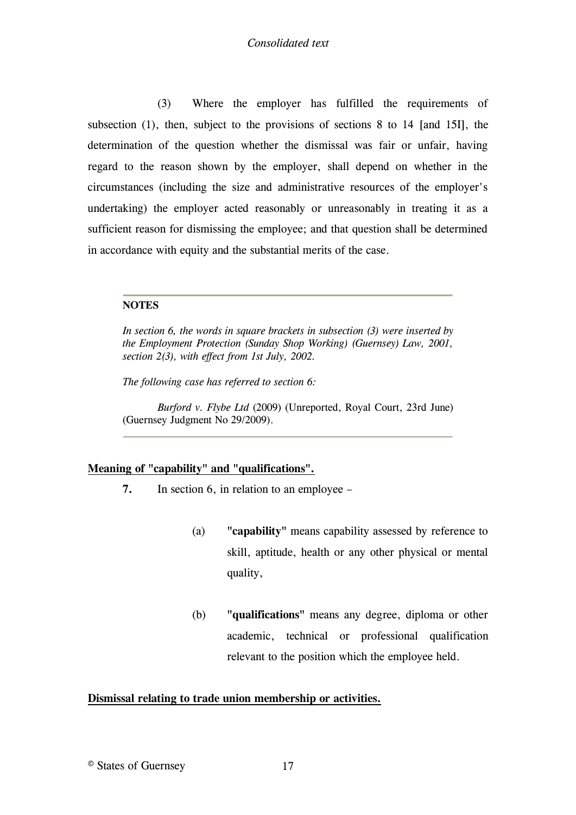(3) Where the employer has fulfilled the requirements of subsection (1), then, subject to the provisions of sections 8 to 14 [\[and 15I\],](#page-16-3) the determination of the question whether the dismissal was fair or unfair, having regard to the reason shown by the employer, shall depend on whether in the circumstances (including the size and administrative resources of the employer's undertaking) the employer acted reasonably or unreasonably in treating it as a sufficient reason for dismissing the employee; and that question shall be determined in accordance with equity and the substantial merits of the case.

#### **NOTES**

<span id="page-16-3"></span>*In section 6, the words in square brackets in subsection (3) were inserted by the Employment Protection (Sunday Shop Working) (Guernsey) Law, 2001, section 2(3), with effect from 1st July, 2002.*

<span id="page-16-2"></span>*The following case has referred to section 6:*

*Burford v. Flybe Ltd* (2009) (Unreported, Royal Court, 23rd June) (Guernsey Judgment [No 29/2009\)](http://www.guernseylegalresources.gg/redirect?oid=%255Bcom.runtimecollective.cms.contenttypes.LegalResource%253A%257Bid%253D10627035%257D%255D&context=live).

#### <span id="page-16-0"></span>**Meaning of "capability" and "qualifications".**

- **7.** In section 6, in relation to an employee
	- (a) **"capability"** means capability assessed by reference to skill, aptitude, health or any other physical or mental quality,
	- (b) **"qualifications"** means any degree, diploma or other academic, technical or professional qualification relevant to the position which the employee held.

## <span id="page-16-1"></span>**Dismissal relating to trade union membership or activities.**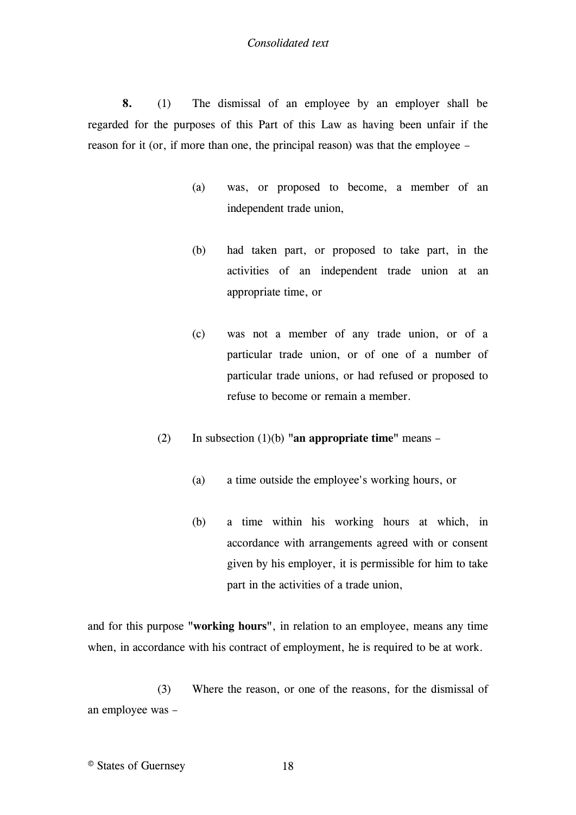**8.** (1) The dismissal of an employee by an employer shall be regarded for the purposes of this Part of this Law as having been unfair if the reason for it (or, if more than one, the principal reason) was that the employee –

- (a) was, or proposed to become, a member of an independent trade union,
- (b) had taken part, or proposed to take part, in the activities of an independent trade union at an appropriate time, or
- (c) was not a member of any trade union, or of a particular trade union, or of one of a number of particular trade unions, or had refused or proposed to refuse to become or remain a member.
- (2) In subsection (1)(b) **"an appropriate time"** means
	- (a) a time outside the employee's working hours, or
	- (b) a time within his working hours at which, in accordance with arrangements agreed with or consent given by his employer, it is permissible for him to take part in the activities of a trade union,

and for this purpose **"working hours"**, in relation to an employee, means any time when, in accordance with his contract of employment, he is required to be at work.

(3) Where the reason, or one of the reasons, for the dismissal of an employee was –

© States of Guernsey 18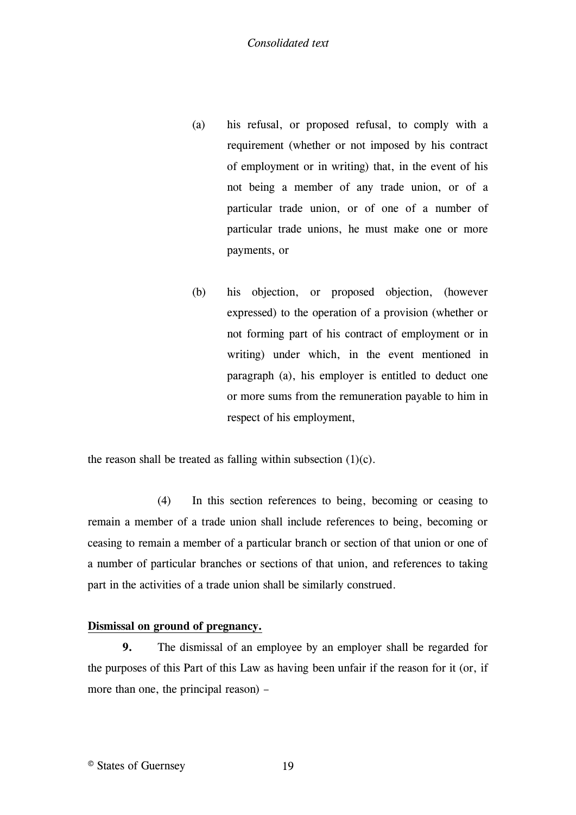- (a) his refusal, or proposed refusal, to comply with a requirement (whether or not imposed by his contract of employment or in writing) that, in the event of his not being a member of any trade union, or of a particular trade union, or of one of a number of particular trade unions, he must make one or more payments, or
- (b) his objection, or proposed objection, (however expressed) to the operation of a provision (whether or not forming part of his contract of employment or in writing) under which, in the event mentioned in paragraph (a), his employer is entitled to deduct one or more sums from the remuneration payable to him in respect of his employment,

the reason shall be treated as falling within subsection  $(1)(c)$ .

(4) In this section references to being, becoming or ceasing to remain a member of a trade union shall include references to being, becoming or ceasing to remain a member of a particular branch or section of that union or one of a number of particular branches or sections of that union, and references to taking part in the activities of a trade union shall be similarly construed.

# <span id="page-18-0"></span>**Dismissal on ground of pregnancy.**

**9.** The dismissal of an employee by an employer shall be regarded for the purposes of this Part of this Law as having been unfair if the reason for it (or, if more than one, the principal reason) –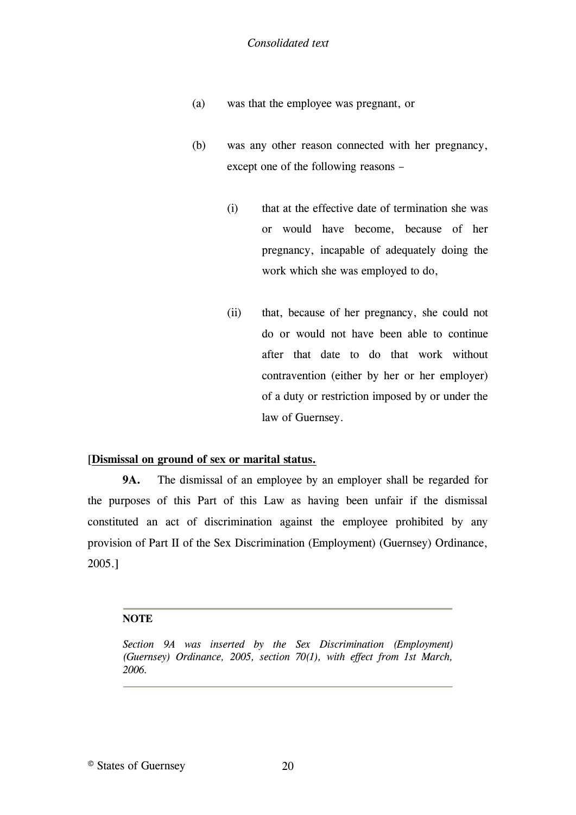- (a) was that the employee was pregnant, or
- (b) was any other reason connected with her pregnancy, except one of the following reasons –
	- (i) that at the effective date of termination she was or would have become, because of her pregnancy, incapable of adequately doing the work which she was employed to do,
	- (ii) that, because of her pregnancy, she could not do or would not have been able to continue after that date to do that work without contravention (either by her or her employer) of a duty or restriction imposed by or under the law of Guernsey.

## <span id="page-19-0"></span>[**[Dismissal on ground of sex or marital status.](#page-19-1)**

**9A.** [The dismissal of an employee by an employer shall be](#page-19-1) regarded for [the purposes of this Part of this Law as having been unfair if the dismissal](#page-19-1)  [constituted an act of discrimination against the employee prohibited by any](#page-19-1)  [provision of Part II of the Sex Discrimination \(Employment\) \(Guernsey\) Ordinance,](#page-19-1)  [2005.\]](#page-19-1)

#### **NOTE**

<span id="page-19-1"></span>*Section 9A was inserted by the Sex Discrimination (Employment) (Guernsey) Ordinance, 2005, section 70(1), with effect from 1st March, 2006.*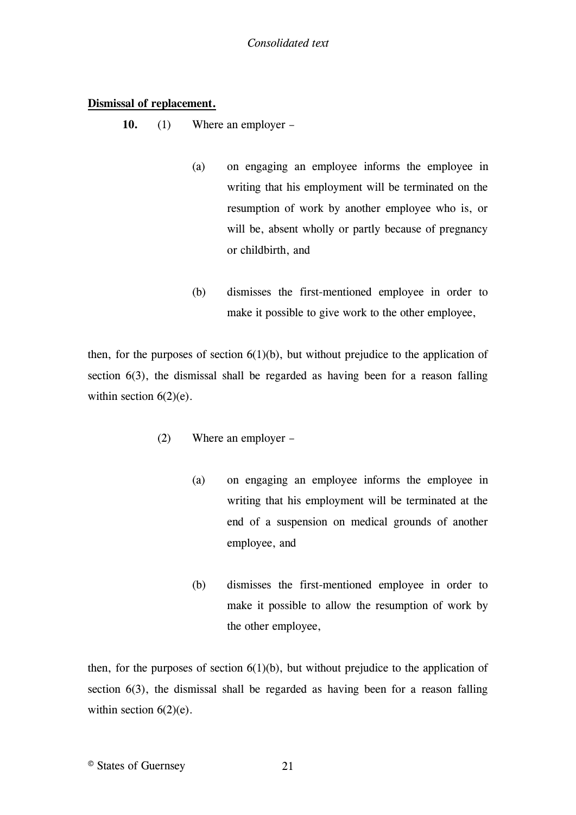## <span id="page-20-0"></span>**Dismissal of replacement.**

**10.** (1) Where an employer –

- (a) on engaging an employee informs the employee in writing that his employment will be terminated on the resumption of work by another employee who is, or will be, absent wholly or partly because of pregnancy or childbirth, and
- (b) dismisses the first-mentioned employee in order to make it possible to give work to the other employee,

then, for the purposes of section  $6(1)(b)$ , but without prejudice to the application of section 6(3), the dismissal shall be regarded as having been for a reason falling within section  $6(2)(e)$ .

- (2) Where an employer
	- (a) on engaging an employee informs the employee in writing that his employment will be terminated at the end of a suspension on medical grounds of another employee, and
	- (b) dismisses the first-mentioned employee in order to make it possible to allow the resumption of work by the other employee,

then, for the purposes of section  $6(1)(b)$ , but without prejudice to the application of section 6(3), the dismissal shall be regarded as having been for a reason falling within section  $6(2)(e)$ .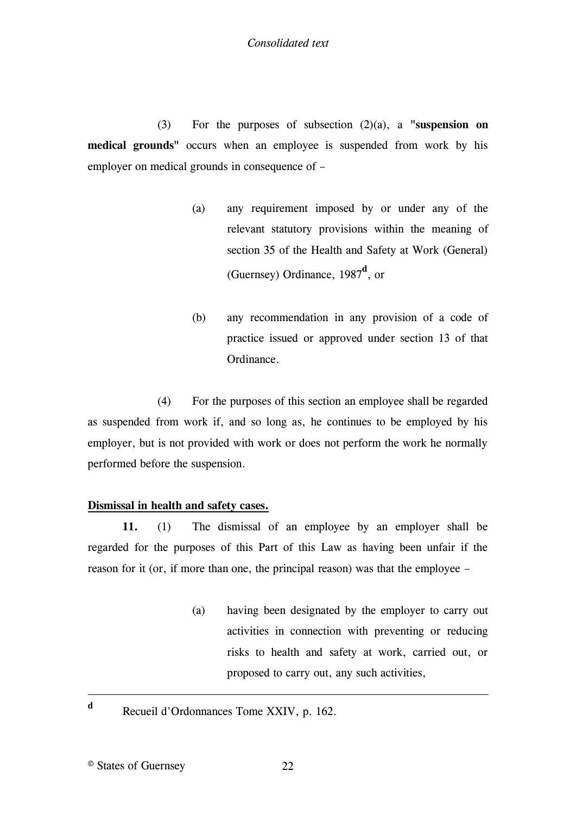(3) For the purposes of subsection (2)(a), a **"suspension on medical grounds"** occurs when an employee is suspended from work by his employer on medical grounds in consequence of –

- (a) any requirement imposed by or under any of the relevant statutory provisions within the meaning of section 35 of the Health and Safety at Work (General) (Guernsey) Ordinance, 1987**<sup>d</sup>** , or
- (b) any recommendation in any provision of a code of practice issued or approved under section 13 of that Ordinance.

(4) For the purposes of this section an employee shall be regarded as suspended from work if, and so long as, he continues to be employed by his employer, but is not provided with work or does not perform the work he normally performed before the suspension.

# <span id="page-21-0"></span>**Dismissal in health and safety cases.**

**11.** (1) The dismissal of an employee by an employer shall be regarded for the purposes of this Part of this Law as having been unfair if the reason for it (or, if more than one, the principal reason) was that the employee –

- (a) having been designated by the employer to carry out activities in connection with preventing or reducing risks to health and safety at work, carried out, or proposed to carry out, any such activities,
- Recueil d'Ordonnances Tome XXIV, p. 162.

1 **d**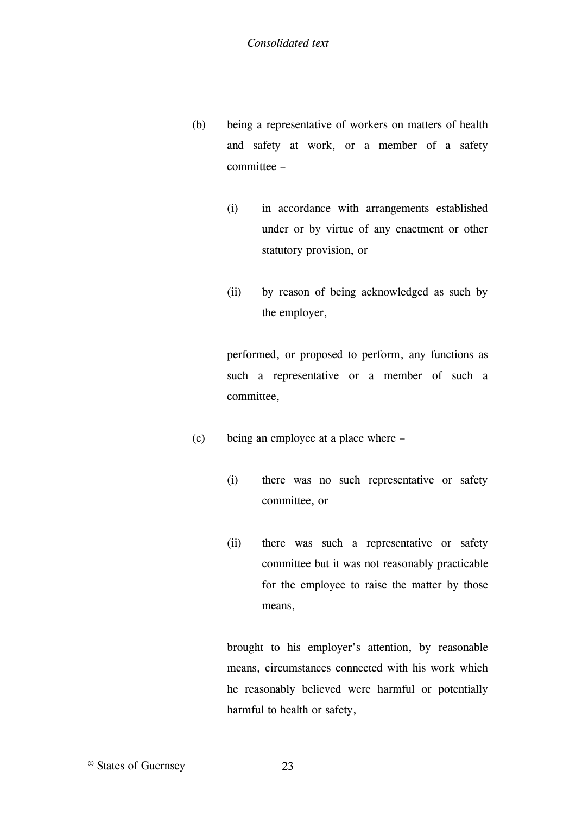- (b) being a representative of workers on matters of health and safety at work, or a member of a safety committee –
	- (i) in accordance with arrangements established under or by virtue of any enactment or other statutory provision, or
	- (ii) by reason of being acknowledged as such by the employer,

performed, or proposed to perform, any functions as such a representative or a member of such a committee,

- (c) being an employee at a place where
	- (i) there was no such representative or safety committee, or
	- (ii) there was such a representative or safety committee but it was not reasonably practicable for the employee to raise the matter by those means,

brought to his employer's attention, by reasonable means, circumstances connected with his work which he reasonably believed were harmful or potentially harmful to health or safety,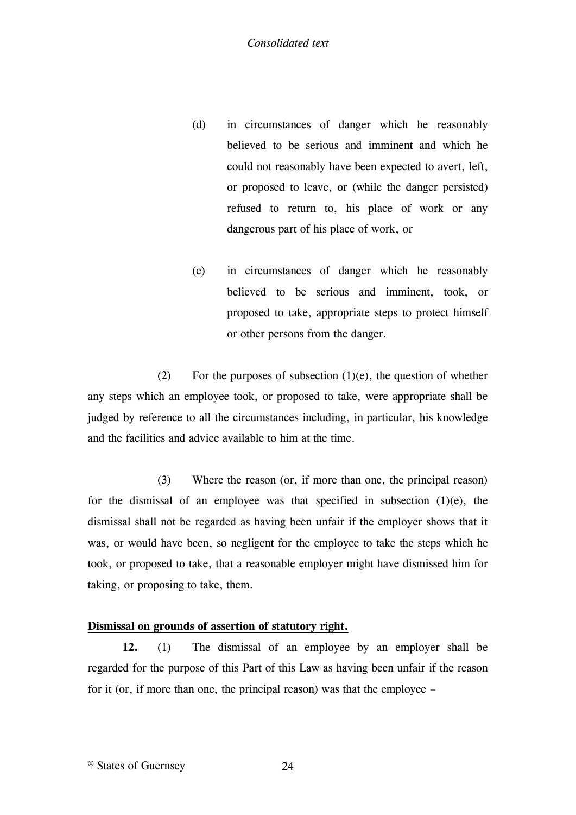- (d) in circumstances of danger which he reasonably believed to be serious and imminent and which he could not reasonably have been expected to avert, left, or proposed to leave, or (while the danger persisted) refused to return to, his place of work or any dangerous part of his place of work, or
- (e) in circumstances of danger which he reasonably believed to be serious and imminent, took, or proposed to take, appropriate steps to protect himself or other persons from the danger.

(2) For the purposes of subsection  $(1)(e)$ , the question of whether any steps which an employee took, or proposed to take, were appropriate shall be judged by reference to all the circumstances including, in particular, his knowledge and the facilities and advice available to him at the time.

(3) Where the reason (or, if more than one, the principal reason) for the dismissal of an employee was that specified in subsection  $(1)(e)$ , the dismissal shall not be regarded as having been unfair if the employer shows that it was, or would have been, so negligent for the employee to take the steps which he took, or proposed to take, that a reasonable employer might have dismissed him for taking, or proposing to take, them.

## <span id="page-23-0"></span>**Dismissal on grounds of assertion of statutory right.**

**12.** (1) The dismissal of an employee by an employer shall be regarded for the purpose of this Part of this Law as having been unfair if the reason for it (or, if more than one, the principal reason) was that the employee –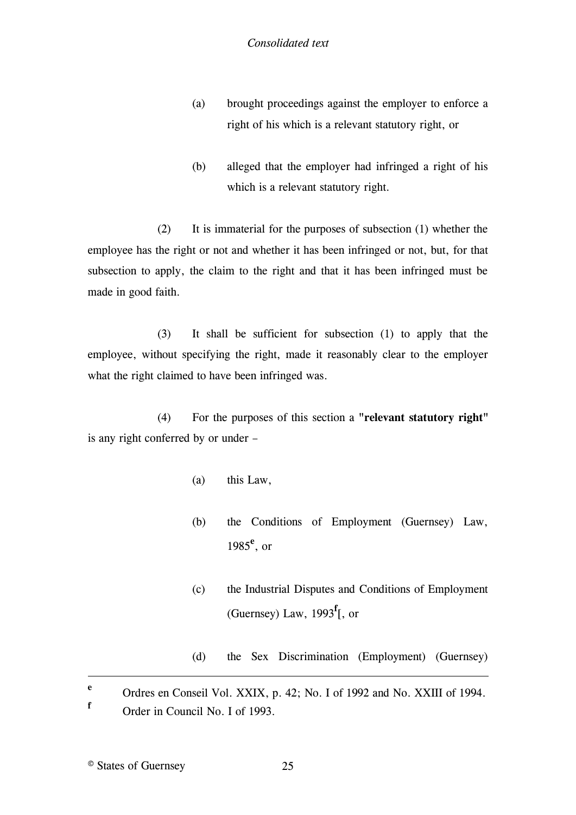- (a) brought proceedings against the employer to enforce a right of his which is a relevant statutory right, or
- (b) alleged that the employer had infringed a right of his which is a relevant statutory right.

(2) It is immaterial for the purposes of subsection (1) whether the employee has the right or not and whether it has been infringed or not, but, for that subsection to apply, the claim to the right and that it has been infringed must be made in good faith.

(3) It shall be sufficient for subsection (1) to apply that the employee, without specifying the right, made it reasonably clear to the employer what the right claimed to have been infringed was.

(4) For the purposes of this section a **"relevant statutory right"** is any right conferred by or under –

- (a) this Law,
- (b) the Conditions of Employment (Guernsey) Law, 1985**<sup>e</sup>** , or
- (c) the Industrial Disputes and Conditions of Employment (Guernsey) Law, 1993**<sup>f</sup>** [\[, or](#page-25-1)
- (d) [the Sex Discrimination \(Employment\) \(Guernsey\)](#page-25-1)

**e** Ordres en Conseil Vol. XXIX, p. 42; No. I of 1992 and No. XXIII of 1994. **f**

1

Order in Council No. I of 1993.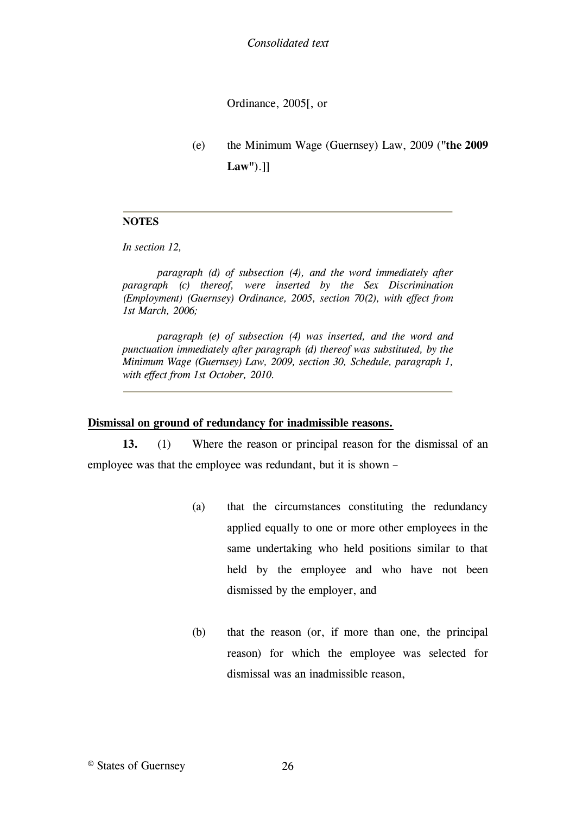Ordinance, 200[5\[, or](#page-25-2)

(e) [the Minimum Wage \(Guernsey\) Law, 2009 \(](#page-25-2)**"the 2009 [Law"](#page-25-2)**).[\]\]](#page-25-2)

#### **NOTES**

*In section 12,*

<span id="page-25-1"></span>*paragraph (d) of subsection (4), and the word immediately after paragraph (c) thereof, were inserted by the Sex Discrimination (Employment) (Guernsey) Ordinance, 2005, section 70(2), with effect from 1st March, 2006;*

<span id="page-25-2"></span>*paragraph (e) of subsection (4) was inserted, and the word and punctuation immediately after paragraph (d) thereof was substituted, by the Minimum Wage (Guernsey) Law, 2009, section 30, Schedule, paragraph 1, with effect from 1st October, 2010.*

#### <span id="page-25-0"></span>**Dismissal on ground of redundancy for inadmissible reasons.**

**13.** (1) Where the reason or principal reason for the dismissal of an employee was that the employee was redundant, but it is shown –

- (a) that the circumstances constituting the redundancy applied equally to one or more other employees in the same undertaking who held positions similar to that held by the employee and who have not been dismissed by the employer, and
- (b) that the reason (or, if more than one, the principal reason) for which the employee was selected for dismissal was an inadmissible reason,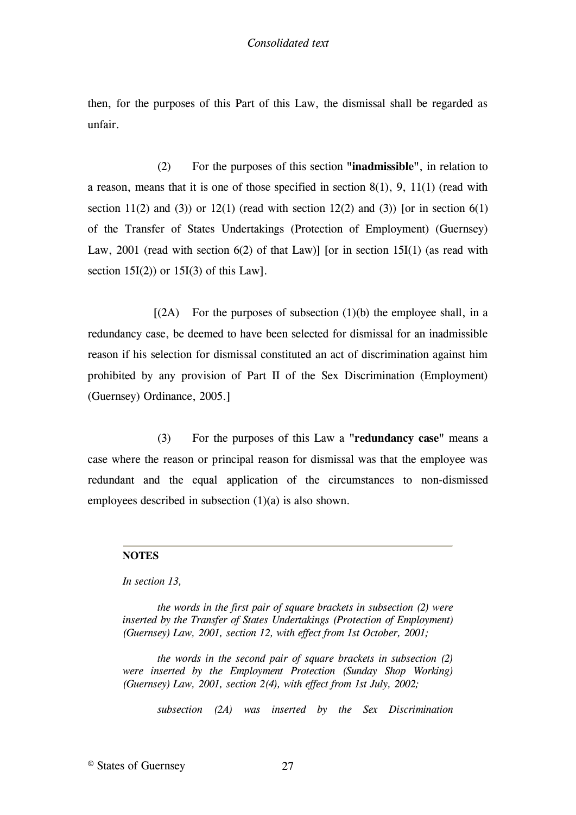then, for the purposes of this Part of this Law, the dismissal shall be regarded as unfair.

(2) For the purposes of this section **"inadmissible"**, in relation to a reason, means that it is one of those specified in section 8(1), 9, 11(1) (read with section 11(2) and (3)) or 12(1) (read with section 12(2) and (3)) [or in section 6(1) [of the Transfer of States Undertakings \(Protection of Employment\) \(Guernsey\)](#page-26-0)  Law, 2001 (read with section  $6(2)$  of that Law)] [or in section 15I(1) (as read with section  $15I(2)$  or  $15I(3)$  of this Law].

 $[(2A)$  For the purposes of subsection  $(1)(b)$  the employee shall, in a [redundancy case, be deemed to have been selected for dismissal for an inadmissible](#page-26-2)  [reason if his selection for dismissal constituted an act of discrimination against him](#page-26-2)  [prohibited by any provision of Part II of the Sex Discrimination \(Employment\)](#page-26-2)  [\(Guernsey\) Ordinance, 2005.\]](#page-26-2)

(3) For the purposes of this Law a **"redundancy case"** means a case where the reason or principal reason for dismissal was that the employee was redundant and the equal application of the circumstances to non-dismissed employees described in subsection (1)(a) is also shown.

#### **NOTES**

*In section 13,*

<span id="page-26-0"></span>*the words in the first pair of square brackets in subsection (2) were inserted by the Transfer of States Undertakings (Protection of Employment) (Guernsey) Law, 2001, section 12, with effect from 1st October, 2001;*

<span id="page-26-1"></span>*the words in the second pair of square brackets in subsection (2) were inserted by the Employment Protection (Sunday Shop Working) (Guernsey) Law, 2001, section 2(4), with effect from 1st July, 2002;*

<span id="page-26-2"></span>*subsection (2A) was inserted by the Sex Discrimination* 

© States of Guernsey 27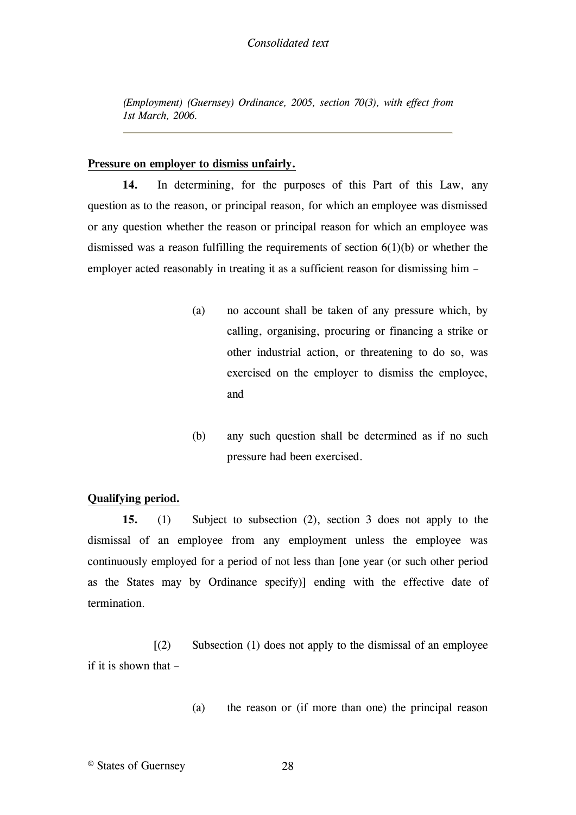*(Employment) (Guernsey) Ordinance, 2005, section 70(3), with effect from 1st March, 2006.*

## <span id="page-27-0"></span>**Pressure on employer to dismiss unfairly.**

**14.** In determining, for the purposes of this Part of this Law, any question as to the reason, or principal reason, for which an employee was dismissed or any question whether the reason or principal reason for which an employee was dismissed was a reason fulfilling the requirements of section 6(1)(b) or whether the employer acted reasonably in treating it as a sufficient reason for dismissing him –

- (a) no account shall be taken of any pressure which, by calling, organising, procuring or financing a strike or other industrial action, or threatening to do so, was exercised on the employer to dismiss the employee, and
- (b) any such question shall be determined as if no such pressure had been exercised.

#### <span id="page-27-1"></span>**Qualifying period.**

**15.** (1) Subject to subsection (2), section 3 does not apply to the dismissal of an employee from any employment unless the employee was continuously employed for a period of not less than [\[one year \(or such other period](#page-28-2)  [as the States may by Ordinance specify\)\]](#page-28-2) ending with the effective date of termination.

 $(2)$  Subsection (1) does not apply to the dismissal of an employee [if it is shown that](#page-28-3) –

(a) [the reason or \(if more than one\) the principal reason](#page-28-3)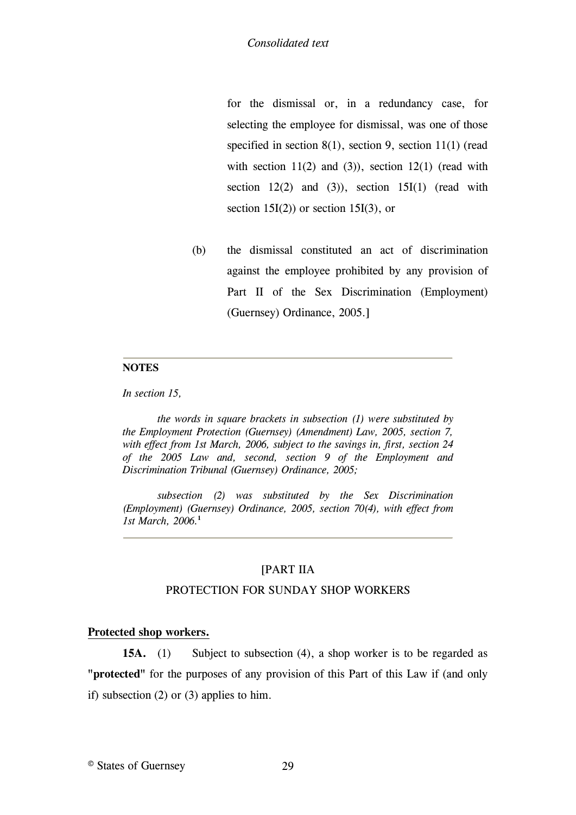for the dismissal or, in a redundancy case, for selecting the employee for dismissal, was one of those specified in section 8(1), section 9, section 11(1) (read with section  $11(2)$  and  $(3)$ ), section  $12(1)$  (read with section  $12(2)$  and  $(3)$ ), section  $15I(1)$  (read with section  $15I(2)$  or section  $15I(3)$ , or

(b) the dismissal constituted an act of discrimination against the employee prohibited by any provision of Part II of the Sex Discrimination (Employment) (Guernsey) Ordinance, 2005.]

#### **NOTES**

*In section 15,*

<span id="page-28-2"></span>*the words in square brackets in subsection (1) were substituted by the Employment Protection (Guernsey) (Amendment) Law, 2005, section 7, with effect from 1st March, 2006, subject to the savings in, first, section 24 of the 2005 Law and, second, section 9 of the Employment and Discrimination Tribunal (Guernsey) Ordinance, 2005;*

<span id="page-28-3"></span>*subsection (2) was substituted by the Sex Discrimination (Employment) (Guernsey) Ordinance, 2005, section 70(4), with effect from 1st March, 2006.***<sup>1</sup>**

## <span id="page-28-0"></span>[\[PART IIA](#page-30-1)

#### [PROTECTION FOR SUNDAY SHOP WORKERS](#page-30-1)

## <span id="page-28-1"></span>**[Protected shop workers.](#page-30-1)**

**15A.** (1) [Subject to subsection \(4\), a shop worker is to be regarded as](#page-30-1)  **"protected"** [for the purposes of any provision of this Part of this Law if \(and only](#page-30-1)  [if\) subsection \(2\) or \(3\) applies to him.](#page-30-1)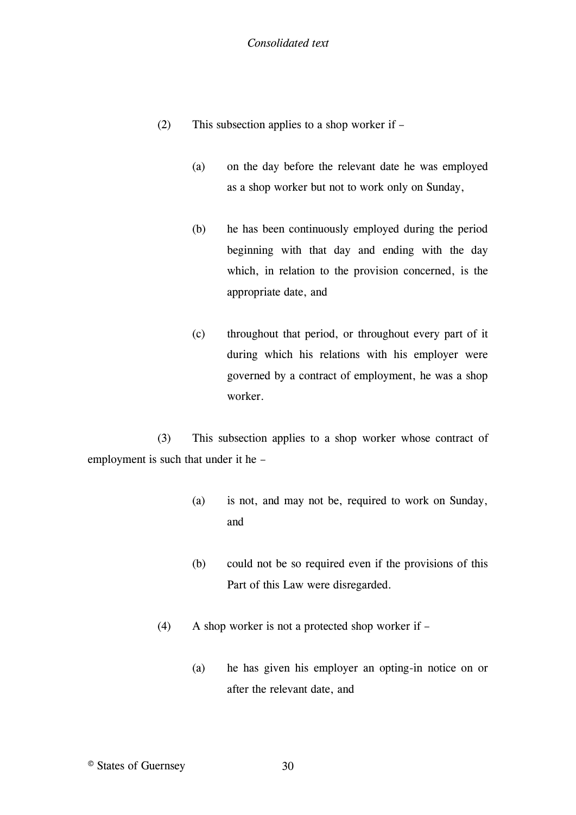- (2) This subsection applies to a shop worker if
	- (a) on the day before the relevant date he was employed as a shop worker but not to work only on Sunday,
	- (b) he has been continuously employed during the period beginning with that day and ending with the day which, in relation to the provision concerned, is the appropriate date, and
	- (c) throughout that period, or throughout every part of it during which his relations with his employer were governed by a contract of employment, he was a shop worker.

(3) This subsection applies to a shop worker whose contract of employment is such that under it he –

- (a) is not, and may not be, required to work on Sunday, and
- (b) could not be so required even if the provisions of this Part of this Law were disregarded.
- (4) A shop worker is not a protected shop worker if
	- (a) he has given his employer an opting-in notice on or after the relevant date, and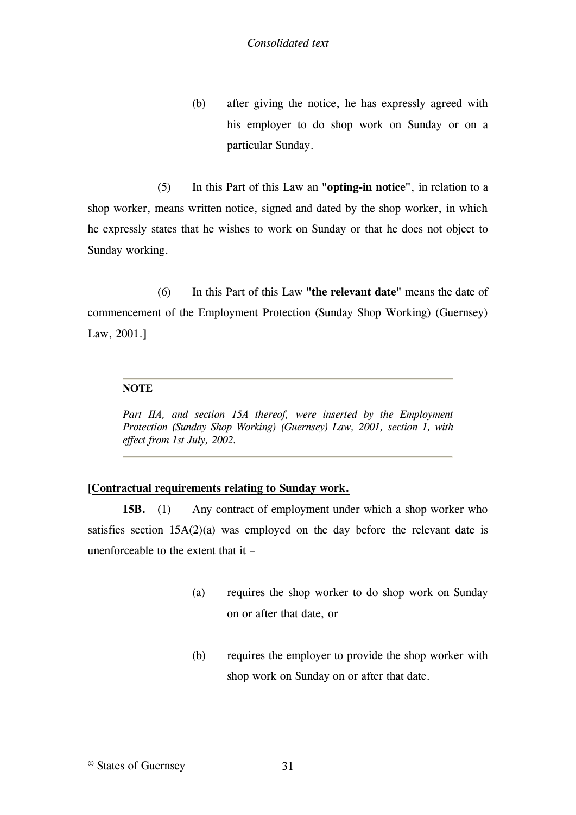(b) after giving the notice, he has expressly agreed with his employer to do shop work on Sunday or on a particular Sunday.

(5) In this Part of this Law an **"opting-in notice"**, in relation to a shop worker, means written notice, signed and dated by the shop worker, in which he expressly states that he wishes to work on Sunday or that he does not object to Sunday working.

(6) In this Part of this Law **"the relevant date"** means the date of commencement of the Employment Protection (Sunday Shop Working) (Guernsey) Law, 2001.]

#### **NOTE**

<span id="page-30-1"></span>Part IIA, and section 15A thereof, were inserted by the Employment *Protection (Sunday Shop Working) (Guernsey) Law, 2001, section 1, with effect from 1st July, 2002.*

## <span id="page-30-0"></span>[**[Contractual requirements relating to Sunday work.](#page-31-1)**

**15B.** (1) [Any contract of employment under which a shop worker who](#page-31-1)  satisfies section  $15A(2)(a)$  was employed on the day before the relevant date is [unenforceable to the extent that it](#page-31-1) –

- (a) [requires the shop worker to do shop work on Sunday](#page-31-1)  [on or after that date, or](#page-31-1)
- (b) [requires the employer to provide the shop worker with](#page-31-1)  [shop work on Sunday on or after that date.](#page-31-1)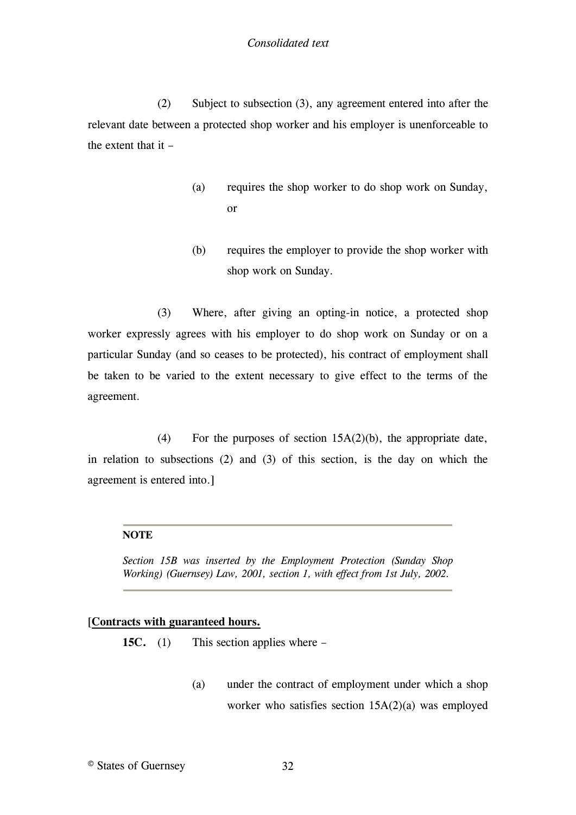(2) Subject to subsection (3), any agreement entered into after the relevant date between a protected shop worker and his employer is unenforceable to the extent that it –

- (a) requires the shop worker to do shop work on Sunday, or
- (b) requires the employer to provide the shop worker with shop work on Sunday.

(3) Where, after giving an opting-in notice, a protected shop worker expressly agrees with his employer to do shop work on Sunday or on a particular Sunday (and so ceases to be protected), his contract of employment shall be taken to be varied to the extent necessary to give effect to the terms of the agreement.

(4) For the purposes of section  $15A(2)(b)$ , the appropriate date, in relation to subsections (2) and (3) of this section, is the day on which the agreement is entered into.]

#### **NOTE**

<span id="page-31-1"></span>*Section 15B was inserted by the Employment Protection (Sunday Shop Working) (Guernsey) Law, 2001, section 1, with effect from 1st July, 2002.*

## <span id="page-31-0"></span>[**[Contracts with guaranteed hours.](#page-32-1)**

**15C.** (1) [This section applies where](#page-32-1) –

(a) [under the contract of employment under which a shop](#page-32-1)  [worker who satisfies section 15A\(2\)\(a\) was employed](#page-32-1)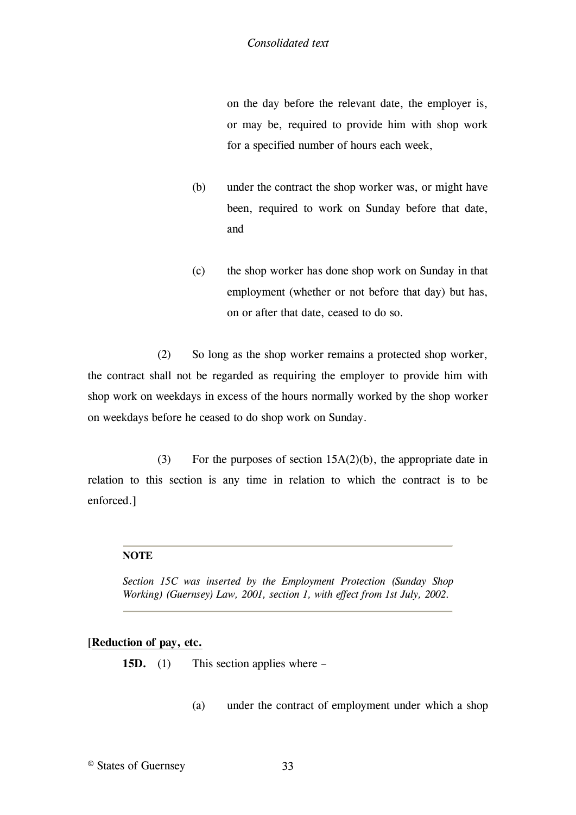on the day before the relevant date, the employer is, or may be, required to provide him with shop work for a specified number of hours each week,

- (b) under the contract the shop worker was, or might have been, required to work on Sunday before that date, and
- (c) the shop worker has done shop work on Sunday in that employment (whether or not before that day) but has, on or after that date, ceased to do so.

(2) So long as the shop worker remains a protected shop worker, the contract shall not be regarded as requiring the employer to provide him with shop work on weekdays in excess of the hours normally worked by the shop worker on weekdays before he ceased to do shop work on Sunday.

(3) For the purposes of section 15A(2)(b), the appropriate date in relation to this section is any time in relation to which the contract is to be enforced.]

#### **NOTE**

<span id="page-32-1"></span>*Section 15C was inserted by the Employment Protection (Sunday Shop Working) (Guernsey) Law, 2001, section 1, with effect from 1st July, 2002.*

## <span id="page-32-0"></span>[**[Reduction of pay, etc.](#page-34-1)**

**15D.** (1) [This section applies where](#page-34-1) –

(a) [under the contract of employment under](#page-34-1) which a shop

© States of Guernsey 33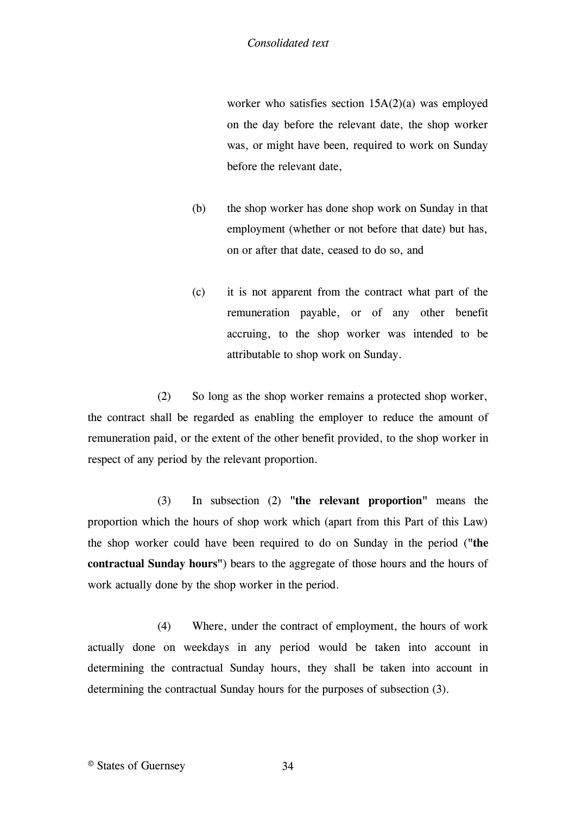worker who satisfies section 15A(2)(a) was employed on the day before the relevant date, the shop worker was, or might have been, required to work on Sunday before the relevant date,

- (b) the shop worker has done shop work on Sunday in that employment (whether or not before that date) but has, on or after that date, ceased to do so, and
- (c) it is not apparent from the contract what part of the remuneration payable, or of any other benefit accruing, to the shop worker was intended to be attributable to shop work on Sunday.

(2) So long as the shop worker remains a protected shop worker, the contract shall be regarded as enabling the employer to reduce the amount of remuneration paid, or the extent of the other benefit provided, to the shop worker in respect of any period by the relevant proportion.

(3) In subsection (2) **"the relevant proportion"** means the proportion which the hours of shop work which (apart from this Part of this Law) the shop worker could have been required to do on Sunday in the period (**"the contractual Sunday hours"**) bears to the aggregate of those hours and the hours of work actually done by the shop worker in the period.

(4) Where, under the contract of employment, the hours of work actually done on weekdays in any period would be taken into account in determining the contractual Sunday hours, they shall be taken into account in determining the contractual Sunday hours for the purposes of subsection (3).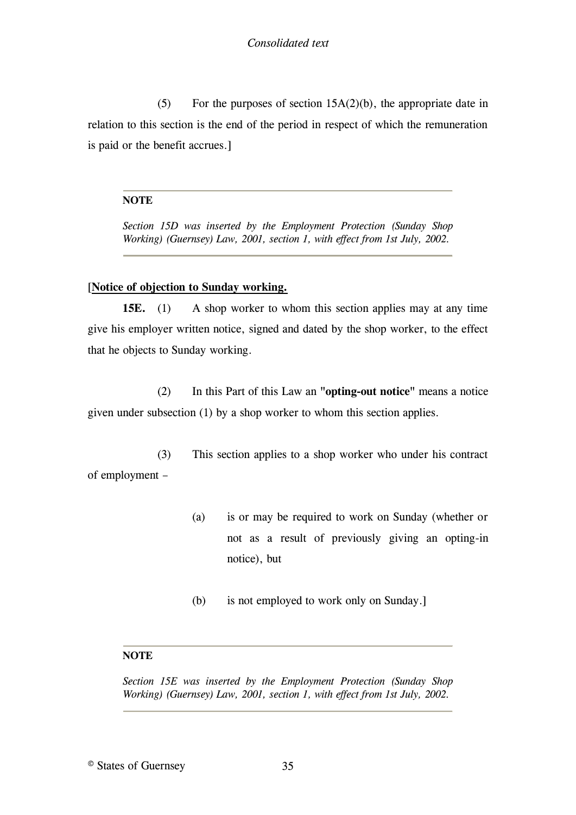(5) For the purposes of section  $15A(2)(b)$ , the appropriate date in relation to this section is the end of the period in respect of which the remuneration is paid or the benefit accrues.]

## **NOTE**

<span id="page-34-1"></span>*Section 15D was inserted by the Employment Protection (Sunday Shop Working) (Guernsey) Law, 2001, section 1, with effect from 1st July, 2002.*

# <span id="page-34-0"></span>[**[Notice of objection to Sunday working.](#page-34-2)**

**15E.** (1) A shop worker to whom this section applies may at any time [give his employer written notice, signed and dated by the shop worker, to the effect](#page-34-2)  [that he objects to Sunday working.](#page-34-2)

(2) [In this Part of this Law an](#page-34-2) **"opting-out notice"** means a notice [given under subsection \(1\) by a shop worker to whom this section applies.](#page-34-2)

(3) [This section applies to a shop worker who under his contract](#page-34-2)  [of employment](#page-34-2) –

- (a) [is or may be required to work on Sunday \(whether or](#page-34-2)  [not as a result of previously giving an opting-in](#page-34-2)  [notice\), but](#page-34-2)
- (b) [is not employed to work only on Sunday.\]](#page-34-2)

# **NOTE**

<span id="page-34-2"></span>*Section 15E was inserted by the Employment Protection (Sunday Shop Working) (Guernsey) Law, 2001, section 1, with effect from 1st July, 2002.*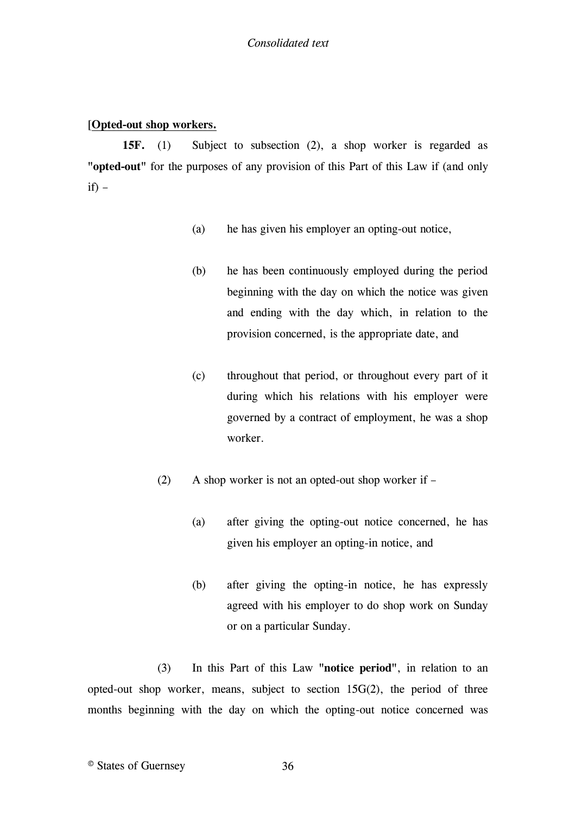# <span id="page-35-0"></span>[**[Opted-out shop workers.](#page-36-1)**

**15F.** (1) [Subject to subsection \(2\), a shop worker is regarded as](#page-36-1)  **"opted-out"** [for the purposes of any provision of this Part of this Law if \(and only](#page-36-1)   $if) if) -$ 

- (a) [he has given his employer an opting-out notice,](#page-36-1)
- (b) [he has been continuously employed during the period](#page-36-1)  [beginning with the day on which the notice was given](#page-36-1)  [and ending with the day which, in relation to the](#page-36-1)  [provision concerned, is the appropriate date, and](#page-36-1)
- (c) [throughout that period, or throughout every part of it](#page-36-1)  [during which his relations with his employer were](#page-36-1)  [governed by a contract of employment, he was a shop](#page-36-1)  [worker.](#page-36-1)
- (2) [A shop worker is not an opted-out shop worker if](#page-36-1) 
	- (a) [after giving the opting-out notice concerned, he has](#page-36-1)  [given his employer an opting-in notice, and](#page-36-1)
	- (b) [after giving the opting-in notice, he has expressly](#page-36-1)  [agreed with his employer to do shop work on Sunday](#page-36-1)  [or on a particular Sunday.](#page-36-1)

(3) [In this Part of this Law](#page-36-1) **"notice period"**, in relation to an [opted-out shop worker, means, subject to section 15G\(2\), the period of three](#page-36-1)  [months beginning with the day on which the opting-out notice concerned was](#page-36-1)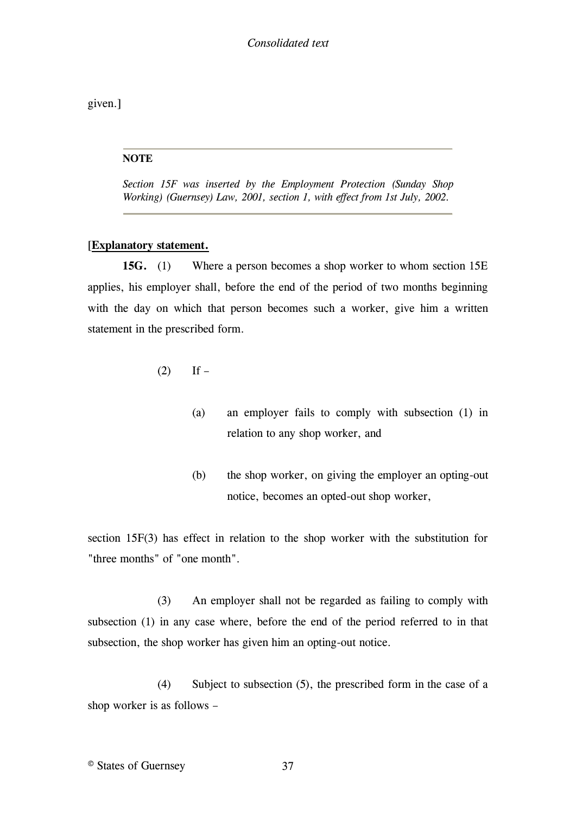given.]

#### **NOTE**

*Section 15F was inserted by the Employment Protection (Sunday Shop Working) (Guernsey) Law, 2001, section 1, with effect from 1st July, 2002.*

#### [**[Explanatory statement.](#page-38-0)**

**15G.** (1) [Where a person becomes a shop worker to whom section 15E](#page-38-0)  [applies, his employer shall, before the end of the period of two months beginning](#page-38-0)  with the day on which that person becomes such a worker, give him a written [statement in the prescribed form.](#page-38-0)

- $(2)$  If
	- (a) [an employer fails to comply with subsection \(1\) in](#page-38-0)  [relation to any shop worker, and](#page-38-0)
	- (b) [the shop worker, on giving the employer an opting-out](#page-38-0)  [notice, becomes an opted-out shop worker,](#page-38-0)

[section 15F\(3\) has effect in relation to the shop worker with the substitution for](#page-38-0)  ["three months" of "one month".](#page-38-0)

(3) [An employer shall not be regarded as failing to comply with](#page-38-0)  [subsection \(1\) in any case where, before the end of the period referred to in that](#page-38-0)  [subsection, the shop worker has given him an opting-out notice.](#page-38-0)

(4) [Subject to subsection \(5\), the prescribed form in the case of a](#page-38-0)  [shop worker is as follows](#page-38-0) –

© States of Guernsey 37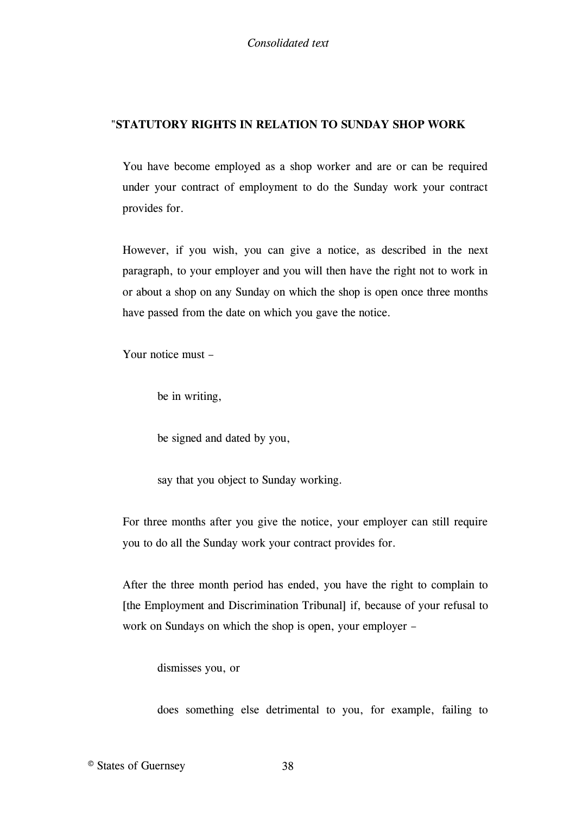# "**STATUTORY RIGHTS IN RELATION TO SUNDAY SHOP WORK**

You have become employed as a shop worker and are or can be required under your contract of employment to do the Sunday work your contract provides for.

However, if you wish, you can give a notice, as described in the next paragraph, to your employer and you will then have the right not to work in or about a shop on any Sunday on which the shop is open once three months have passed from the date on which you gave the notice.

Your notice must –

be in writing,

be signed and dated by you,

say that you object to Sunday working.

For three months after you give the notice, your employer can still require you to do all the Sunday work your contract provides for.

After the three month period has ended, you have the right to complain to [\[the Employment and Discrimination Tribunal\]](#page-38-0) [if, because of your refusal to](#page-38-0)  [work on Sundays on which the shop is open, your employer](#page-38-0) –

[dismisses you, or](#page-38-0)

[does something else detrimental to you, for example, failing to](#page-38-0)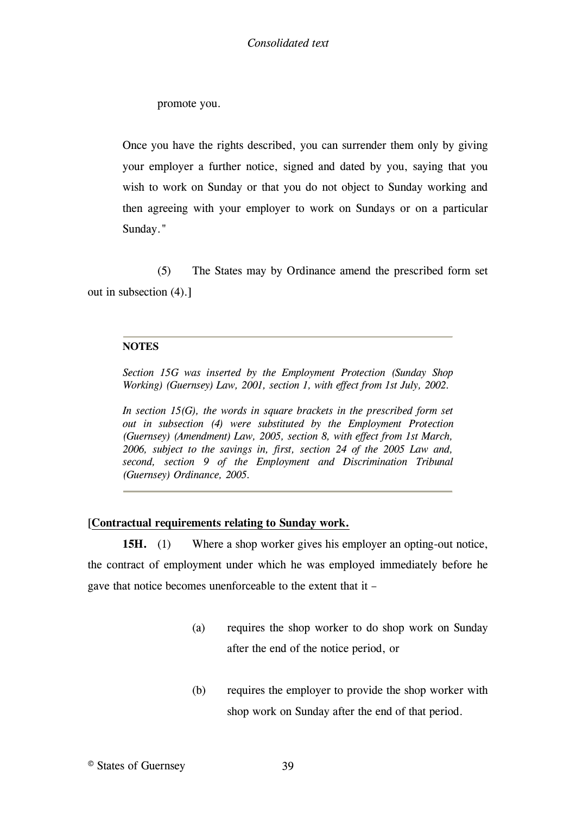promote you.

Once you have the rights described, you can surrender them only by giving your employer a further notice, signed and dated by you, saying that you wish to work on Sunday or that you do not object to Sunday working and then agreeing with your employer to work on Sundays or on a particular Sunday."

(5) The States may by Ordinance amend the prescribed form set out in subsection (4).]

# **NOTES**

*Section 15G was inserted by the Employment Protection (Sunday Shop Working) (Guernsey) Law, 2001, section 1, with effect from 1st July, 2002.*

<span id="page-38-0"></span>In section 15(G), the words in square brackets in the prescribed form set *out in subsection (4) were substituted by the Employment Protection (Guernsey) (Amendment) Law, 2005, section 8, with effect from 1st March, 2006, subject to the savings in, first, section 24 of the 2005 Law and, second, section 9 of the Employment and Discrimination Tribunal (Guernsey) Ordinance, 2005.*

# [**[Contractual requirements relating to Sunday work.](#page-39-0)**

**15H.** (1) Where a shop worker gives his employer an opting-out notice, [the contract of employment under which he was employed immediately before he](#page-39-0)  [gave that notice becomes unenforceable to the extent that it](#page-39-0) –

- (a) [requires the shop worker to do shop work on Sunday](#page-39-0)  [after the end of the notice period, or](#page-39-0)
- (b) [requires the employer to provide the shop worker with](#page-39-0)  [shop work on Sunday after the end of that period.](#page-39-0)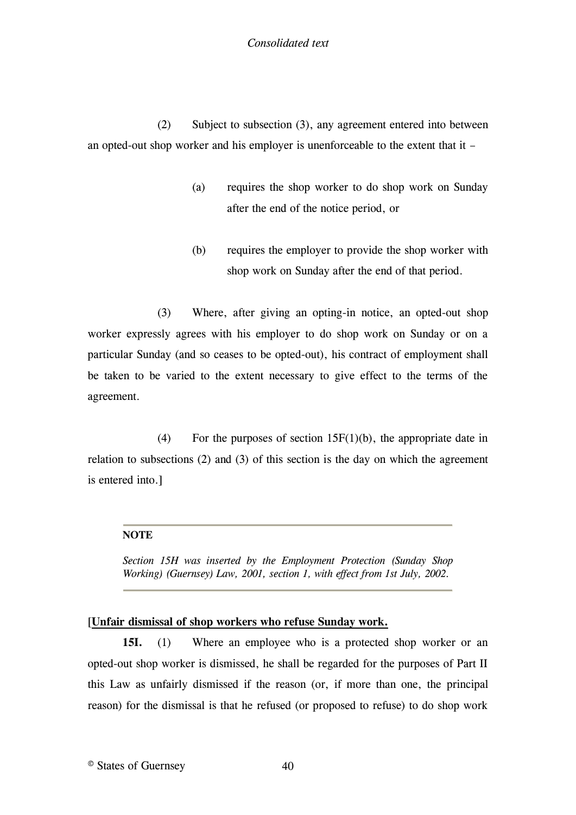# *Consolidated text*

(2) Subject to subsection (3), any agreement entered into between an opted-out shop worker and his employer is unenforceable to the extent that it –

- (a) requires the shop worker to do shop work on Sunday after the end of the notice period, or
- (b) requires the employer to provide the shop worker with shop work on Sunday after the end of that period.

(3) Where, after giving an opting-in notice, an opted-out shop worker expressly agrees with his employer to do shop work on Sunday or on a particular Sunday (and so ceases to be opted-out), his contract of employment shall be taken to be varied to the extent necessary to give effect to the terms of the agreement.

(4) For the purposes of section  $15F(1)(b)$ , the appropriate date in relation to subsections (2) and (3) of this section is the day on which the agreement is entered into.]

#### **NOTE**

<span id="page-39-0"></span>*Section 15H was inserted by the Employment Protection (Sunday Shop Working) (Guernsey) Law, 2001, section 1, with effect from 1st July, 2002.*

#### [**[Unfair dismissal of shop workers who refuse Sunday work.](#page-40-0)**

**15I.** (1) [Where an employee who is a protected shop worker or an](#page-40-0)  [opted-out shop worker is dismissed, he shall be regarded for the purposes of Part II](#page-40-0)  [this Law as unfairly dismissed if the reason \(or, if more than one, the](#page-40-0) principal [reason\) for the dismissal is that he refused \(or proposed to refuse\) to do shop work](#page-40-0)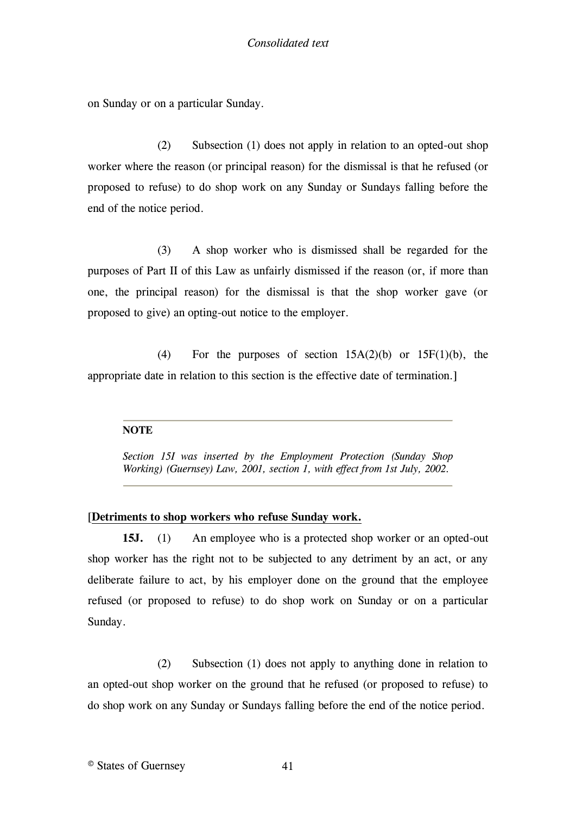on Sunday or on a particular Sunday.

(2) Subsection (1) does not apply in relation to an opted-out shop worker where the reason (or principal reason) for the dismissal is that he refused (or proposed to refuse) to do shop work on any Sunday or Sundays falling before the end of the notice period.

(3) A shop worker who is dismissed shall be regarded for the purposes of Part II of this Law as unfairly dismissed if the reason (or, if more than one, the principal reason) for the dismissal is that the shop worker gave (or proposed to give) an opting-out notice to the employer.

(4) For the purposes of section  $15A(2)(b)$  or  $15F(1)(b)$ , the appropriate date in relation to this section is the effective date of termination.]

# **NOTE**

<span id="page-40-0"></span>*Section 15I was inserted by the Employment Protection (Sunday Shop Working) (Guernsey) Law, 2001, section 1, with effect from 1st July, 2002.*

# [**[Detriments to shop workers who refuse Sunday work.](#page-43-0)**

**15J.** (1) An employee who is a protected shop worker or an opted-out [shop worker has the right not to be subjected to any detriment by an act, or any](#page-43-0)  [deliberate failure to act, by his employer done on the ground that the employee](#page-43-0)  [refused \(or proposed to refuse\) to do shop work on Sunday or on a particular](#page-43-0)  [Sunday.](#page-43-0)

(2) [Subsection \(1\) does not apply to anything done in relation to](#page-43-0)  [an opted-out shop worker on the ground that he refused \(or proposed to refuse\) to](#page-43-0)  [do shop work on any Sunday or Sundays falling before the end of the notice period.](#page-43-0)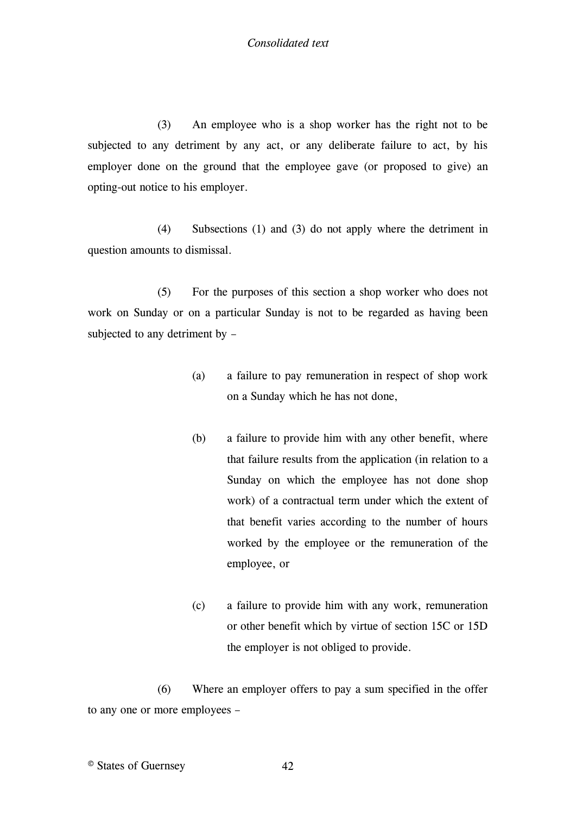(3) An employee who is a shop worker has the right not to be subjected to any detriment by any act, or any deliberate failure to act, by his employer done on the ground that the employee gave (or proposed to give) an opting-out notice to his employer.

(4) Subsections (1) and (3) do not apply where the detriment in question amounts to dismissal.

(5) For the purposes of this section a shop worker who does not work on Sunday or on a particular Sunday is not to be regarded as having been subjected to any detriment by –

- (a) a failure to pay remuneration in respect of shop work on a Sunday which he has not done,
- (b) a failure to provide him with any other benefit, where that failure results from the application (in relation to a Sunday on which the employee has not done shop work) of a contractual term under which the extent of that benefit varies according to the number of hours worked by the employee or the remuneration of the employee, or
- (c) a failure to provide him with any work, remuneration or other benefit which by virtue of section 15C or 15D the employer is not obliged to provide.

(6) Where an employer offers to pay a sum specified in the offer to any one or more employees –

© States of Guernsey 42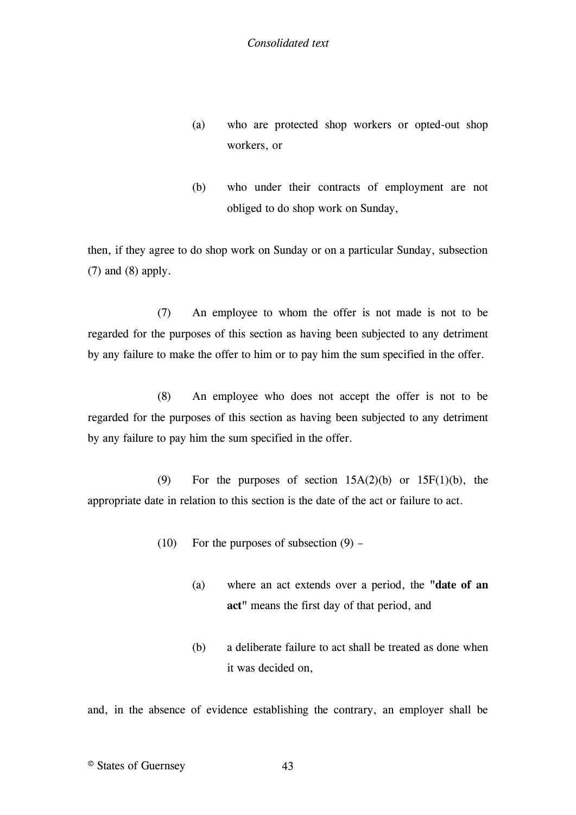- (a) who are protected shop workers or opted-out shop workers, or
- (b) who under their contracts of employment are not obliged to do shop work on Sunday,

then, if they agree to do shop work on Sunday or on a particular Sunday, subsection (7) and (8) apply.

(7) An employee to whom the offer is not made is not to be regarded for the purposes of this section as having been subjected to any detriment by any failure to make the offer to him or to pay him the sum specified in the offer.

(8) An employee who does not accept the offer is not to be regarded for the purposes of this section as having been subjected to any detriment by any failure to pay him the sum specified in the offer.

(9) For the purposes of section  $15A(2)(b)$  or  $15F(1)(b)$ , the appropriate date in relation to this section is the date of the act or failure to act.

- $(10)$  For the purposes of subsection  $(9)$ 
	- (a) where an act extends over a period, the **"date of an act"** means the first day of that period, and
	- (b) a deliberate failure to act shall be treated as done when it was decided on,

and, in the absence of evidence establishing the contrary, an employer shall be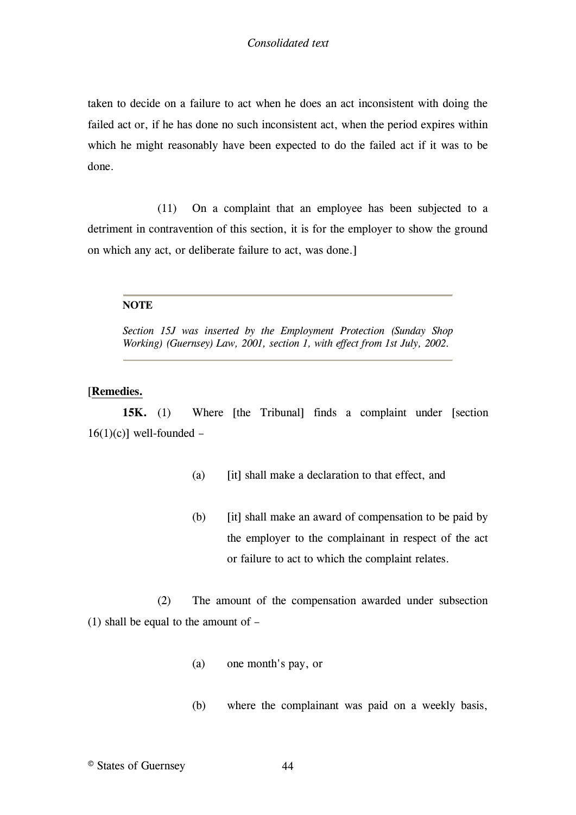taken to decide on a failure to act when he does an act inconsistent with doing the failed act or, if he has done no such inconsistent act, when the period expires within which he might reasonably have been expected to do the failed act if it was to be done.

(11) On a complaint that an employee has been subjected to a detriment in contravention of this section, it is for the employer to show the ground on which any act, or deliberate failure to act, was done.]

### **NOTE**

<span id="page-43-0"></span>*Section 15J was inserted by the Employment Protection (Sunday Shop Working) (Guernsey) Law, 2001, section 1, with effect from 1st July, 2002.*

### [**[Remedies.](#page-45-0)**

**15K.** (1) [Where](#page-45-0) [\[the Tribunal\]](#page-46-0) [finds a complaint under](#page-45-0) [\[section](#page-46-0)   $16(1)(c)$ ] [well-founded](#page-45-0) –

- [\(a\)](#page-45-0) [\[it\]](#page-46-1) [shall make a declaration to that effect, and](#page-45-0)
- [\(b\)](#page-45-0) [\[it\]](#page-46-1) [shall make an award of compensation to be paid by](#page-45-0)  [the employer to the complainant in respect of the act](#page-45-0)  [or failure to act to which the complaint relates.](#page-45-0)

(2) [The amount of the compensation awarded under subsection](#page-45-0)  [\(1\) shall be equal to the amount of](#page-45-0) –

- (a) [one month's pay, or](#page-45-0)
- (b) [where the complainant was paid on a weekly basis,](#page-45-0)

© States of Guernsey 44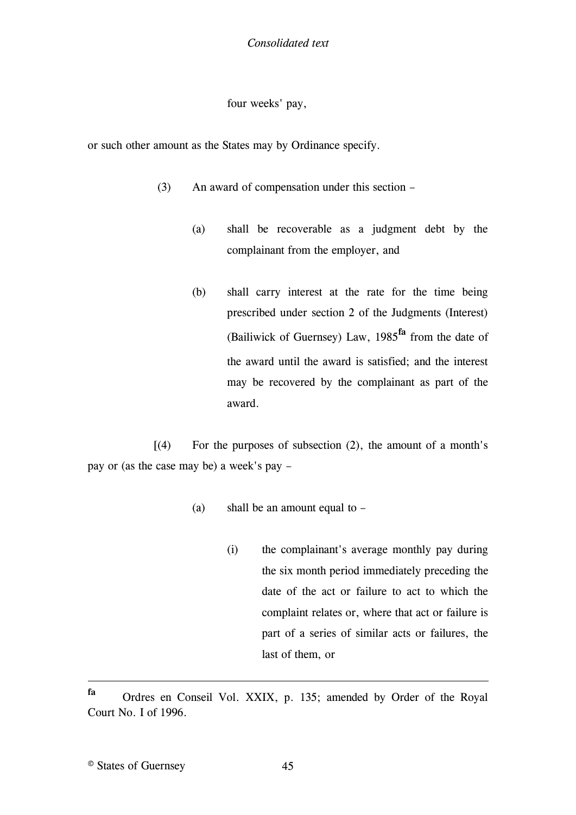*Consolidated text*

four weeks' pay,

or such other amount as the States may by Ordinance specify.

- (3) An award of compensation under this section
	- (a) shall be recoverable as a judgment debt by the complainant from the employer, and
	- (b) shall carry interest at the rate for the time being prescribed under section 2 of the Judgments (Interest) (Bailiwick of Guernsey) Law, 1985**fa** [from the date of](#page-45-0)  [the award until the award is satisfied; and the interest](#page-45-0)  [may be recovered by the complainant as part of the](#page-45-0)  [award.](#page-45-0)

 $[(4)$  For the purposes of subsection  $(2)$ , the amount of a month's [pay or \(as the case may be\) a week's pay](#page-46-2) –

- (a) [shall be an amount equal to](#page-46-2) 
	- (i) [the complainant's average monthly pay during](#page-46-2)  [the six month period immediately preceding the](#page-46-2)  [date of the act or failure to act to which the](#page-46-2)  [complaint relates or, where that act or failure is](#page-46-2)  [part of a series of similar acts or failures, the](#page-46-2)  [last of them, or](#page-46-2)

1

**fa** Ordres en Conseil Vol. XXIX, p. 135; amended by Order of the Royal Court No. I of 1996.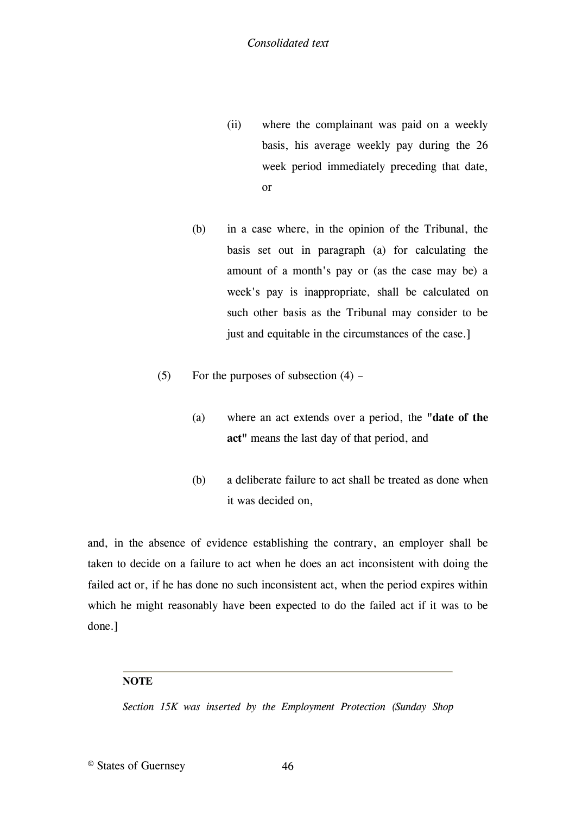- (ii) where the complainant was paid on a weekly basis, his average weekly pay during the 26 week period immediately preceding that date, or
- (b) in a case where, in the opinion of the Tribunal, the basis set out in paragraph (a) for calculating the amount of a month's pay or (as the case may be) a week's pay is inappropriate, shall be calculated on such other basis as the Tribunal may consider to be just and equitable in the circumstances of the case.
- (5) For the purposes of subsection  $(4)$ 
	- (a) [where an act extends over a period, the](#page-45-0) **"date of the act"** [means the last day of that period, and](#page-45-0)
	- (b) [a deliberate failure to act shall be treated as done when](#page-45-0)  [it was decided on,](#page-45-0)

[and, in the absence of evidence establishing the contrary, an employer shall be](#page-45-0)  [taken to decide on a failure to act when he does an act inconsistent with doing the](#page-45-0)  [failed act or, if he has done no such inconsistent act, when the period expires within](#page-45-0)  [which he might reasonably have been expected to do the failed act if it was to be](#page-45-0)  [done.\]](#page-45-0)

# **NOTE**

<span id="page-45-0"></span>*Section 15K was inserted by the Employment Protection (Sunday Shop*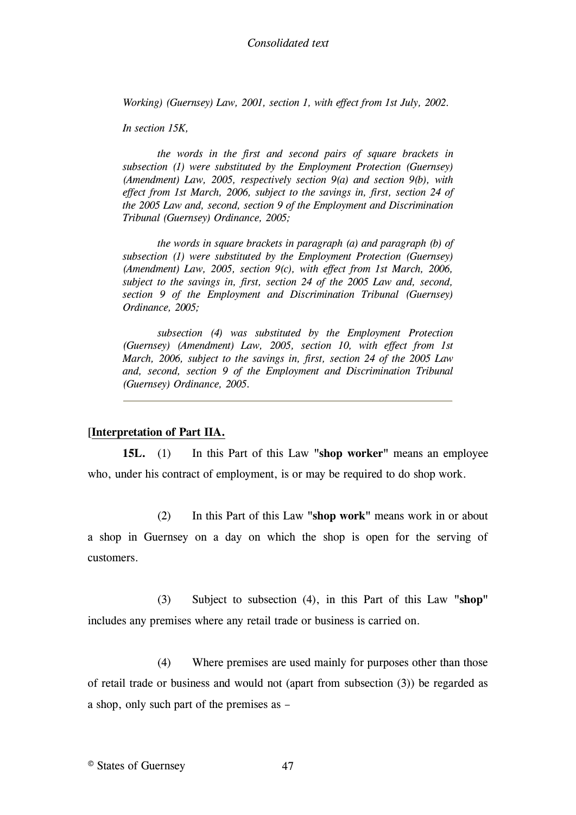*Working) (Guernsey) Law, 2001, section 1, with effect from 1st July, 2002.*

*In section 15K,*

<span id="page-46-0"></span>*the words in the first and second pairs of square brackets in subsection (1) were substituted by the Employment Protection (Guernsey) (Amendment) Law, 2005, respectively section 9(a) and section 9(b), with effect from 1st March, 2006, subject to the savings in, first, section 24 of the 2005 Law and, second, section 9 of the Employment and Discrimination Tribunal (Guernsey) Ordinance, 2005;*

<span id="page-46-1"></span>*the words in square brackets in paragraph (a) and paragraph (b) of subsection (1) were substituted by the Employment Protection (Guernsey) (Amendment) Law, 2005, section 9(c), with effect from 1st March, 2006, subject to the savings in, first, section 24 of the 2005 Law and, second, section 9 of the Employment and Discrimination Tribunal (Guernsey) Ordinance, 2005;*

<span id="page-46-2"></span>*subsection (4) was substituted by the Employment Protection (Guernsey) (Amendment) Law, 2005, section 10, with effect from 1st March, 2006, subject to the savings in, first, section 24 of the 2005 Law and, second, section 9 of the Employment and Discrimination Tribunal (Guernsey) Ordinance, 2005.*

### [**[Interpretation of Part IIA.](#page-49-0)**

**15L.** (1) [In this Part of this Law](#page-49-0) **"shop worker"** means an employee [who, under his contract of employment, is or may be required to do shop work.](#page-49-0)

(2) In this Part of this Law **"shop work"** [means work in or about](#page-49-0)  [a shop in Guernsey on a day on which the shop is open for the serving of](#page-49-0)  [customers.](#page-49-0)

(3) [Subject to subsection \(4\), in this Part of this Law](#page-49-0) **"shop"** [includes any premises where any retail trade or business is carried on.](#page-49-0)

(4) [Where premises are used mainly for purposes other than those](#page-49-0)  [of retail trade or business and would not \(apart from](#page-49-0) subsection (3)) be regarded as [a shop, only such part of the premises as](#page-49-0) –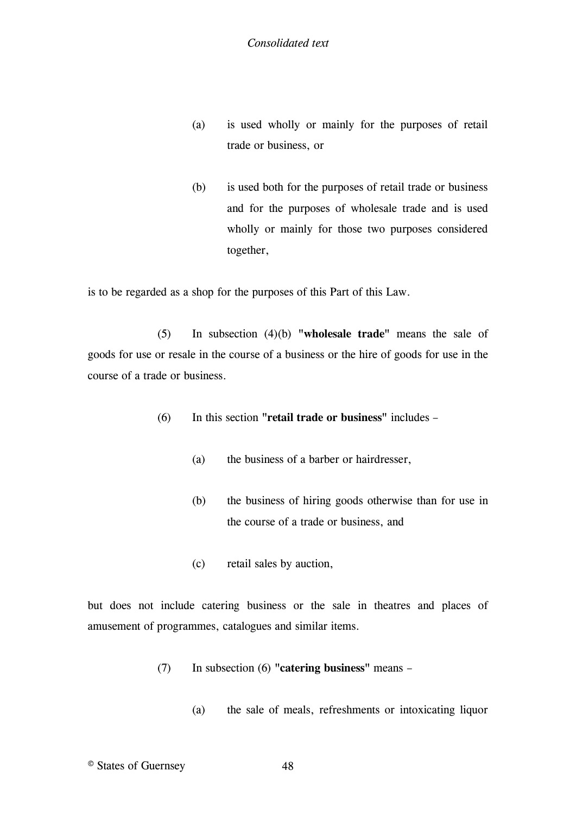- (a) is used wholly or mainly for the purposes of retail trade or business, or
- (b) is used both for the purposes of retail trade or business and for the purposes of wholesale trade and is used wholly or mainly for those two purposes considered together,

is to be regarded as a shop for the purposes of this Part of this Law.

(5) In subsection (4)(b) **"wholesale trade"** means the sale of goods for use or resale in the course of a business or the hire of goods for use in the course of a trade or business.

- (6) In this section **"retail trade or business"** includes
	- (a) the business of a barber or hairdresser,
	- (b) the business of hiring goods otherwise than for use in the course of a trade or business, and
	- (c) retail sales by auction,

but does not include catering business or the sale in theatres and places of amusement of programmes, catalogues and similar items.

- (7) In subsection (6) **"catering business"** means
	- (a) the sale of meals, refreshments or intoxicating liquor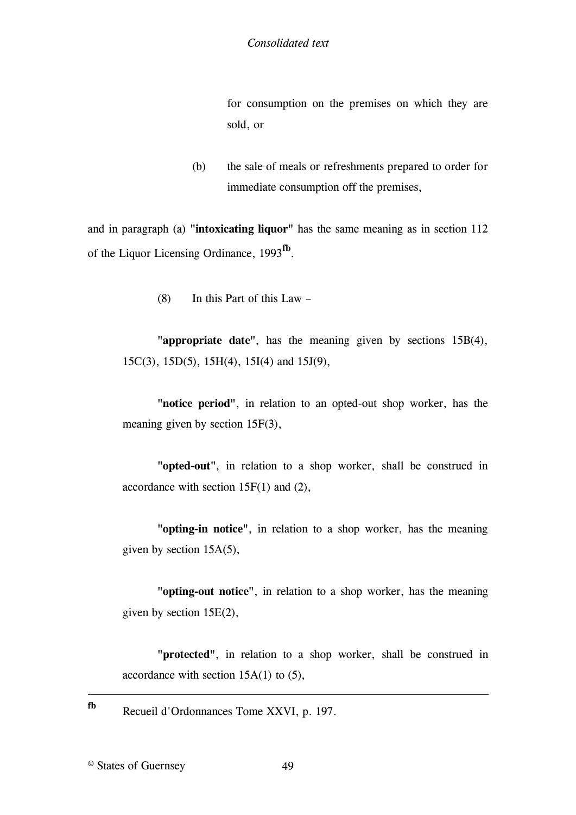for consumption on the premises on which they are sold, or

(b) the sale of meals or refreshments prepared to order for immediate consumption off the premises,

and in paragraph (a) **"intoxicating liquor"** has the same meaning as in section 112 of the [Liquor Licensing Ordinance, 1993](#page-49-1)**fb** .

(8) [In this Part of this Law](#page-49-0) –

**"appropriate date"**[, has the meaning given by sections 15B\(4\),](#page-49-0)  [15C\(3\), 15D\(5\), 15H\(4\), 15I\(4\) and 15J\(9\),](#page-49-0)

**"notice period"**[, in relation to an opted-out shop worker, has the](#page-49-0)  [meaning given by section 15F\(3\),](#page-49-0)

**"opted-out"**[, in relation to a shop worker, shall be construed in](#page-49-0)  [accordance with section 15F\(1\) and \(2\),](#page-49-0)

**"opting-in notice"**[, in relation to a shop worker, has the meaning](#page-49-0)  [given by section 15A\(5\),](#page-49-0)

**"opting-out notice"**[, in relation to a shop worker, has the meaning](#page-49-0)  [given by section 15E\(2\),](#page-49-0)

**"protected"**[, in relation to a shop worker, shall be construed in](#page-49-0)  accordance with section  $15A(1)$  to  $(5)$ ,

**fb** Recueil d'Ordonnances Tome XXVI, p. 197.

© States of Guernsey 49

1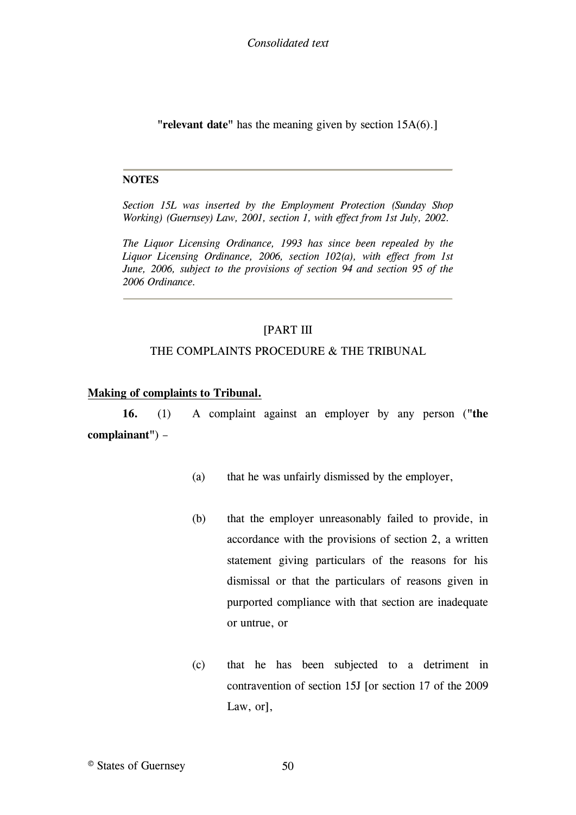**"relevant date"** has the meaning given by section 15A(6).]

#### **NOTES**

<span id="page-49-0"></span>*Section 15L was inserted by the Employment Protection (Sunday Shop Working) (Guernsey) Law, 2001, section 1, with effect from 1st July, 2002.*

<span id="page-49-1"></span>*The Liquor Licensing Ordinance, 1993 has since been repealed by the Liquor Licensing Ordinance, 2006, section 102(a), with effect from 1st June, 2006, subject to the provisions of section 94 and section 95 of the 2006 Ordinance.*

# [\[PART III](#page-50-0)

#### [THE COMPLAINTS PROCEDURE & THE TRIBUNAL](#page-50-0)

#### **[Making of complaints to Tribunal.](#page-50-0)**

**16.** (1) [A complaint against an employer by any person \(](#page-50-0)**"the [complainant"](#page-50-0)**) –

- (a) [that he was unfairly dismissed by the employer,](#page-50-0)
- (b) [that the employer unreasonably failed to provide, in](#page-50-0)  [accordance with the provisions of section 2, a written](#page-50-0)  [statement giving particulars of the reasons for his](#page-50-0)  [dismissal or that the particulars of reasons given in](#page-50-0)  [purported compliance with that section are inadequate](#page-50-0)  [or untrue, or](#page-50-0)
- (c) [that he has been subjected to a detriment in](#page-50-0)  [contravention of section 15J](#page-50-0) [\[or section 17 of the](#page-51-0) 2009 [Law, or\],](#page-51-0)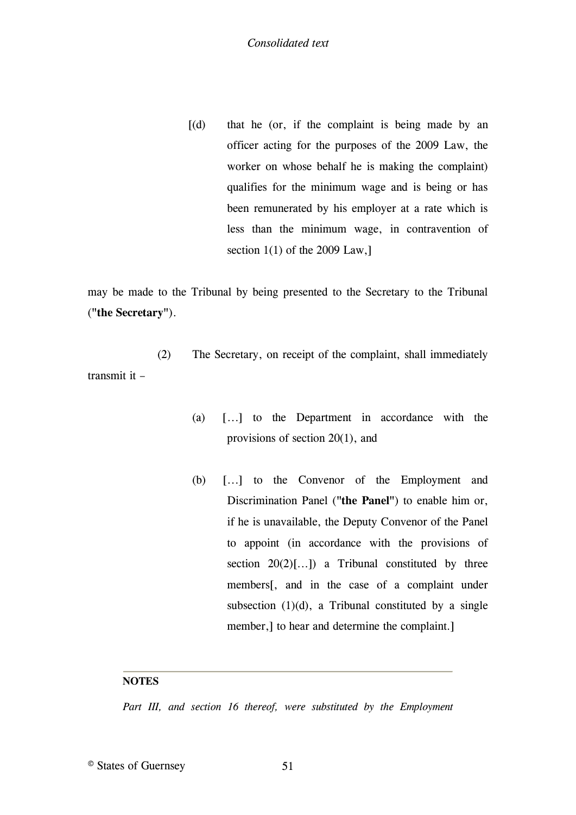$[(d)$  that he (or, if the complaint is being made by an [officer acting for the purposes of the 2009 Law, the](#page-51-0)  [worker on whose behalf he is making the complaint\)](#page-51-0)  [qualifies for the minimum wage and is being or has](#page-51-0)  [been remunerated by his employer at a rate which is](#page-51-0)  [less than the minimum wage, in contravention of](#page-51-0)  section  $1(1)$  of the 2009 Law,

[may be made to the Tribunal by being presented to the Secretary to the Tribunal](#page-50-0)  (**["the Secretary"](#page-50-0)**).

(2) [The Secretary, on receipt of the complaint, shall immediately](#page-50-0)  [transmit it](#page-50-0) –

- [\(a\)](#page-50-0) [\[...\]](#page-51-1) [to the Department in accordance with the](#page-50-0)  [provisions of section 20\(1\), and](#page-50-0)
- [\(b\)](#page-50-0) [\[...\]](#page-51-1) [to the Convenor of the Employment and](#page-50-0)  [Discrimination Panel \(](#page-50-0)**"the Panel"**) to enable him or, [if he is unavailable, the Deputy Convenor of the Panel](#page-50-0)  [to appoint \(in accordance with the provisions of](#page-50-0)  section  $20(2)[...]$  a Tribunal constituted by three [members\[](#page-50-0), and in the case [of a complaint under](#page-50-0)  subsection  $(1)(d)$ , a Tribunal constituted by a single member,] [to hear and determine the complaint.\]](#page-50-0)

#### **NOTES**

<span id="page-50-0"></span>Part III, and section 16 thereof, were substituted by the Employment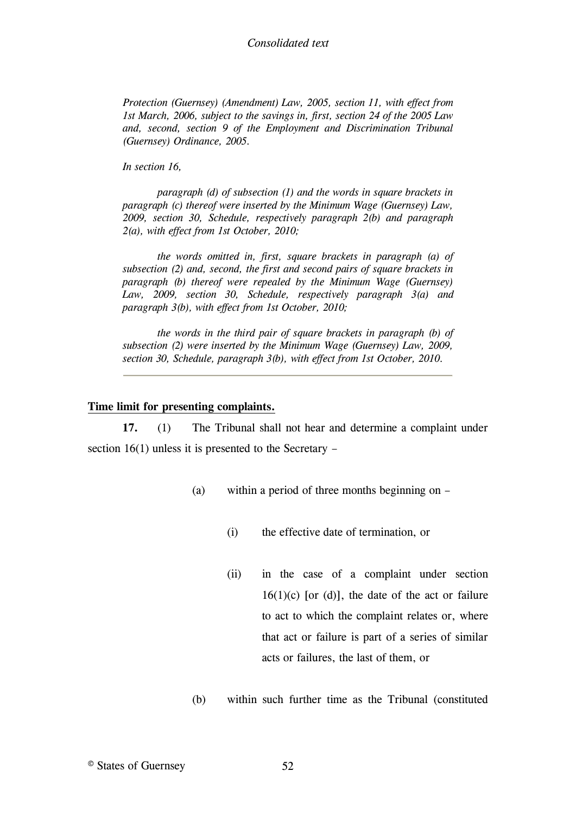### *Consolidated text*

*Protection (Guernsey) (Amendment) Law, 2005, section 11, with effect from 1st March, 2006, subject to the savings in, first, section 24 of the 2005 Law and, second, section 9 of the Employment and Discrimination Tribunal (Guernsey) Ordinance, 2005.*

*In section 16,*

<span id="page-51-0"></span>*paragraph (d) of subsection (1) and the words in square brackets in paragraph (c) thereof were inserted by the Minimum Wage (Guernsey) Law, 2009, section 30, Schedule, respectively paragraph 2(b) and paragraph 2(a), with effect from 1st October, 2010;*

<span id="page-51-1"></span>*the words omitted in, first, square brackets in paragraph (a) of subsection (2) and, second, the first and second pairs of square brackets in paragraph (b) thereof were repealed by the Minimum Wage (Guernsey) Law, 2009, section 30, Schedule, respectively paragraph 3(a) and paragraph 3(b), with effect from 1st October, 2010;*

*the words in the third pair of square brackets in paragraph (b) of subsection (2) were inserted by the Minimum Wage (Guernsey) Law, 2009, section 30, Schedule, paragraph 3(b), with effect from 1st October, 2010.*

#### **[Time limit for presenting complaints.](#page-54-0)**

**17.** (1) [The Tribunal shall not hear and determine a complaint under](#page-54-1)  [section 16\(1\) unless it is presented to the Secretary](#page-54-1) –

- (a) [within a period of three months beginning on](#page-54-1) 
	- (i) [the effective date of termination, or](#page-54-1)
	- (ii) [in the case of a complaint under section](#page-54-1)   $16(1)(c)$  [or (d)], the date of the act or failure to act to which the complaint relates or, where that act or failure is part of a series of similar acts or failures, the last of them, or
- (b) within such further time as the Tribunal (constituted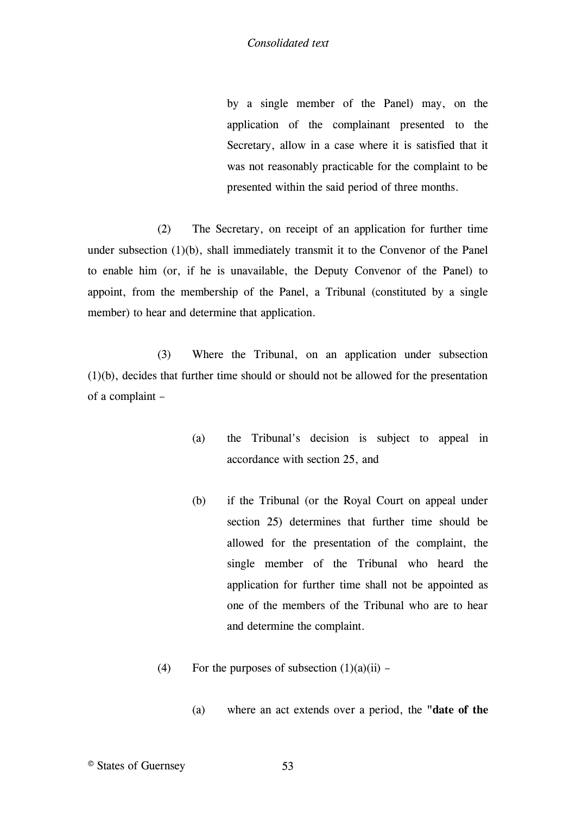by a single member of the Panel) may, on the application of the complainant presented to the Secretary, allow in a case where it is satisfied that it was not reasonably practicable for the complaint to be presented within the said period of three months.

(2) The Secretary, on receipt of an application for further time under subsection (1)(b), shall immediately transmit it to the Convenor of the Panel to enable him (or, if he is unavailable, the Deputy Convenor of the Panel) to appoint, from the membership of the Panel, a Tribunal (constituted by a single member) to hear and determine that application.

(3) Where the Tribunal, on an application under subsection (1)(b), decides that further time should or should not be allowed for the presentation of a complaint –

- (a) the Tribunal's decision is subject to appeal in accordance with section 25, and
- (b) if the Tribunal (or the Royal Court on appeal under section 25) determines that further time should be allowed for the presentation of the complaint, the single member of the Tribunal who heard the application for further time shall not be appointed as one of the members of the Tribunal who are to hear and determine the complaint.
- (4) For the purposes of subsection  $(1)(a)(ii)$ 
	- (a) where an act extends over a period, the **"date of the**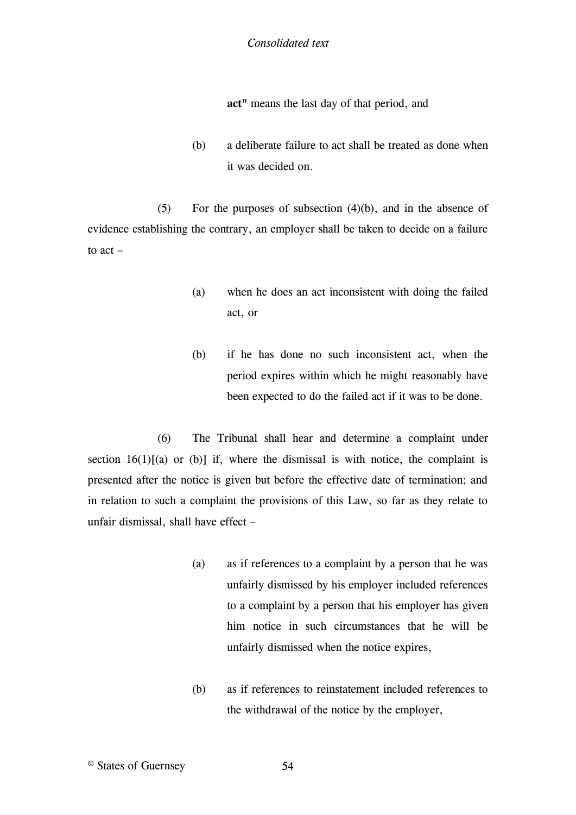**act"** means the last day of that period, and

(b) a deliberate failure to act shall be treated as done when it was decided on.

(5) For the purposes of subsection (4)(b), and in the absence of evidence establishing the contrary, an employer shall be taken to decide on a failure to act –

- (a) when he does an act inconsistent with doing the failed act, or
- (b) if he has done no such inconsistent act, when the period expires within which he might reasonably have been expected to do the failed act if it was to be done.

(6) The Tribunal shall hear and determine a complaint under section  $16(1)[(a)$  or (b)] if, where the dismissal is with notice, the complaint is [presented after the notice is given but before the effective date of termination; and](#page-54-1)  [in relation to such a complaint the provisions of this Law, so far as they relate to](#page-54-1)  [unfair dismissal, shall have effect](#page-54-1) –

- (a) [as if references to a complaint by a person that he was](#page-54-1)  [unfairly dismissed by his employer included references](#page-54-1)  [to a complaint by a person that his employer has given](#page-54-1)  [him notice in such circumstances that he will be](#page-54-1)  [unfairly dismissed when the notice expires,](#page-54-1)
- (b) [as if references to reinstatement included references to](#page-54-1)  [the withdrawal of the notice by the employer,](#page-54-1)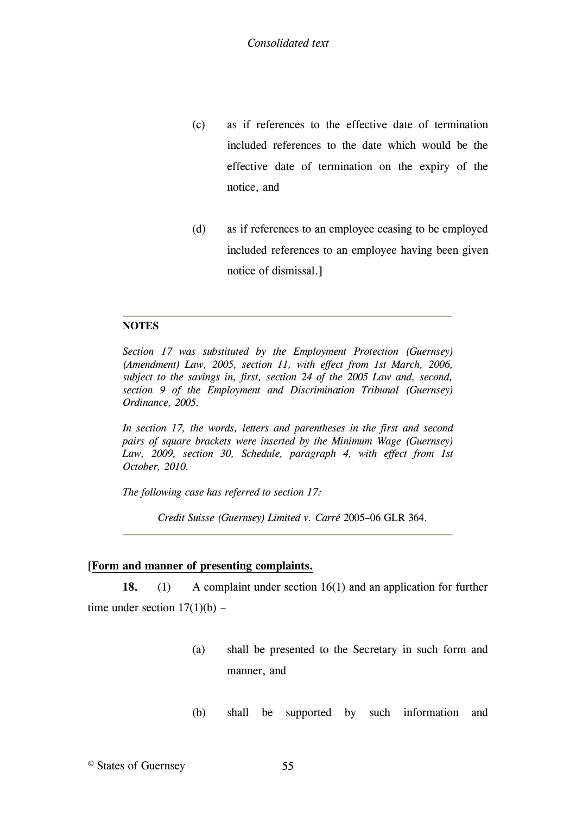- (c) as if references to the effective date of termination included references to the date which would be the effective date of termination on the expiry of the notice, and
- (d) as if references to an employee ceasing to be employed included references to an employee having been given notice of dismissal.]

# **NOTES**

<span id="page-54-1"></span>*Section 17 was substituted by the Employment Protection (Guernsey) (Amendment) Law, 2005, section 11, with effect from 1st March, 2006, subject to the savings in, first, section 24 of the 2005 Law and, second, section 9 of the Employment and Discrimination Tribunal (Guernsey) Ordinance, 2005.*

<span id="page-54-2"></span>*In section 17, the words, letters and parentheses in the first and second pairs of square brackets were inserted by the Minimum Wage (Guernsey) Law, 2009, section 30, Schedule, paragraph 4, with effect from 1st October, 2010.*

<span id="page-54-0"></span>*The following case has referred to section 17:*

*Credit Suisse (Guernsey) Limited v. Carré* 2005–06 GLR 364*.*

# [**[Form and manner of presenting complaints.](#page-55-0)**

**18.** (1) [A complaint under section 16\(1\) and an application for further](#page-55-0)  time under section  $17(1)(b)$  –

- (a) [shall be presented to the Secretary in such form and](#page-55-0)  [manner, and](#page-55-0)
- (b) [shall be supported by such information and](#page-55-0)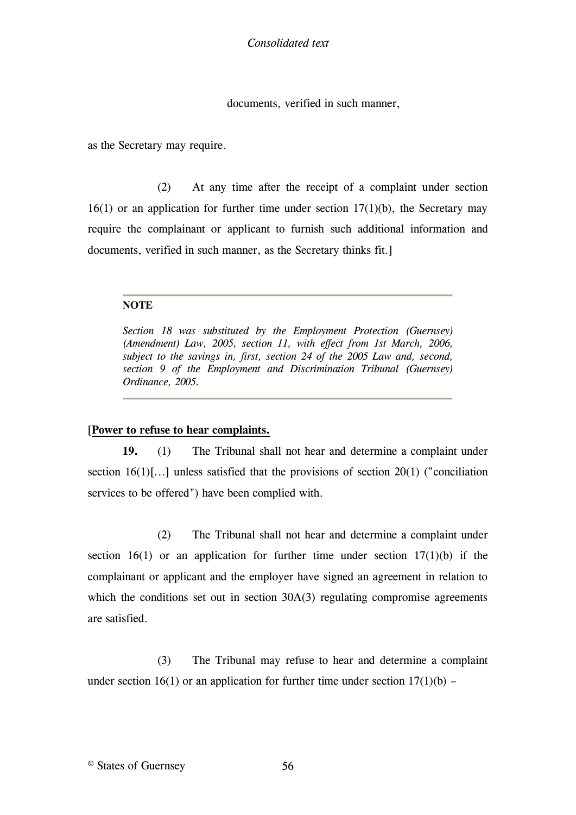documents, verified in such manner,

as the Secretary may require.

(2) At any time after the receipt of a complaint under section  $16(1)$  or an application for further time under section  $17(1)(b)$ , the Secretary may require the complainant or applicant to furnish such additional information and documents, verified in such manner, as the Secretary thinks fit.]

### **NOTE**

<span id="page-55-0"></span>*Section 18 was substituted by the Employment Protection (Guernsey) (Amendment) Law, 2005, section 11, with effect from 1st March, 2006, subject to the savings in, first, section 24 of the 2005 Law and, second, section 9 of the Employment and Discrimination Tribunal (Guernsey) Ordinance, 2005.*

# [**[Power to refuse to hear complaints.](#page-57-0)**

**19.** (1) [The Tribunal shall not hear and determine a complaint under](#page-57-0)  [section 16\(1\)\[...\]](#page-57-0) unless satisfied that the provisions of section 20(1) ("conciliation [services to be offered"\) have been complied with.](#page-57-0)

(2) [The Tribunal shall not hear and determine a complaint under](#page-57-0)  section 16(1) or an application for further time under section  $17(1)(b)$  if the [complainant or applicant and the employer have signed an agreement in relation to](#page-57-0)  which the conditions set out in section 30A(3) regulating compromise agreements [are satisfied.](#page-57-0)

(3) [The Tribunal may refuse to hear and determine a complaint](#page-57-0)  under section 16(1) or an application for further time under section  $17(1)(b)$  –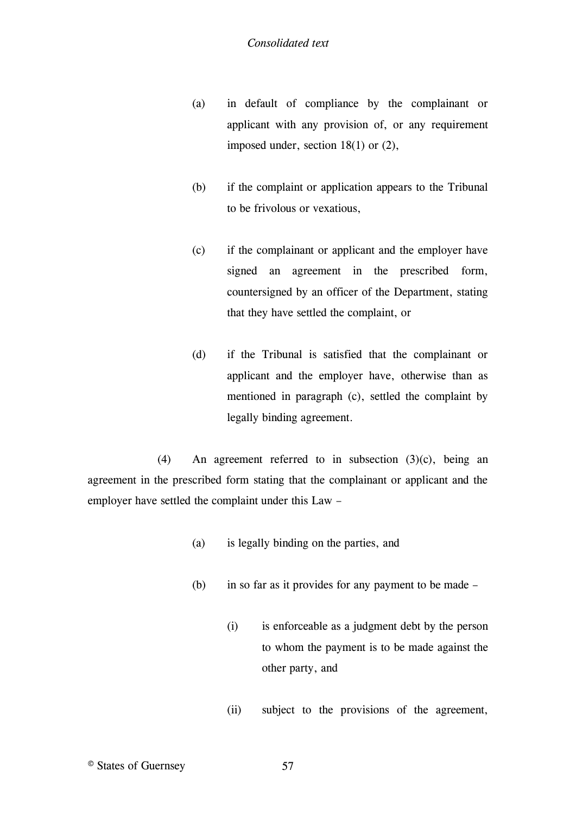- (a) in default of compliance by the complainant or applicant with any provision of, or any requirement imposed under, section 18(1) or (2),
- (b) if the complaint or application appears to the Tribunal to be frivolous or vexatious,
- (c) if the complainant or applicant and the employer have signed an agreement in the prescribed form, countersigned by an officer of the Department, stating that they have settled the complaint, or
- (d) if the Tribunal is satisfied that the complainant or applicant and the employer have, otherwise than as mentioned in paragraph (c), settled the complaint by legally binding agreement.

(4) An agreement referred to in subsection (3)(c), being an agreement in the prescribed form stating that the complainant or applicant and the employer have settled the complaint under this Law –

- (a) is legally binding on the parties, and
- (b) in so far as it provides for any payment to be made
	- (i) is enforceable as a judgment debt by the person to whom the payment is to be made against the other party, and
	- (ii) subject to the provisions of the agreement,

© States of Guernsey 57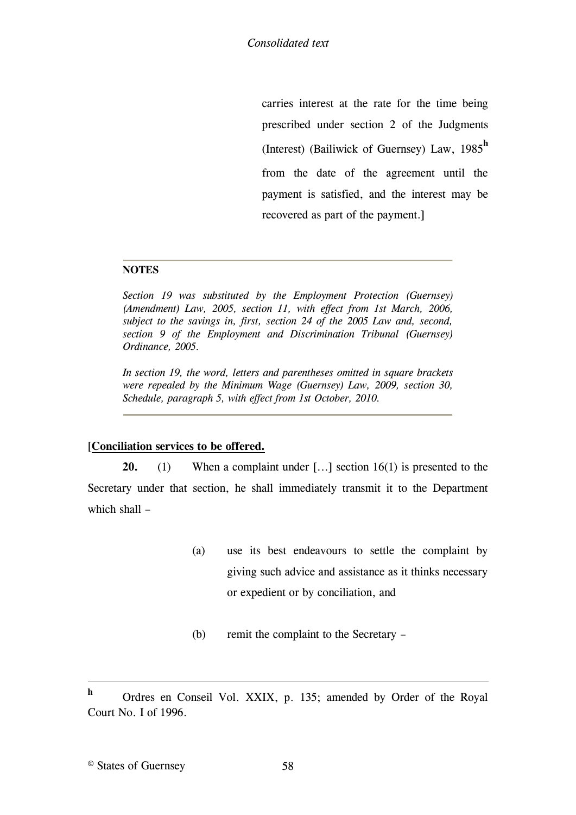carries interest at the rate for the time being prescribed under section 2 of the Judgments (Interest) (Bailiwick of Guernsey) Law, 1985**<sup>h</sup>** [from the date of the agreement until the](#page-57-0)  [payment is satisfied, and the interest may be](#page-57-0)  [recovered as part of the payment.\]](#page-57-0)

# **NOTES**

<span id="page-57-0"></span>*Section 19 was substituted by the Employment Protection (Guernsey) (Amendment) Law, 2005, section 11, with effect from 1st March, 2006, subject to the savings in, first, section 24 of the 2005 Law and, second, section 9 of the Employment and Discrimination Tribunal (Guernsey) Ordinance, 2005.*

*In section 19, the word, letters and parentheses omitted in square brackets were repealed by the Minimum Wage (Guernsey) Law, 2009, section 30, Schedule, paragraph 5, with effect from 1st October, 2010.*

# [**[Conciliation services to be offered.](#page-58-0)**

**20.** (1) [When a complaint under](#page-58-0) [\[...\]](#page-59-0) [section 16\(1\) is presented to the](#page-58-0)  [Secretary under that section, he shall immediately transmit it to the Department](#page-58-0)  [which shall](#page-58-0) –

- (a) [use its best endeavours to settle the complaint by](#page-58-0)  [giving such advice and assistance as it thinks necessary](#page-58-0)  [or expedient or by conciliation, and](#page-58-0)
- (b) [remit the complaint to the Secretary](#page-58-0) –

1

**h** Ordres en Conseil Vol. XXIX, p. 135; amended by Order of the Royal Court No. I of 1996.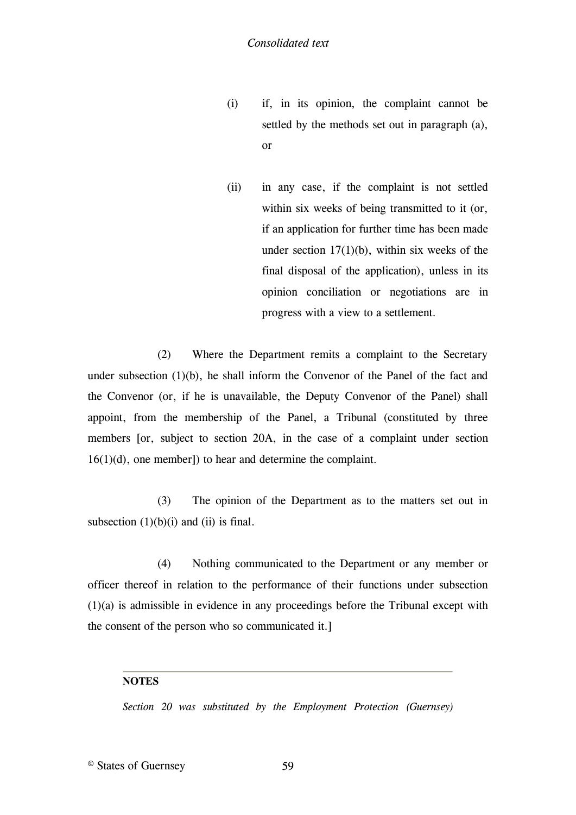- (i) if, in its opinion, the complaint cannot be settled by the methods set out in paragraph (a), or
- (ii) in any case, if the complaint is not settled within six weeks of being transmitted to it (or, if an application for further time has been made under section  $17(1)(b)$ , within six weeks of the final disposal of the application), unless in its opinion conciliation or negotiations are in progress with a view to a settlement.

(2) Where the Department remits a complaint to the Secretary under subsection (1)(b), he shall inform the Convenor of the Panel of the fact and the Convenor (or, if he is unavailable, the Deputy Convenor of the Panel) shall appoint, from the membership of the Panel, a Tribunal (constituted by three members [\[or, subject to section 20A, in the case of a complaint under section](#page-59-0)  [16\(1\)\(d\), one member\]\) to hear and determine the complaint.](#page-59-0)

(3) The opinion of the Department as to the matters set out in subsection  $(1)(b)(i)$  and  $(ii)$  is final.

(4) Nothing communicated to the Department or any member or officer thereof in relation to the performance of their functions under subsection (1)(a) is admissible in evidence in any proceedings before the Tribunal except with the consent of the person who so communicated it.]

# **NOTES**

<span id="page-58-0"></span>*Section 20 was substituted by the Employment Protection (Guernsey)*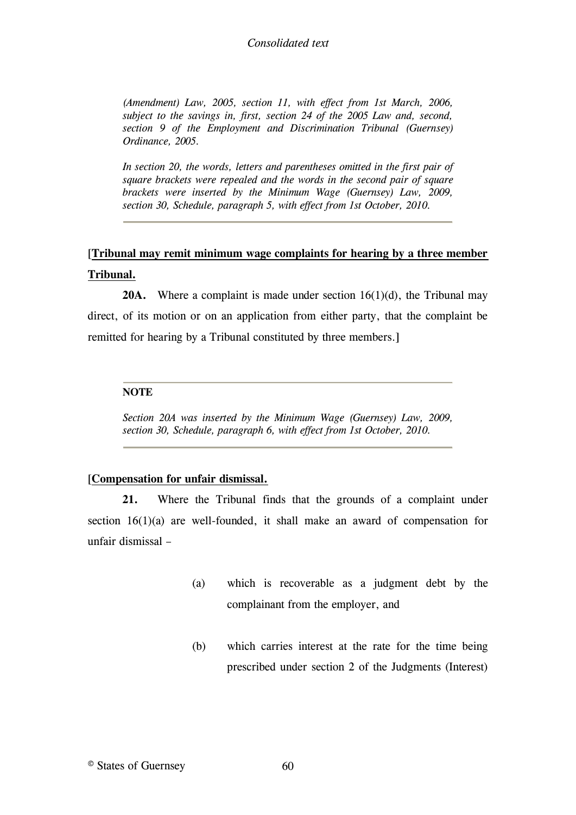### *Consolidated text*

*(Amendment) Law, 2005, section 11, with effect from 1st March, 2006, subject to the savings in, first, section 24 of the 2005 Law and, second, section 9 of the Employment and Discrimination Tribunal (Guernsey) Ordinance, 2005.*

<span id="page-59-0"></span>*In section 20, the words, letters and parentheses omitted in the first pair of square brackets were repealed and the words in the second pair of square brackets were inserted by the Minimum Wage (Guernsey) Law, 2009, section 30, Schedule, paragraph 5, with effect from 1st October, 2010.*

# [**[Tribunal may remit minimum wage complaints for hearing by a three member](#page-59-1)  [Tribunal.](#page-59-1)**

**20A.** [Where a complaint is made under section 16\(1\)\(d\), the Tribunal may](#page-59-1)  [direct, of its motion or on an application from either party, that the complaint be](#page-59-1)  [remitted for hearing by a Tribunal constituted by three members.\]](#page-59-1)

#### **NOTE**

<span id="page-59-1"></span>*Section 20A was inserted by the Minimum Wage (Guernsey) Law, 2009, section 30, Schedule, paragraph 6, with effect from 1st October, 2010.*

# [**[Compensation for unfair dismissal.](#page-60-0)**

**21.** [Where the Tribunal finds that the grounds of a complaint under](#page-60-0)  [section 16\(1\)\(a\) are well-founded, it shall make an award of compensation for](#page-60-0)  [unfair dismissal](#page-60-0) –

- (a) [which is recoverable as a judgment debt by the](#page-60-0)  [complainant from the employer, and](#page-60-0)
- (b) [which carries interest at the rate for the time being](#page-60-0)  [prescribed under section 2 of the Judgments \(Interest\)](#page-60-0)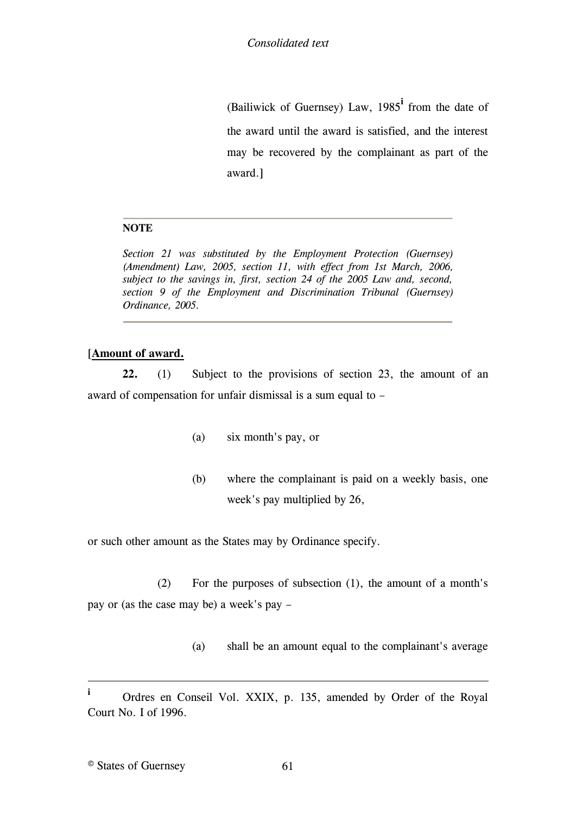(Bailiwick of Guernsey) Law, 1985**<sup>i</sup>** [from the date of](#page-60-0)  [the award until the award is satisfied, and the interest](#page-60-0)  [may be recovered by the complainant as part of the](#page-60-0)  [award.\]](#page-60-0)

# **NOTE**

<span id="page-60-0"></span>*Section 21 was substituted by the Employment Protection (Guernsey) (Amendment) Law, 2005, section 11, with effect from 1st March, 2006, subject to the savings in, first, section 24 of the 2005 Law and, second, section 9 of the Employment and Discrimination Tribunal (Guernsey) Ordinance, 2005.*

# [**[Amount of award.](#page-61-0)**

**22.** (1) [Subject to the provisions of section 23, the amount of an](#page-61-0)  [award of compensation for unfair dismissal is a sum equal to](#page-61-0) –

- (a) [six month's pay, or](#page-61-0)
- (b) [where the complainant is paid on a weekly basis, one](#page-61-0)  [week's pay multiplied by 26,](#page-61-0)

[or such other amount as the States may by Ordinance specify.](#page-61-0)

(2) [For the purposes of subsection \(1\), the amount of a month's](#page-61-0)  [pay or \(as the case may be\) a week's pay](#page-61-0) –

(a) [shall be an amount equal to the complainant's average](#page-61-0) 

1

**i** Ordres en Conseil Vol. XXIX, p. 135, amended by Order of the Royal Court No. I of 1996.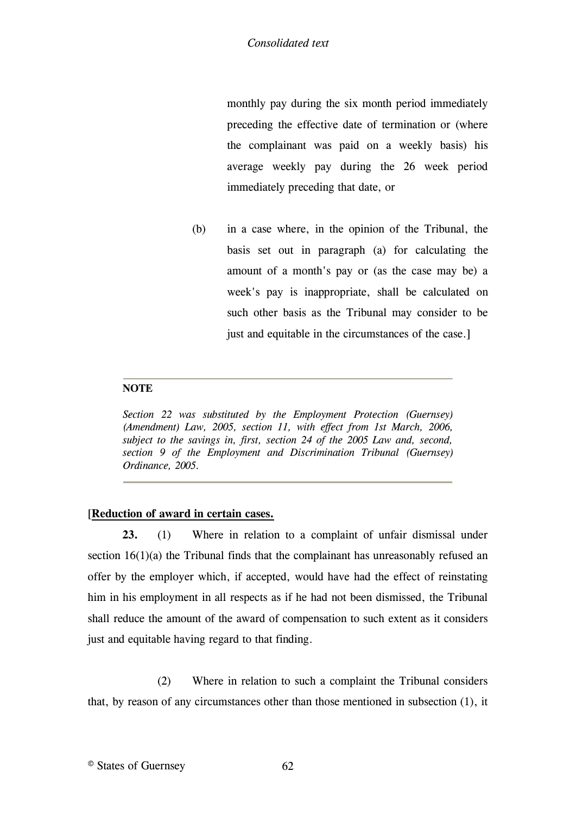monthly pay during the six month period immediately preceding the effective date of termination or (where the complainant was paid on a weekly basis) his average weekly pay during the 26 week period immediately preceding that date, or

(b) in a case where, in the opinion of the Tribunal, the basis set out in paragraph (a) for calculating the amount of a month's pay or (as the case may be) a week's pay is inappropriate, shall be calculated on such other basis as the Tribunal may consider to be just and equitable in the circumstances of the case.

### **NOTE**

<span id="page-61-0"></span>*Section 22 was substituted by the Employment Protection (Guernsey) (Amendment) Law, 2005, section 11, with effect from 1st March, 2006, subject to the savings in, first, section 24 of the 2005 Law and, second, section 9 of the Employment and Discrimination Tribunal (Guernsey) Ordinance, 2005.*

# [\[](#page-62-0)**[Reduction of award in certain cases.](#page-62-0)**

**23.** (1) [Where in relation to a complaint of unfair dismissal under](#page-62-0)  section 16(1)(a) the Tribunal finds that the complainant has unreasonably refused an [offer by the employer which, if accepted, would have had the effect of reinstating](#page-62-0)  [him in his employment in all respects as if he had not been dismissed, the Tribunal](#page-62-0)  [shall reduce the amount of the award of compensation to such extent as it considers](#page-62-0)  [just and equitable having regard to that finding.](#page-62-0)

(2) [Where in relation to such a complaint the Tribunal considers](#page-62-0)  [that, by reason of any circumstances other than those mentioned in subsection \(1\), it](#page-62-0)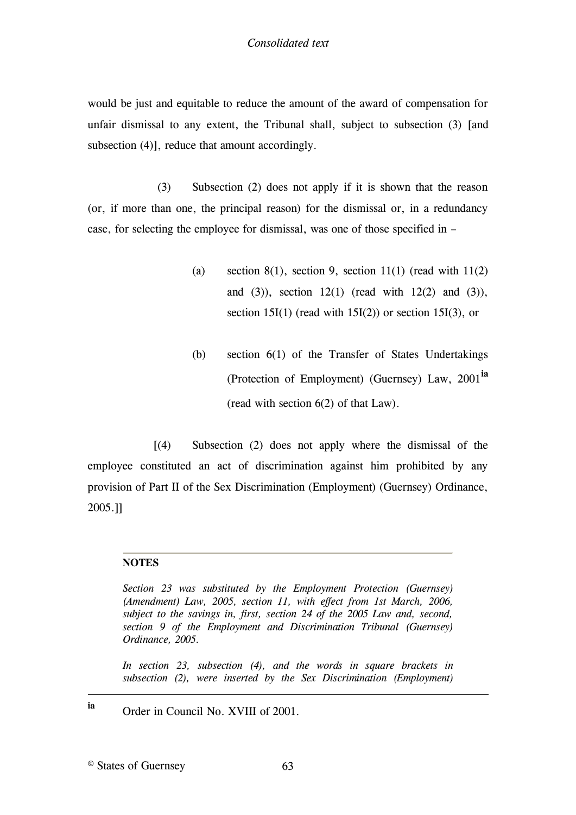would be just and equitable to reduce the amount of the award of compensation for unfair dismissal to any extent, the Tribunal shall, subject to subsection (3) [\[and](#page-62-1)  [subsection \(4\)\],](#page-62-1) [reduce that amount accordingly.](#page-62-0)

(3) [Subsection \(2\) does not apply if it is shown that the reason](#page-62-0)  [\(or, if more than one, the principal reason\) for the dismissal or, in a redundancy](#page-62-0)  [case, for selecting the employee for dismissal, was one of those specified in](#page-62-0) –

- (a) section 8(1), section 9, section 11(1) (read with  $11(2)$ and  $(3)$ ), section 12(1) (read with 12(2) and  $(3)$ ), section 15I(1) (read with  $15I(2)$ ) or section 15I(3), or
- (b) [section 6\(1\) of the Transfer of States Undertakings](#page-62-0)  [\(Protection of Employment\) \(Guernsey\) Law, 2001](#page-62-0)**ia** [\(read with section 6\(2\) of that Law\).](#page-62-0)

 [(4) [Subsection \(2\) does not apply where the dismissal of the](#page-62-1)  [employee constituted an act of discrimination against him prohibited by any](#page-62-1)  [provision of Part II of the Sex Discrimination \(Employment\) \(Guernsey\) Ordinance,](#page-62-1)  [2005.\]\]](#page-62-1)

# **NOTES**

<span id="page-62-0"></span>*Section 23 was substituted by the Employment Protection (Guernsey) (Amendment) Law, 2005, section 11, with effect from 1st March, 2006, subject to the savings in, first, section 24 of the 2005 Law and, second, section 9 of the Employment and Discrimination Tribunal (Guernsey) Ordinance, 2005.*

<span id="page-62-1"></span>*In section 23, subsection (4), and the words in square brackets in subsection (2), were inserted by the Sex Discrimination (Employment)* 

**ia** Order in Council No. XVIII of 2001.

© States of Guernsey 63

1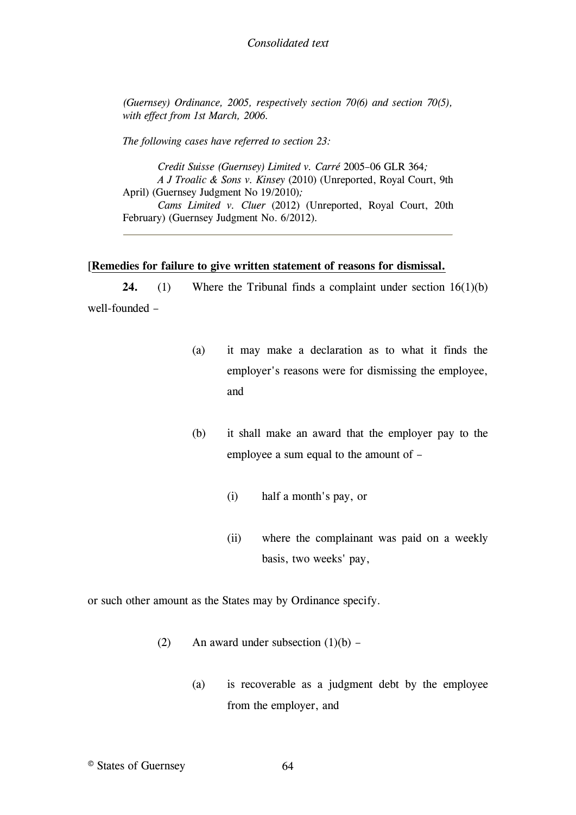*(Guernsey) Ordinance, 2005, respectively section 70(6) and section 70(5), with effect from 1st March, 2006.*

*The following cases have referred to section 23:*

*Credit Suisse (Guernsey) Limited v. Carré* 2005–06 GLR 364*; A J Troalic & Sons v. Kinsey* (2010) (Unreported, Royal Court, 9th April) (Guernsey Judgment [No 19/2010\)](http://www.guernseylegalresources.gg/redirect?oid=%255Bcom.runtimecollective.cms.contenttypes.LegalResource%253A%257Bid%253D13540292%257D%255D&context=live)*; Cams Limited v. Cluer* (2012) (Unreported, Royal Court, 20th February) (Guernsey Judgment [No. 6/2012\)](http://www.guernseylegalresources.gg/article/99803/Guernsey-Judgment-62012)*.*

#### [**Remedies for [failure to give written statement of reasons for dismissal.](#page-64-0)**

24. (1) Where the Tribunal finds a complaint under section 16(1)(b) [well-founded](#page-64-0) –

- (a) [it may make a declaration as to what it finds the](#page-64-0)  [employer's reasons were for dismissing the employee,](#page-64-0)  [and](#page-64-0)
- (b) [it shall make an award that the employer pay to the](#page-64-0)  [employee a sum equal to the amount of](#page-64-0) –
	- (i) [half a month's pay, or](#page-64-0)
	- (ii) [where the complainant was paid on a weekly](#page-64-0)  [basis, two weeks' pay,](#page-64-0)

[or such other amount as the States may by Ordinance specify.](#page-64-0)

- (2) An award under subsection  $(1)(b)$ 
	- (a) [is recoverable as a judgment debt by the employee](#page-64-0)  [from the employer, and](#page-64-0)
- © States of Guernsey 64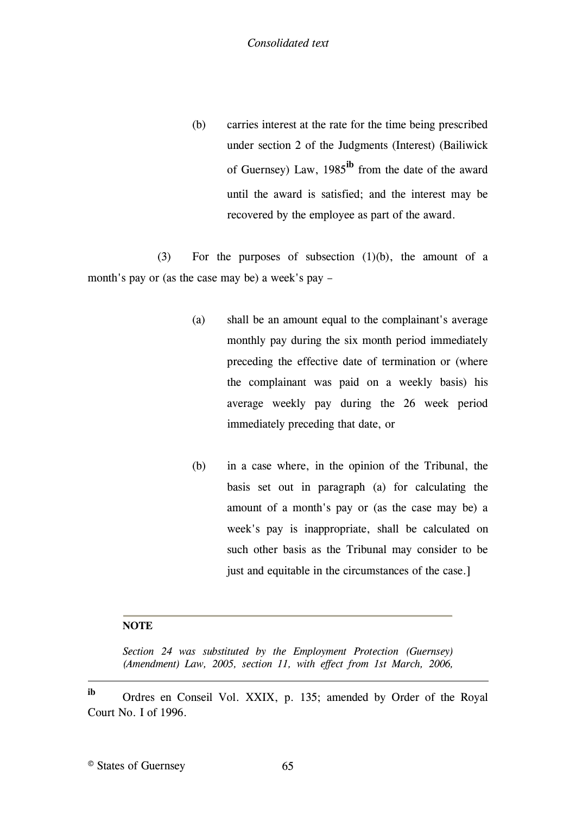(b) carries interest at the rate for the time being prescribed under section 2 of the Judgments (Interest) (Bailiwick of Guernsey) Law, 1985**ib** [from the date of the award](#page-64-0)  [until the award is satisfied; and the interest may be](#page-64-0)  [recovered by the employee as part of the award.](#page-64-0)

(3) [For the purposes of subsection \(1\)\(b\), the amount of a](#page-64-0)  [month's pay or \(as the case may be\) a week's pay](#page-64-0) –

- (a) [shall be an amount equal to the complainant's average](#page-64-0)  [monthly pay during the six month period immediately](#page-64-0)  [preceding the effective date of termination or \(where](#page-64-0)  [the complainant was paid on a weekly basis\) his](#page-64-0)  average weekly pay [during the 26 week period](#page-64-0)  [immediately preceding that date, or](#page-64-0)
- (b) [in a case where, in the opinion of the Tribunal, the](#page-64-0)  [basis set out in paragraph \(a\) for calculating the](#page-64-0)  [amount of a month's pay or \(as the case may be\) a](#page-64-0)  [week's pay is inappropriate, shall](#page-64-0) be calculated on [such other basis as the Tribunal may consider to be](#page-64-0)  [just and equitable in the circumstances of the case.\]](#page-64-0)

# **NOTE**

<span id="page-64-0"></span>1

*Section 24 was substituted by the Employment Protection (Guernsey) (Amendment) Law, 2005, section 11, with effect from 1st March, 2006,* 

**ib** Ordres en Conseil Vol. XXIX, p. 135; amended by Order of the Royal Court No. I of 1996.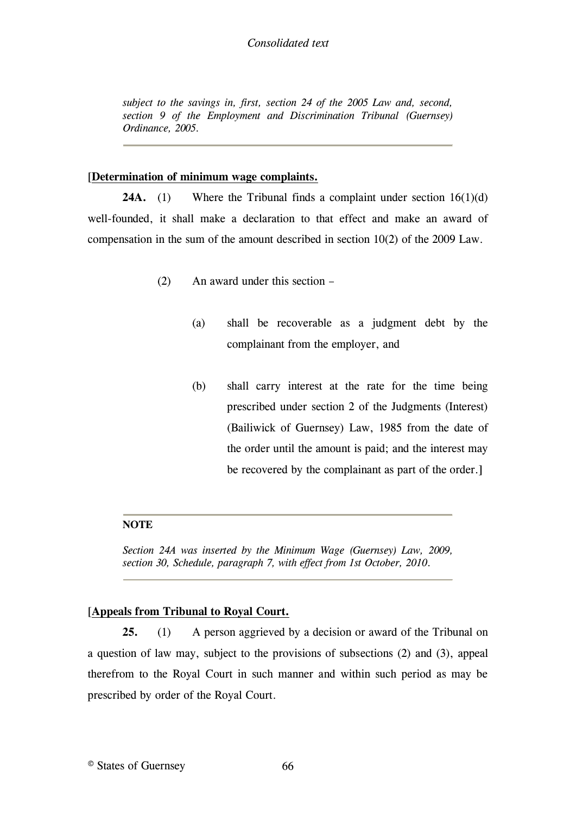# *Consolidated text*

*subject to the savings in, first, section 24 of the 2005 Law and, second, section 9 of the Employment and Discrimination Tribunal (Guernsey) Ordinance, 2005.*

### [**[Determination of minimum wage complaints.](#page-65-0)**

**24A.** (1) Where the Tribunal finds a complaint under section 16(1)(d) [well-founded, it shall make a declaration to that effect and make an award of](#page-65-0)  [compensation in the sum of the amount described in section 10\(2\) of the 2009 Law.](#page-65-0)

- (2) [An award under this section](#page-65-0)
	- (a) [shall be recoverable as a judgment debt by the](#page-65-0)  [complainant from the employer, and](#page-65-0)
	- (b) [shall carry interest at the rate for the time being](#page-65-0)  [prescribed under section 2 of the Judgments \(Interest\)](#page-65-0)  [\(Bailiwick of Guernsey\) Law, 1985 from the date of](#page-65-0)  the [order until the amount is paid; and the interest may](#page-65-0)  [be recovered by the complainant as part of the order.\]](#page-65-0)

# **NOTE**

<span id="page-65-0"></span>*Section 24A was inserted by the Minimum Wage (Guernsey) Law, 2009, section 30, Schedule, paragraph 7, with effect from 1st October, 2010.*

# [\[](#page-66-0)**[Appeals from Tribunal to Royal Court.](#page-66-0)**

**25.** (1) [A person aggrieved by a decision or award of the Tribunal on](#page-66-0)  [a question of law may, subject to the provisions of subsections \(2\) and \(3\), appeal](#page-66-0)  [therefrom to the Royal Court in such manner and within such period as may be](#page-66-0)  [prescribed by order of the Royal Court.](#page-66-0)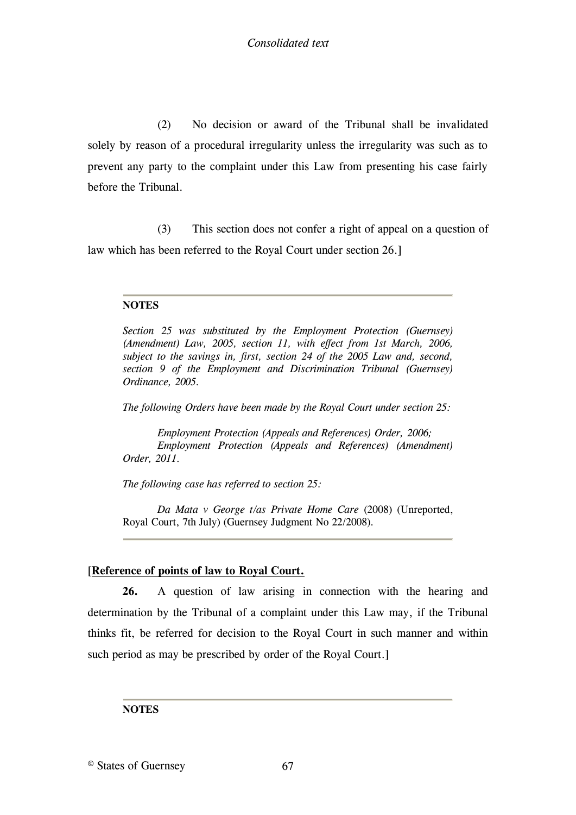(2) [No decision or award of the Tribunal shall be invalidated](#page-66-0)  [solely by reason of a procedural irregularity unless the irregularity was such as to](#page-66-0)  [prevent any party to the complaint under this Law from presenting his case fairly](#page-66-0)  [before the Tribunal.](#page-66-0)

(3) [This section does not confer a right of appeal on a question of](#page-66-0)  [law which has been referred to the Royal Court under section 26.\]](#page-66-0)

# **NOTES**

<span id="page-66-0"></span>*Section 25 was substituted by the Employment Protection (Guernsey) (Amendment) Law, 2005, section 11, with effect from 1st March, 2006, subject to the savings in, first, section 24 of the 2005 Law and, second, section 9 of the Employment and Discrimination Tribunal (Guernsey) Ordinance, 2005.*

*The following Orders have been made by the Royal Court under section 25:*

*Employment Protection (Appeals and References) Order, 2006; Employment Protection (Appeals and References) (Amendment) Order, 2011.*

*The following case has referred to section 25:*

*Da Mata v George t/as Private Home Care* (2008) (Unreported, Royal Court, 7th July) (Guernsey Judgment [No 22/2008\)](http://www.guernseylegalresources.gg/ccm/legal-resources/judgments/2008-judgments/guernsey-judgment-22-2008---da-mata-v-george-trading-as-private-home-care.en)*.*

# [**[Reference of points of law to Royal Court.](#page-67-0)**

**26.** [A question of law arising in connection with the hearing and](#page-67-0)  [determination by the Tribunal of a complaint under this Law may, if the Tribunal](#page-67-0)  [thinks fit, be referred for decision to the Royal Court in such manner and within](#page-67-0)  [such period as may be prescribed by](#page-67-0) [order of the Royal Court.\]](#page-67-1)

# **NOTES**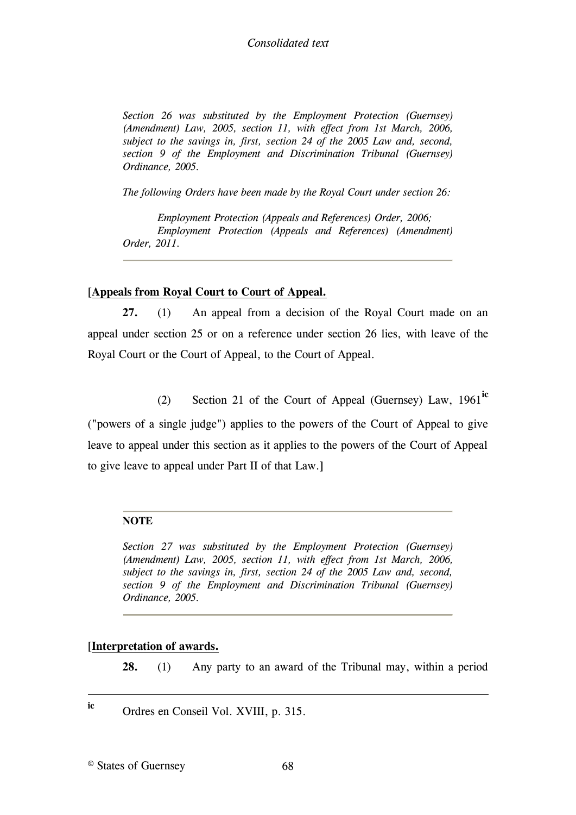<span id="page-67-0"></span>*Section 26 was substituted by the Employment Protection (Guernsey) (Amendment) Law, 2005, section 11, with effect from 1st March, 2006, subject to the savings in, first, section 24 of the 2005 Law and, second, section 9 of the Employment and Discrimination Tribunal (Guernsey) Ordinance, 2005.*

<span id="page-67-1"></span>*The following Orders have been made by the Royal Court under section 26:*

*Employment Protection (Appeals and References) Order, 2006; Employment Protection (Appeals and References) (Amendment) Order, 2011.*

# [**[Appeals from Royal Court to Court of Appeal.](#page-67-2)**

**27.** (1) [An appeal from a decision of the Royal Court made on an](#page-67-2)  [appeal under section 25 or on a reference under section 26 lies, with leave of the](#page-67-2)  [Royal Court or the Court of Appeal, to the Court of Appeal.](#page-67-2)

(2) [Section 21 of the Court of Appeal \(Guernsey\) Law, 1961](#page-67-2)**ic**

[\("powers of a single judge"\) applies to the powers of the Court of Appeal to give](#page-67-2)  [leave to appeal under this section as it applies to the powers of the Court of Appeal](#page-67-2)  [to give leave to appeal under Part II of that Law.\]](#page-67-2)

# **NOTE**

<span id="page-67-2"></span>*Section 27 was substituted by the Employment Protection (Guernsey) (Amendment) Law, 2005, section 11, with effect from 1st March, 2006, subject to the savings in, first, section 24 of the 2005 Law and, second, section 9 of the Employment and Discrimination Tribunal (Guernsey) Ordinance, 2005.*

# [**[Interpretation of awards.](#page-68-0)**

**28.** (1) [Any party to an award of the Tribunal may, within a period](#page-68-0) 

**ic** Ordres en Conseil Vol. XVIII, p. 315.

1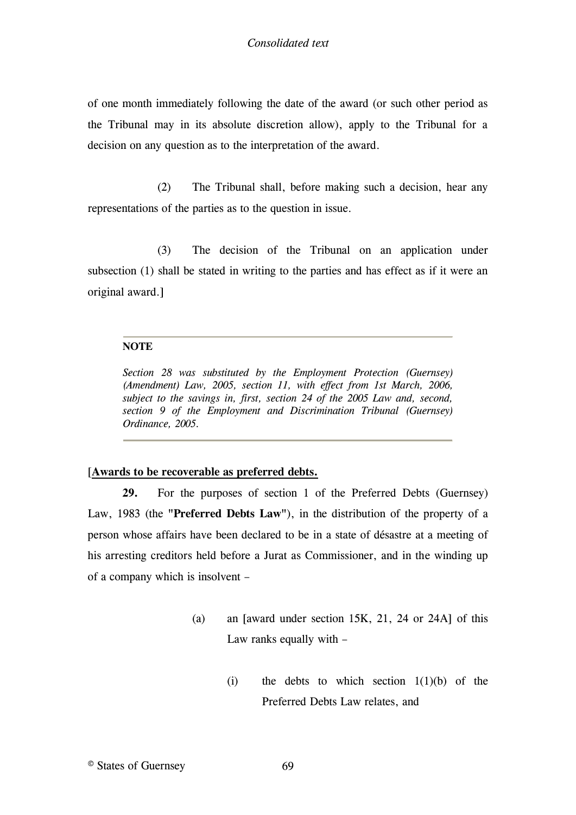of one month immediately following the date of the award (or such other period as the Tribunal may in its absolute discretion allow), apply to the Tribunal for a decision on any question as to the interpretation of the award.

(2) The Tribunal shall, before making such a decision, hear any representations of the parties as to the question in issue.

(3) The decision of the Tribunal on an application under subsection (1) shall be stated in writing to the parties and has effect as if it were an original award.]

# **NOTE**

<span id="page-68-0"></span>*Section 28 was substituted by the Employment Protection (Guernsey) (Amendment) Law, 2005, section 11, with effect from 1st March, 2006, subject to the savings in, first, section 24 of the 2005 Law and, second, section 9 of the Employment and Discrimination Tribunal (Guernsey) Ordinance, 2005.*

# [**[Awards to be recoverable as preferred debts.](#page-69-0)**

**29.** [For the purposes of section 1 of the Preferred Debts \(Guernsey\)](#page-69-0)  Law, 1983 (the **"Preferred Debts Law"**[\), in the distribution of the property of a](#page-69-0)  [person whose affairs have been declared to be in a state of désastre at a meeting of](#page-69-0)  [his arresting creditors held before a Jurat as Commissioner, and in the winding up](#page-69-0)  [of a company which is insolvent](#page-69-0) –

- [\(a\)](#page-69-0) an [\[award under section 15K, 21, 24 or 24A\]](#page-70-0) [of this](#page-69-0)  [Law ranks equally with](#page-69-0) –
	- (i) the debts to which section  $1(1)(b)$  of the [Preferred Debts Law relates, and](#page-69-0)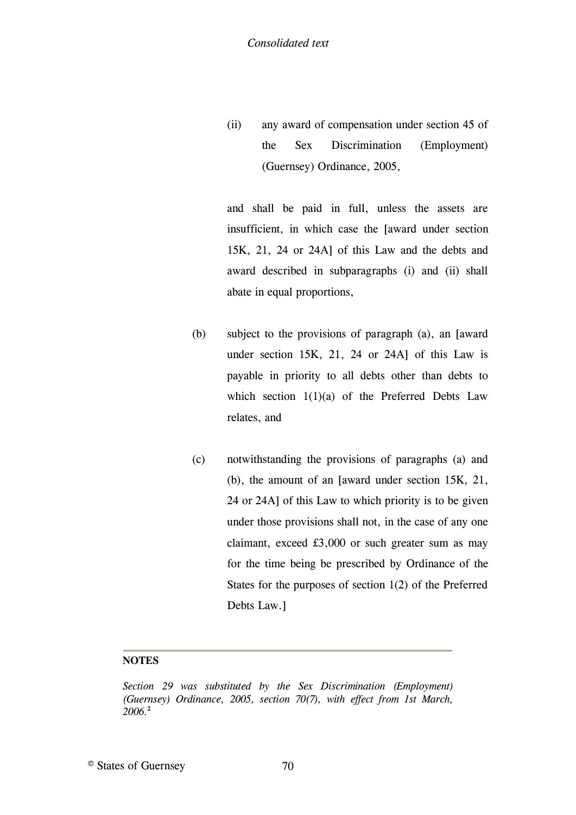(ii) any award of compensation under section 45 of the Sex Discrimination (Employment) (Guernsey) Ordinance, 2005,

and shall be paid in full, unless the assets are insufficient, in which case the [\[award under section](#page-70-0)  [15K, 21, 24 or 24A\]](#page-70-0) [of this Law and the debts and](#page-69-0)  [award described in subparagraphs \(i\) and \(ii\) shall](#page-69-0)  [abate in equal proportions,](#page-69-0)

- (b) [subject to the provisions of paragraph \(a\), an](#page-69-0) [\[award](#page-70-0)  under [section 15K, 21, 24 or 24A\]](#page-70-0) [of this Law is](#page-69-0)  [payable in priority to all debts other than debts to](#page-69-0)  which section  $1(1)(a)$  of the Preferred Debts Law [relates, and](#page-69-0)
- (c) [notwithstanding the provisions of paragraphs \(a\) and](#page-69-0)  [\(b\), the amount of an](#page-69-0) [\[award under section 15K, 21,](#page-70-0)  [24 or 24A\]](#page-70-0) [of this Law to which priority is to be given](#page-69-0)  [under those provisions shall not, in the case of any one](#page-69-0)  [claimant, exceed £3,000 or such greater sum](#page-69-0) as may [for the time being be prescribed by Ordinance of the](#page-69-0)  [States for the purposes of section 1\(2\) of the Preferred](#page-69-0)  [Debts Law.\]](#page-69-0)

# **NOTES**

<span id="page-69-0"></span>*Section 29 was substituted by the Sex Discrimination (Employment) (Guernsey) Ordinance, 2005, section 70(7), with effect from 1st March, 2006.***2**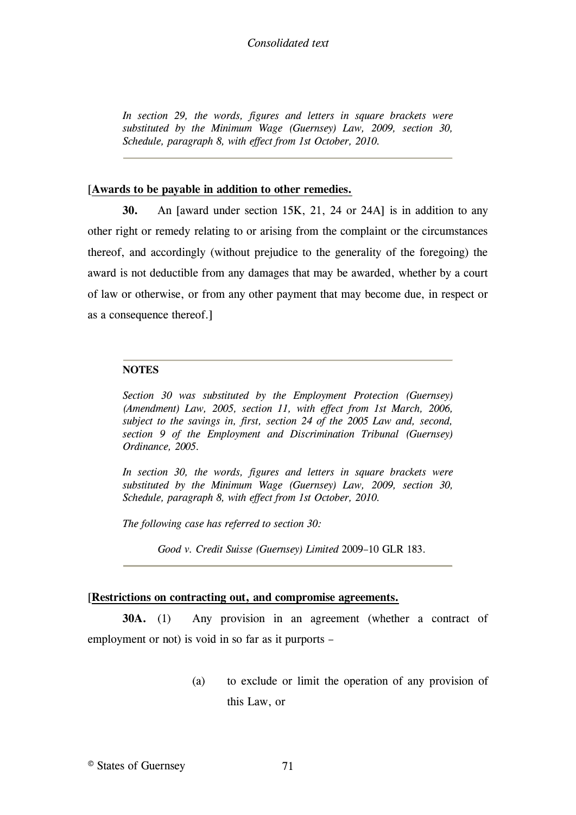# *Consolidated text*

<span id="page-70-0"></span>*In section 29, the words, figures and letters in square brackets were substituted by the Minimum Wage (Guernsey) Law, 2009, section 30, Schedule, paragraph 8, with effect from 1st October, 2010.*

#### [\[](#page-70-1)**[Awards to be payable in addition to other remedies.](#page-70-1)**

**30.** [An \[award under section 15K, 21, 24 or 24A\]](#page-70-1) [is in addition to any](#page-70-1)  [other right or remedy relating to or arising from the complaint or the circumstances](#page-70-1)  [thereof, and accordingly \(without prejudice to the generality of the foregoing\) the](#page-70-1)  [award is not deductible from any damages that may be awarded, whether by a court](#page-70-1)  [of law or otherwise, or from any other payment that may become due, in respect or](#page-70-1)  [as a consequence thereof.\]](#page-70-1)

#### **NOTES**

<span id="page-70-1"></span>*Section 30 was substituted by the Employment Protection (Guernsey) (Amendment) Law, 2005, section 11, with effect from 1st March, 2006, subject to the savings in, first, section 24 of the 2005 Law and, second, section 9 of the Employment and Discrimination Tribunal (Guernsey) Ordinance, 2005.*

*In section 30, the words, figures and letters in square brackets were substituted by the Minimum Wage (Guernsey) Law, 2009, section 30, Schedule, paragraph 8, with effect from 1st October, 2010.*

*The following case has referred to section 30:*

*Good v. Credit Suisse (Guernsey) Limited* 2009–10 GLR 183*.*

#### [\[](#page-73-0)**[Restrictions on contracting out, and compromise agreements.](#page-73-0)**

**[30A.](#page-73-0)** (1) [Any provision in an agreement \(whether a contract of](#page-73-0)  employment or not) is void in so far as it purports –

> (a) to exclude or limit the operation of any provision of this Law, or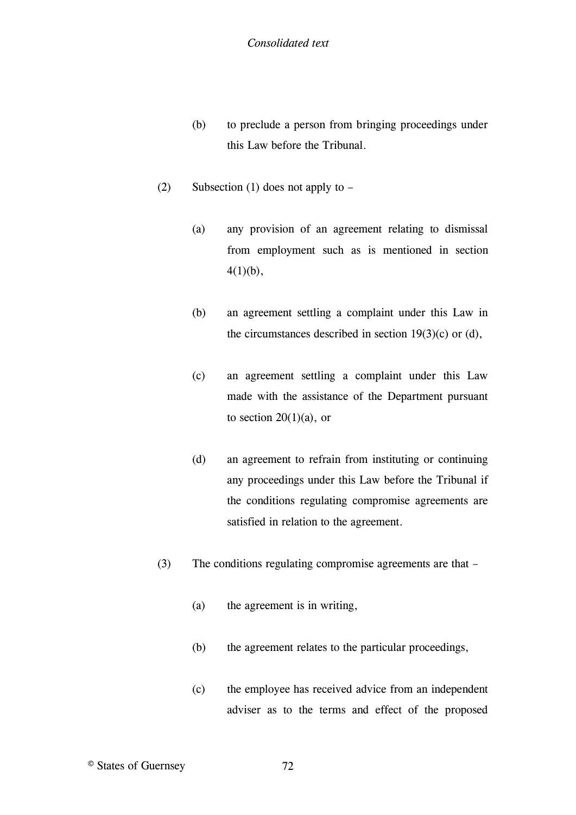- (b) to preclude a person from bringing proceedings under this Law before the Tribunal.
- (2) Subsection (1) does not apply to
	- (a) any provision of an agreement relating to dismissal from employment such as is mentioned in section  $4(1)(b)$ ,
	- (b) an agreement settling a complaint under this Law in the circumstances described in section  $19(3)(c)$  or (d),
	- (c) an agreement settling a complaint under this Law made with the assistance of the Department pursuant to section  $20(1)(a)$ , or
	- (d) an agreement to refrain from instituting or continuing any proceedings under this Law before the Tribunal if the conditions regulating compromise agreements are satisfied in relation to the agreement.
- (3) The conditions regulating compromise agreements are that
	- (a) the agreement is in writing,
	- (b) the agreement relates to the particular proceedings,
	- (c) the employee has received advice from an independent adviser as to the terms and effect of the proposed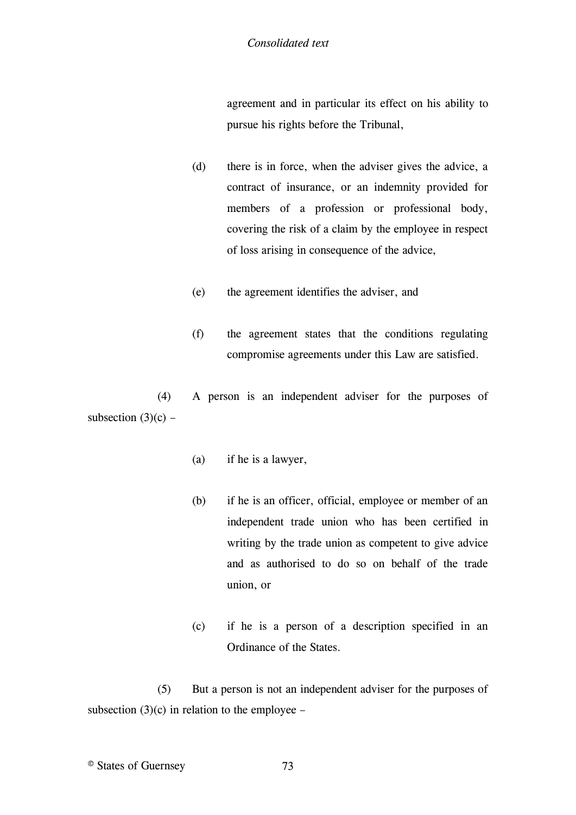agreement and in particular its effect on his ability to pursue his rights before the Tribunal,

- (d) there is in force, when the adviser gives the advice, a contract of insurance, or an indemnity provided for members of a profession or professional body, covering the risk of a claim by the employee in respect of loss arising in consequence of the advice,
- (e) the agreement identifies the adviser, and
- (f) the agreement states that the conditions regulating compromise agreements under this Law are satisfied.

(4) A person is an independent adviser for the purposes of subsection  $(3)(c)$  –

- (a) if he is a lawyer,
- (b) if he is an officer, official, employee or member of an independent trade union who has been certified in writing by the trade union as competent to give advice and as authorised to do so on behalf of the trade union, or
- (c) if he is a person of a description specified in an Ordinance of the States.

(5) But a person is not an independent adviser for the purposes of subsection  $(3)(c)$  in relation to the employee –

© States of Guernsey 73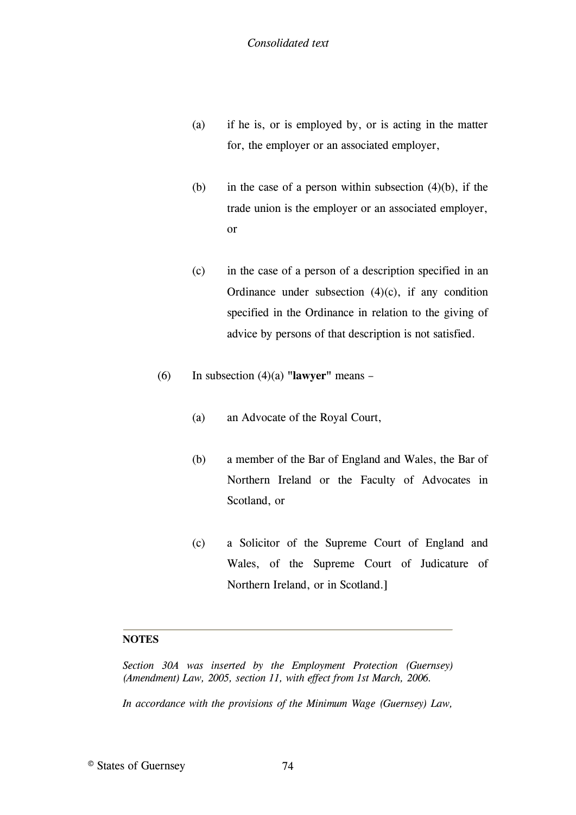- (a) if he is, or is employed by, or is acting in the matter for, the employer or an associated employer,
- (b) in the case of a person within subsection  $(4)(b)$ , if the trade union is the employer or an associated employer, or
- (c) in the case of a person of a description specified in an Ordinance under subsection  $(4)(c)$ , if any condition specified in the Ordinance in relation to the giving of advice by persons of that description is not satisfied.
- (6) In subsection (4)(a) **"lawyer"** means
	- (a) an Advocate of the Royal Court,
	- (b) a member of the Bar of England and Wales, the Bar of Northern Ireland or the Faculty of Advocates in Scotland, or
	- (c) a Solicitor of the Supreme Court of England and Wales, of the Supreme Court of Judicature of Northern Ireland, or in Scotland.]

## **NOTES**

*Section 30A was inserted by the Employment Protection (Guernsey) (Amendment) Law, 2005, section 11, with effect from 1st March, 2006.*

*In accordance with the provisions of the Minimum Wage (Guernsey) Law,*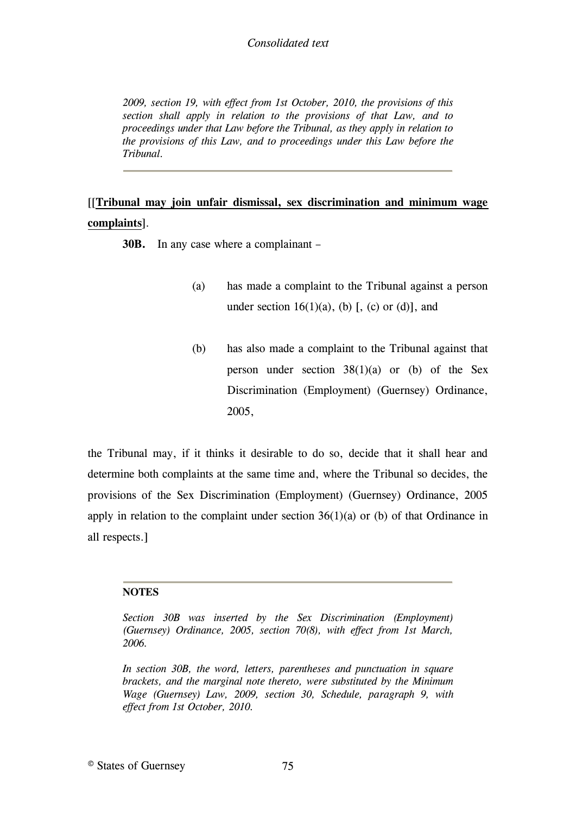## *Consolidated text*

*2009, section 19, with effect from 1st October, 2010, the provisions of this section shall apply in relation to the provisions of that Law, and to proceedings under that Law before the Tribunal, as they apply in relation to the provisions of this Law, and to proceedings under this Law before the Tribunal.*

# [\[\[](#page-74-0)**[Tribunal may join unfair dismissal, sex discrimination and minimum wage](#page-74-0)  complaints**[\].](#page-74-0)

**30B.** [In any case where a complainant](#page-74-0) –

- (a) [has made a complaint to the Tribunal against a person](#page-74-0)  under section  $16(1)(a)$ , (b) [\[, \(c\) or \(d\)\], and](#page-74-1)
- (b) has also made a complaint to the Tribunal against that person under section 38(1)(a) or (b) of the Sex Discrimination (Employment) (Guernsey) Ordinance, 2005,

the Tribunal may, if it thinks it desirable to do so, decide that it shall hear and determine both complaints at the same time and, where the Tribunal so decides, the provisions of the Sex Discrimination (Employment) (Guernsey) Ordinance, 2005 apply in relation to the complaint under section  $36(1)(a)$  or (b) of that Ordinance in all respects.]

## **NOTES**

<span id="page-74-0"></span>*Section 30B was inserted by the Sex Discrimination (Employment) (Guernsey) Ordinance, 2005, section 70(8), with effect from 1st March, 2006.*

<span id="page-74-1"></span>*In section 30B, the word, letters, parentheses and punctuation in square brackets, and the marginal note thereto, were substituted by the Minimum Wage (Guernsey) Law, 2009, section 30, Schedule, paragraph 9, with effect from 1st October, 2010.*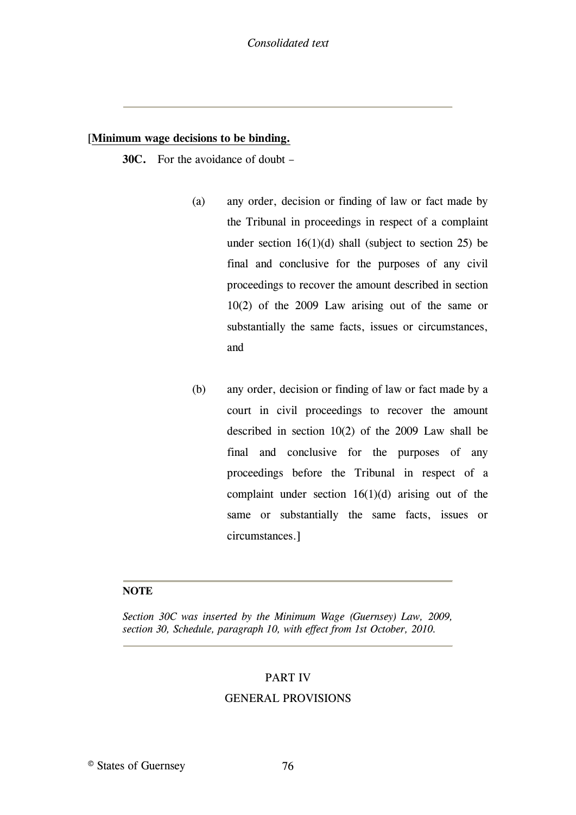## [**[Minimum wage decisions to be binding.](#page-75-0)**

**30C.** [For the avoidance of doubt](#page-75-0) –

- (a) [any order, decision or finding of law or fact made by](#page-75-0)  [the Tribunal in proceedings in respect of a complaint](#page-75-0)  under section  $16(1)(d)$  shall (subject to section 25) be [final and conclusive for the purposes of any civil](#page-75-0)  [proceedings to recover the amount described in section](#page-75-0)  [10\(2\) of the 2009 Law arising out of the same or](#page-75-0)  [substantially the same facts, issues or circumstances,](#page-75-0)  [and](#page-75-0)
- (b) [any order, decision or finding of law or fact made by a](#page-75-0)  [court in civil proceedings to recover the amount](#page-75-0)  [described in section 10\(2\) of the 2009 Law shall be](#page-75-0)  [final and conclusive for the purposes of any](#page-75-0)  [proceedings before the Tribunal in respect of a](#page-75-0)  complaint under section  $16(1)(d)$  arising out of the [same or substantially the same facts, issues or](#page-75-0)  [circumstances.\]](#page-75-0)

#### **NOTE**

<span id="page-75-0"></span>*Section 30C was inserted by the Minimum Wage (Guernsey) Law, 2009, section 30, Schedule, paragraph 10, with effect from 1st October, 2010.*

#### PART IV

## GENERAL PROVISIONS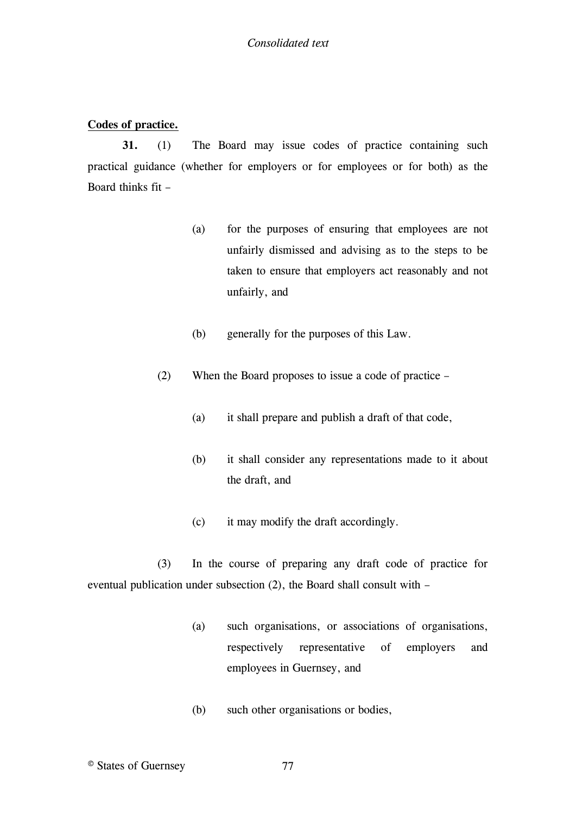## **Codes of practice.**

**31.** (1) The Board may issue codes of practice containing such practical guidance (whether for employers or for employees or for both) as the Board thinks fit –

- (a) for the purposes of ensuring that employees are not unfairly dismissed and advising as to the steps to be taken to ensure that employers act reasonably and not unfairly, and
- (b) generally for the purposes of this Law.
- (2) When the Board proposes to issue a code of practice
	- (a) it shall prepare and publish a draft of that code,
	- (b) it shall consider any representations made to it about the draft, and
	- (c) it may modify the draft accordingly.

(3) In the course of preparing any draft code of practice for eventual publication under subsection (2), the Board shall consult with –

- (a) such organisations, or associations of organisations, respectively representative of employers and employees in Guernsey, and
- (b) such other organisations or bodies,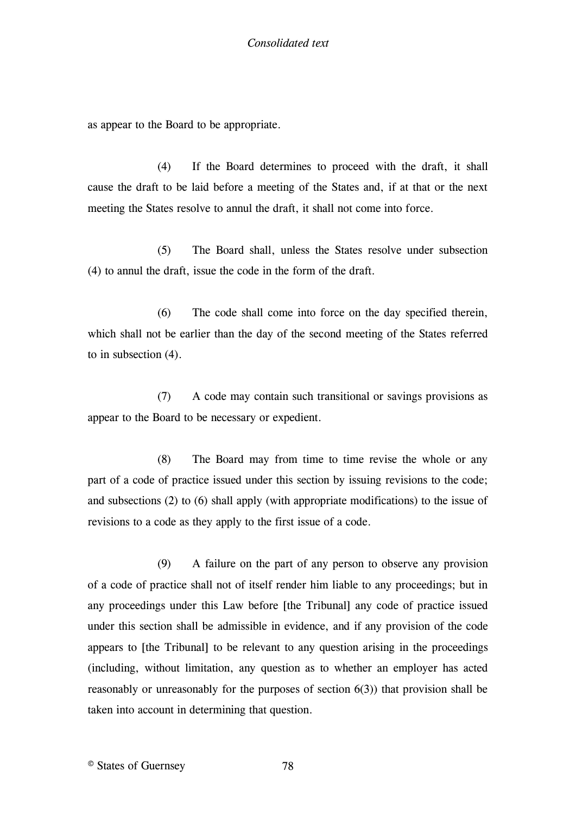as appear to the Board to be appropriate.

(4) If the Board determines to proceed with the draft, it shall cause the draft to be laid before a meeting of the States and, if at that or the next meeting the States resolve to annul the draft, it shall not come into force.

(5) The Board shall, unless the States resolve under subsection (4) to annul the draft, issue the code in the form of the draft.

(6) The code shall come into force on the day specified therein, which shall not be earlier than the day of the second meeting of the States referred to in subsection (4).

(7) A code may contain such transitional or savings provisions as appear to the Board to be necessary or expedient.

(8) The Board may from time to time revise the whole or any part of a code of practice issued under this section by issuing revisions to the code; and subsections (2) to (6) shall apply (with appropriate modifications) to the issue of revisions to a code as they apply to the first issue of a code.

(9) A failure on the part of any person to observe any provision of a code of practice shall not of itself render him liable to any proceedings; but in any proceedings under this Law before [\[the Tribunal\]](#page-78-0) any code of practice issued under this section shall be admissible in evidence, and if any provision of the code appears to [\[the Tribunal\]](#page-78-0) to be relevant to any question arising in the proceedings (including, without limitation, any question as to whether an employer has acted reasonably or unreasonably for the purposes of section 6(3)) that provision shall be taken into account in determining that question.

© States of Guernsey 78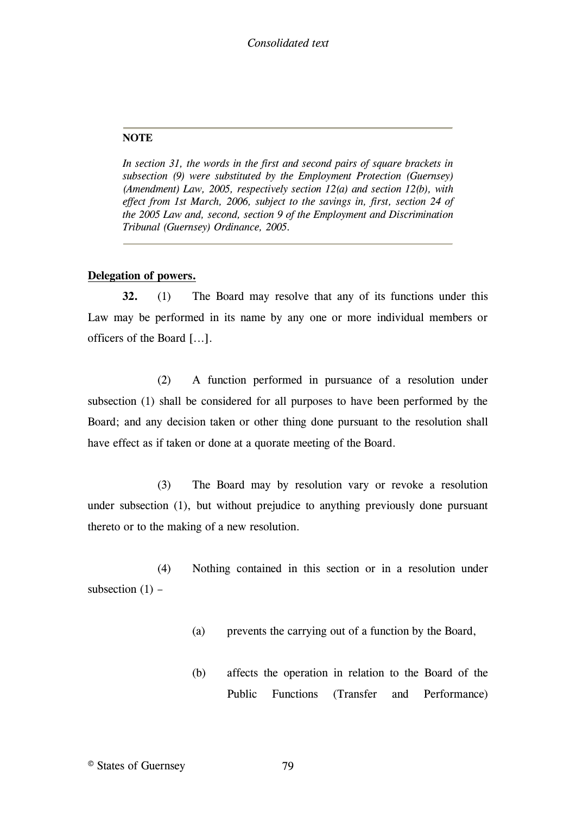#### **NOTE**

<span id="page-78-0"></span>*In section 31, the words in the first and second pairs of square brackets in subsection (9) were substituted by the Employment Protection (Guernsey) (Amendment) Law, 2005, respectively section 12(a) and section 12(b), with*  effect from 1st March, 2006, subject to the savings in, first, section 24 of *the 2005 Law and, second, section 9 of the Employment and Discrimination Tribunal (Guernsey) Ordinance, 2005.*

#### **Delegation of powers.**

**32.** (1) The Board may resolve that any of its functions under this Law may be performed in its name by any one or more individual members or officers of the Board [\[...\].](#page-79-0)

(2) A function performed in pursuance of a resolution under subsection (1) shall be considered for all purposes to have been performed by the Board; and any decision taken or other thing done pursuant to the resolution shall have effect as if taken or done at a quorate meeting of the Board.

(3) The Board may by resolution vary or revoke a resolution under subsection (1), but without prejudice to anything previously done pursuant thereto or to the making of a new resolution.

(4) Nothing contained in this section or in a resolution under subsection  $(1)$  –

- (a) prevents the carrying out of a function by the Board,
- (b) affects the operation in relation to the Board of the Public Functions (Transfer and Performance)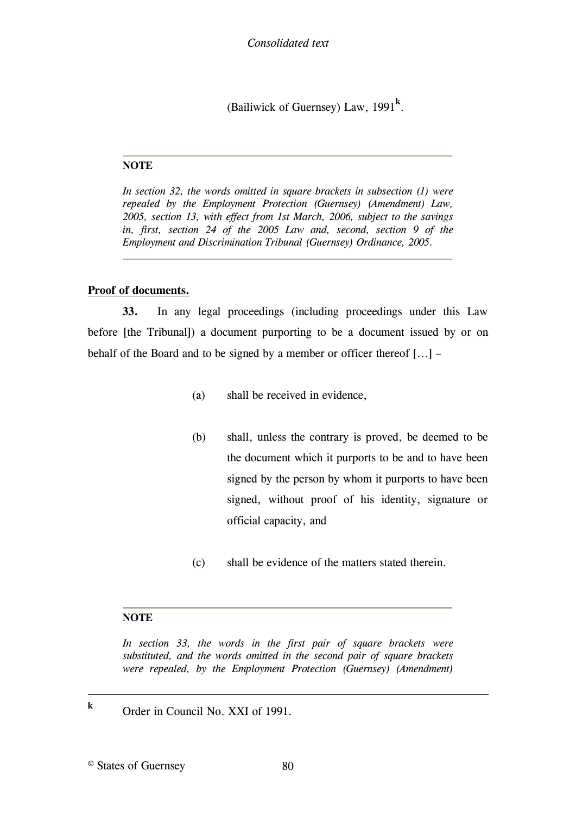(Bailiwick of Guernsey) Law, 1991**<sup>k</sup>** .

#### **NOTE**

<span id="page-79-0"></span>*In section 32, the words omitted in square brackets in subsection (1) were repealed by the Employment Protection (Guernsey) (Amendment) Law, 2005, section 13, with effect from 1st March, 2006, subject to the savings in, first, section 24 of the 2005 Law and, second, section 9 of the Employment and Discrimination Tribunal (Guernsey) Ordinance, 2005.*

## **Proof of documents.**

**33.** In any legal proceedings (including proceedings under this Law before [\[the Tribunal\]\)](#page-79-1) a document purporting to be a document issued by or on behalf of the Board and to be signed by a member or officer thereof [\[...\]](#page-79-1) –

- (a) shall be received in evidence,
- (b) shall, unless the contrary is proved, be deemed to be the document which it purports to be and to have been signed by the person by whom it purports to have been signed, without proof of his identity, signature or official capacity, and
- (c) shall be evidence of the matters stated therein.

#### **NOTE**

<span id="page-79-1"></span>*In section 33, the words in the first pair of square brackets were substituted, and the words omitted in the second pair of square brackets were repealed, by the Employment Protection (Guernsey) (Amendment)* 

**k** Order in Council No. XXI of 1991.

© States of Guernsey 80

1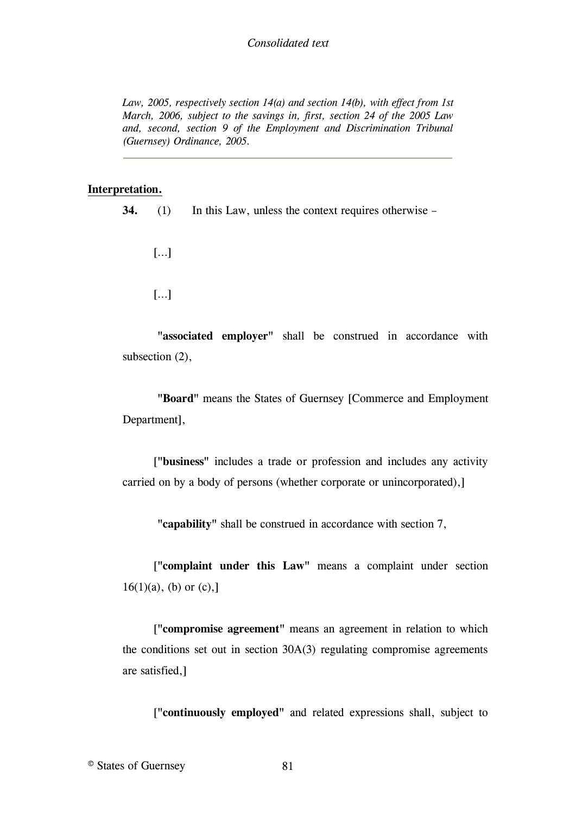### *Consolidated text*

*Law, 2005, respectively section 14(a) and section 14(b), with effect from 1st March, 2006, subject to the savings in, first, section 24 of the 2005 Law and, second, section 9 of the Employment and Discrimination Tribunal (Guernsey) Ordinance, 2005.*

#### **Interpretation.**

**34.** (1) In this Law, unless the context requires otherwise –

[[…\]](#page-88-0)

[[…\]](#page-88-0)

**"associated employer"** shall be construed in accordance with subsection (2),

**"Board"** means the States of Guernsey [\[Commerce and Employment](#page-88-1)  [Department\],](#page-88-1)

 [**"business"** [includes a trade or profession and includes any activity](#page-88-2)  [carried on by a body of persons \(whether corporate or unincorporated\),\]](#page-88-2)

**"capability"** shall be construed in accordance with section 7,

 [**"complaint under this Law"** [means a complaint under section](#page-88-2)   $16(1)(a)$ , (b) or (c),]

 [**"compromise agreement"** [means an agreement in relation to which](#page-88-2)  [the conditions set out in section 30A\(3\) regulating compromise agreements](#page-88-2)  [are satisfied,\]](#page-88-2)

[**"continuously employed"** [and related expressions shall, subject to](#page-88-2)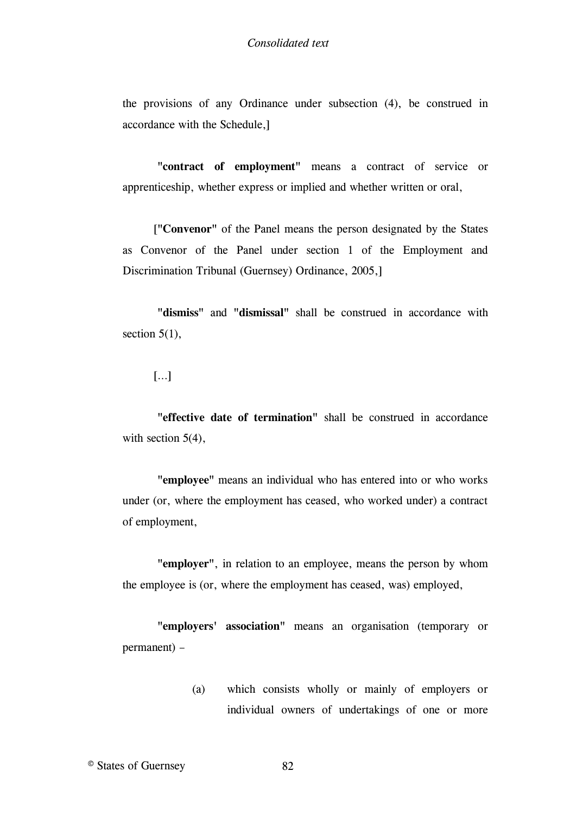the provisions of any Ordinance under subsection (4), be construed in accordance with the Schedule,]

**"contract of employment"** means a contract of service or apprenticeship, whether express or implied and whether written or oral,

 [**"Convenor"** [of the Panel means the person designated by the States](#page-88-2)  [as Convenor of the Panel under section 1 of the Employment and](#page-88-2)  [Discrimination Tribunal \(Guernsey\) Ordinance, 2005,\]](#page-88-2)

**"dismiss"** and **"dismissal"** shall be construed in accordance with section  $5(1)$ ,

[[…\]](#page-88-0)

**"effective date of termination"** shall be construed in accordance with section 5(4),

**"employee"** means an individual who has entered into or who works under (or, where the employment has ceased, who worked under) a contract of employment,

**"employer"**, in relation to an employee, means the person by whom the employee is (or, where the employment has ceased, was) employed,

**"employers' association"** means an organisation (temporary or permanent) –

> (a) which consists wholly or mainly of employers or individual owners of undertakings of one or more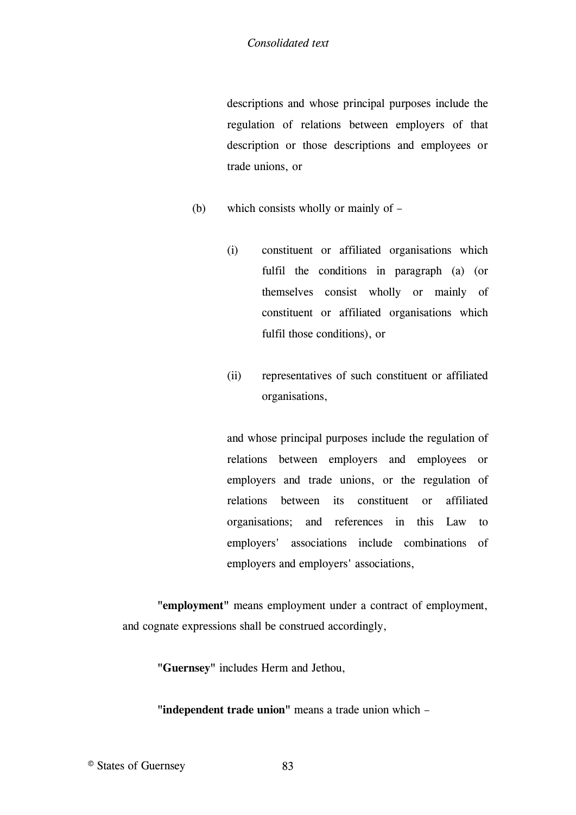descriptions and whose principal purposes include the regulation of relations between employers of that description or those descriptions and employees or trade unions, or

- (b) which consists wholly or mainly of
	- (i) constituent or affiliated organisations which fulfil the conditions in paragraph (a) (or themselves consist wholly or mainly of constituent or affiliated organisations which fulfil those conditions), or
	- (ii) representatives of such constituent or affiliated organisations,

and whose principal purposes include the regulation of relations between employers and employees or employers and trade unions, or the regulation of relations between its constituent or affiliated organisations; and references in this Law to employers' associations include combinations of employers and employers' associations,

**"employment"** means employment under a contract of employment, and cognate expressions shall be construed accordingly,

**"Guernsey"** includes Herm and Jethou,

**"independent trade union"** means a trade union which –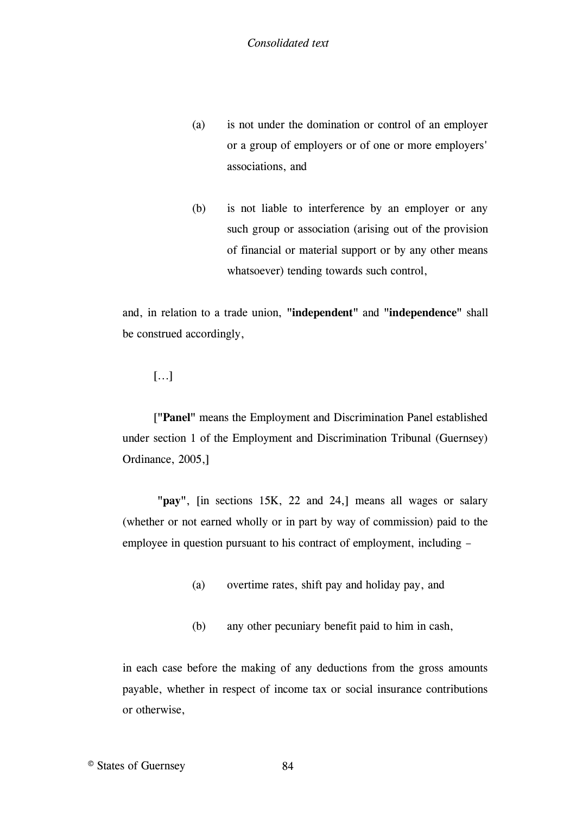- (a) is not under the domination or control of an employer or a group of employers or of one or more employers' associations, and
- (b) is not liable to interference by an employer or any such group or association (arising out of the provision of financial or material support or by any other means whatsoever) tending towards such control,

and, in relation to a trade union, **"independent"** and **"independence"** shall be construed accordingly,

## [\[...\]](#page-88-0)

 [**"Panel"** [means the Employment and Discrimination Panel established](#page-88-2)  [under section 1 of the Employment and Discrimination Tribunal \(Guernsey\)](#page-88-2)  [Ordinance, 2005,\]](#page-88-2)

**"pay"**, [\[in sections 15K, 22 and 24,\]](#page-88-3) means all wages or salary (whether or not earned wholly or in part by way of commission) paid to the employee in question pursuant to his contract of employment, including –

- (a) overtime rates, shift pay and holiday pay, and
- (b) any other pecuniary benefit paid to him in cash,

in each case before the making of any deductions from the gross amounts payable, whether in respect of income tax or social insurance contributions or otherwise,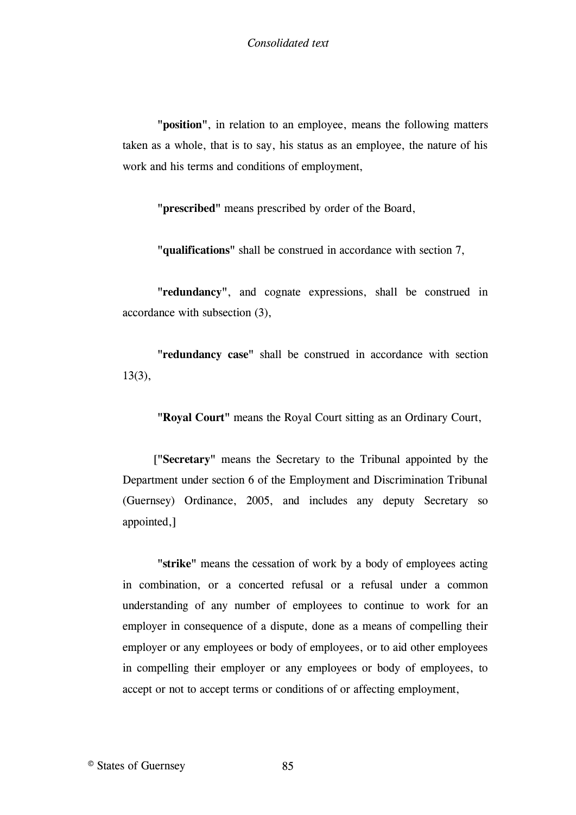**"position"**, in relation to an employee, means the following matters taken as a whole, that is to say, his status as an employee, the nature of his work and his terms and conditions of employment,

**"prescribed"** means prescribed by order of the Board,

**"qualifications"** shall be construed in accordance with section 7,

**"redundancy"**, and cognate expressions, shall be construed in accordance with subsection (3),

**"redundancy case"** shall be construed in accordance with section 13(3),

**"Royal Court"** means the Royal Court sitting as an Ordinary Court,

 [**"Secretary"** [means the Secretary to the Tribunal appointed by the](#page-88-2)  [Department under section 6 of the Employment and Discrimination Tribunal](#page-88-2)  [\(Guernsey\) Ordinance, 2005, and includes any deputy Secretary so](#page-88-2)  [appointed,\]](#page-88-2)

**"strike"** means the cessation of work by a body of employees acting in combination, or a concerted refusal or a refusal under a common understanding of any number of employees to continue to work for an employer in consequence of a dispute, done as a means of compelling their employer or any employees or body of employees, or to aid other employees in compelling their employer or any employees or body of employees, to accept or not to accept terms or conditions of or affecting employment,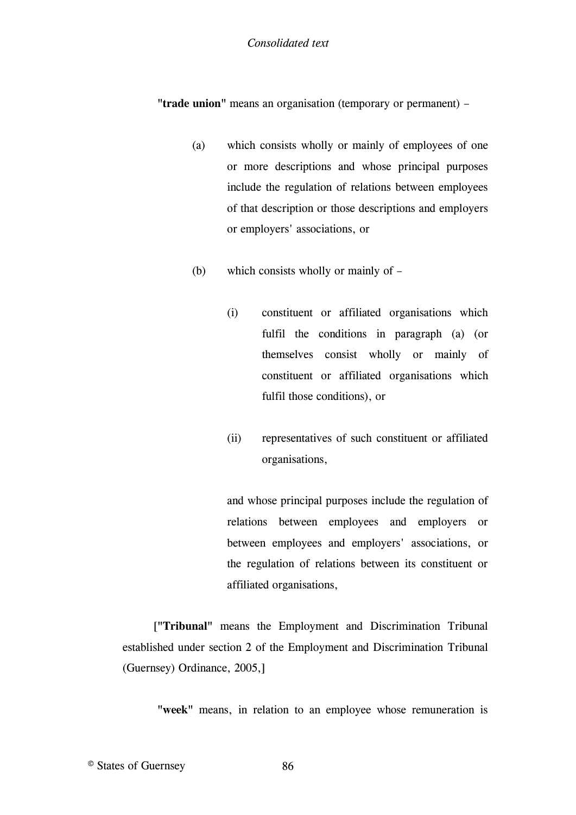#### *Consolidated text*

**"trade union"** means an organisation (temporary or permanent) –

- (a) which consists wholly or mainly of employees of one or more descriptions and whose principal purposes include the regulation of relations between employees of that description or those descriptions and employers or employers' associations, or
- (b) which consists wholly or mainly of
	- (i) constituent or affiliated organisations which fulfil the conditions in paragraph (a) (or themselves consist wholly or mainly of constituent or affiliated organisations which fulfil those conditions), or
	- (ii) representatives of such constituent or affiliated organisations,

and whose principal purposes include the regulation of relations between employees and employers or between employees and employers' associations, or the regulation of relations between its constituent or affiliated organisations,

 [**"Tribunal"** [means the Employment and Discrimination Tribunal](#page-88-2)  [established under section 2 of the Employment and Discrimination](#page-88-2) Tribunal [\(Guernsey\) Ordinance, 2005,\]](#page-88-2)

**"week"** means, in relation to an employee whose remuneration is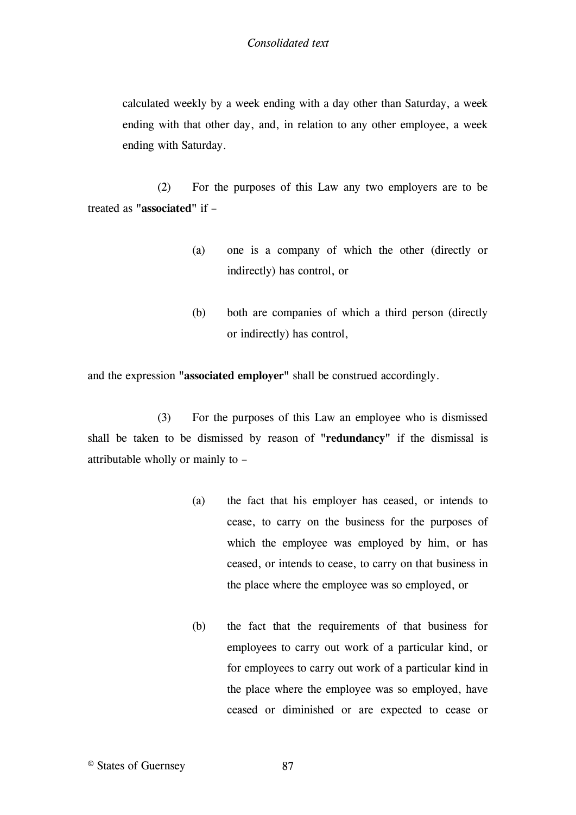calculated weekly by a week ending with a day other than Saturday, a week ending with that other day, and, in relation to any other employee, a week ending with Saturday.

(2) For the purposes of this Law any two employers are to be treated as **"associated"** if –

- (a) one is a company of which the other (directly or indirectly) has control, or
- (b) both are companies of which a third person (directly or indirectly) has control,

and the expression **"associated employer"** shall be construed accordingly.

(3) For the purposes of this Law an employee who is dismissed shall be taken to be dismissed by reason of **"redundancy"** if the dismissal is attributable wholly or mainly to –

- (a) the fact that his employer has ceased, or intends to cease, to carry on the business for the purposes of which the employee was employed by him, or has ceased, or intends to cease, to carry on that business in the place where the employee was so employed, or
- (b) the fact that the requirements of that business for employees to carry out work of a particular kind, or for employees to carry out work of a particular kind in the place where the employee was so employed, have ceased or diminished or are expected to cease or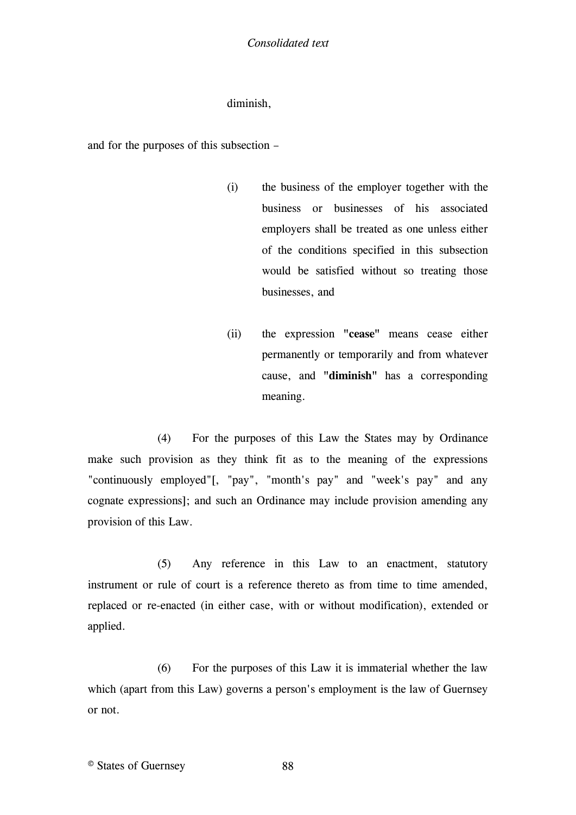## diminish,

and for the purposes of this subsection –

- (i) the business of the employer together with the business or businesses of his associated employers shall be treated as one unless either of the conditions specified in this subsection would be satisfied without so treating those businesses, and
- (ii) the expression **"cease"** means cease either permanently or temporarily and from whatever cause, and **"diminish"** has a corresponding meaning.

(4) For the purposes of this Law the States may by Ordinance make such provision as they think fit as to the meaning of the expressions "continuously employed["\[, "pay", "month's pay" and "week's pay" and any](#page-88-4)  [cognate expressions\];](#page-88-4) and such an Ordinance may include provision amending any provision of this Law.

(5) Any reference in this Law to an enactment, statutory instrument or rule of court is a reference thereto as from time to time amended, replaced or re-enacted (in either case, with or without modification), extended or applied.

(6) For the purposes of this Law it is immaterial whether the law which (apart from this Law) governs a person's employment is the law of Guernsey or not.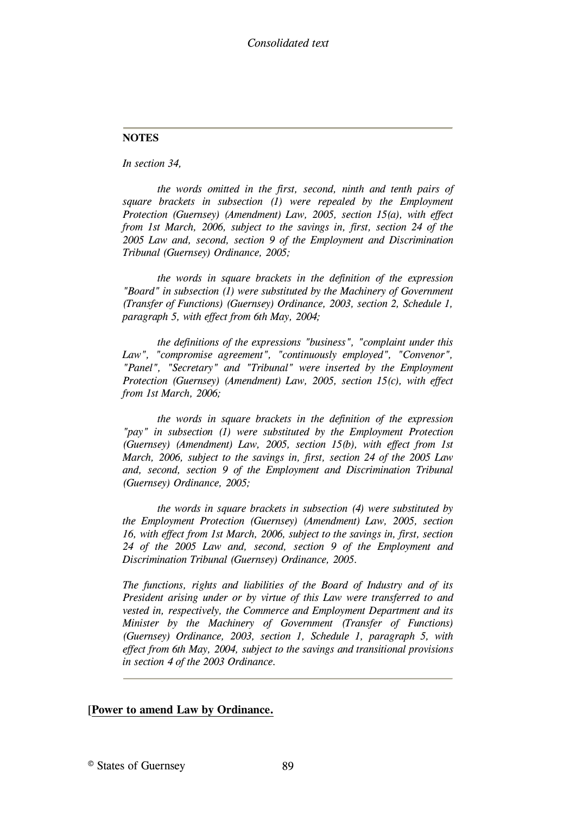#### **NOTES**

*In section 34,*

<span id="page-88-0"></span>*the words omitted in the first, second, ninth and tenth pairs of*  square brackets in subsection (1) were repealed by the Employment *Protection (Guernsey) (Amendment) Law, 2005, section 15(a), with effect from 1st March, 2006, subject to the savings in, first, section 24 of the 2005 Law and, second, section 9 of the Employment and Discrimination Tribunal (Guernsey) Ordinance, 2005;*

<span id="page-88-1"></span>*the words in square brackets in the definition of the expression "Board" in subsection (1) were substituted by the Machinery of Government (Transfer of Functions) (Guernsey) Ordinance, 2003, section 2, Schedule 1, paragraph 5, with effect from 6th May, 2004;*

<span id="page-88-2"></span>*the definitions of the expressions "business", "complaint under this Law", "compromise agreement", "continuously employed", "Convenor", "Panel", "Secretary" and "Tribunal" were inserted by the Employment Protection (Guernsey) (Amendment) Law, 2005, section 15(c), with effect from 1st March, 2006;*

<span id="page-88-3"></span>*the words in square brackets in the definition of the expression "pay" in subsection (1) were substituted by the Employment Protection (Guernsey) (Amendment) Law, 2005, section 15(b), with effect from 1st March, 2006, subject to the savings in, first, section 24 of the 2005 Law and, second, section 9 of the Employment and Discrimination Tribunal (Guernsey) Ordinance, 2005;*

<span id="page-88-4"></span>*the words in square brackets in subsection (4) were substituted by the Employment Protection (Guernsey) (Amendment) Law, 2005, section 16, with effect from 1st March, 2006, subject to the savings in, first, section 24 of the 2005 Law and, second, section 9 of the Employment and Discrimination Tribunal (Guernsey) Ordinance, 2005.*

*The functions, rights and liabilities of the Board of Industry and of its President arising under or by virtue of this Law were transferred to and vested in, respectively, the Commerce and Employment Department and its Minister by the Machinery of Government (Transfer of Functions) (Guernsey) Ordinance, 2003, section 1, Schedule 1, paragraph 5, with effect from 6th May, 2004, subject to the savings and transitional provisions in section 4 of the 2003 Ordinance.*

#### [**[Power to amend Law by Ordinance.](#page-89-0)**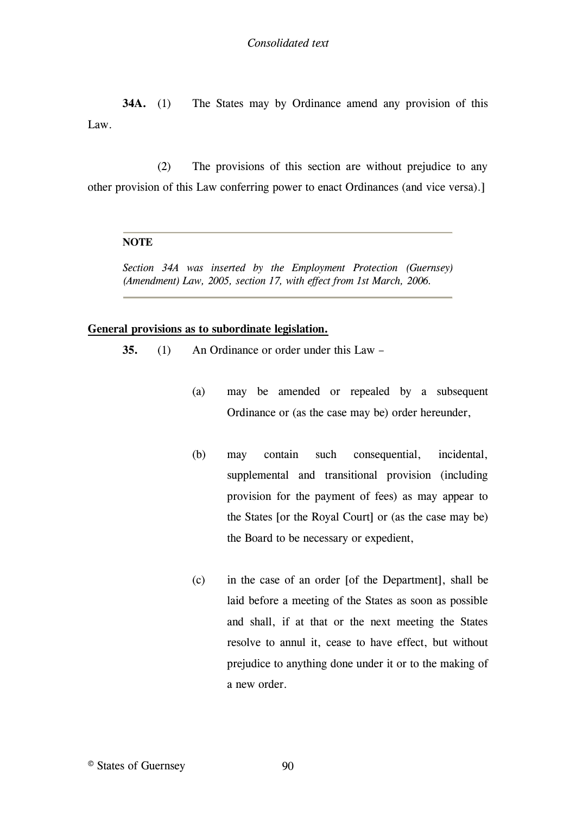**34A.** (1) The States may by Ordinance amend any provision of this Law.

(2) The provisions of this section are without prejudice to any other provision of this Law conferring power to enact Ordinances (and vice versa).]

#### **NOTE**

<span id="page-89-0"></span>*Section 34A was inserted by the Employment Protection (Guernsey) (Amendment) Law, 2005, section 17, with effect from 1st March, 2006.*

#### **General provisions as to subordinate legislation.**

**35.** (1) An Ordinance or order under this Law –

- (a) may be amended or repealed by a subsequent Ordinance or (as the case may be) order hereunder,
- (b) may contain such consequential, incidental, supplemental and transitional provision (including provision for the payment of fees) as may appear to the States [\[or the Royal Court\]](#page-90-0) or (as the case may be) the Board to be necessary or expedient,
- (c) in the case of an order [\[of the Department\],](#page-90-0) shall be laid before a meeting of the States as soon as possible and shall, if at that or the next meeting the States resolve to annul it, cease to have effect, but without prejudice to anything done under it or to the making of a new order.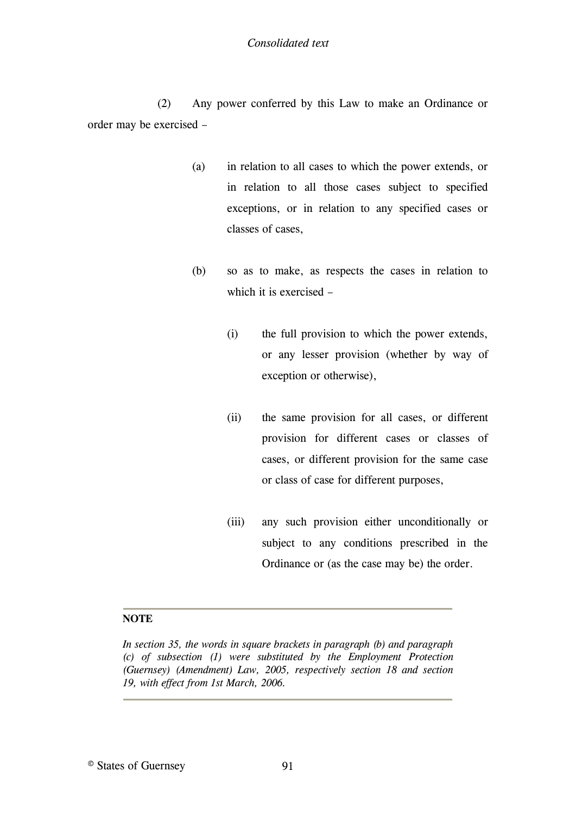## *Consolidated text*

(2) Any power conferred by this Law to make an Ordinance or order may be exercised –

- (a) in relation to all cases to which the power extends, or in relation to all those cases subject to specified exceptions, or in relation to any specified cases or classes of cases,
- (b) so as to make, as respects the cases in relation to which it is exercised –
	- (i) the full provision to which the power extends, or any lesser provision (whether by way of exception or otherwise),
	- (ii) the same provision for all cases, or different provision for different cases or classes of cases, or different provision for the same case or class of case for different purposes,
	- (iii) any such provision either unconditionally or subject to any conditions prescribed in the Ordinance or (as the case may be) the order.

## **NOTE**

<span id="page-90-0"></span>*In section 35, the words in square brackets in paragraph (b) and paragraph (c) of subsection (1) were substituted by the Employment Protection (Guernsey) (Amendment) Law, 2005, respectively section 18 and section 19, with effect from 1st March, 2006.*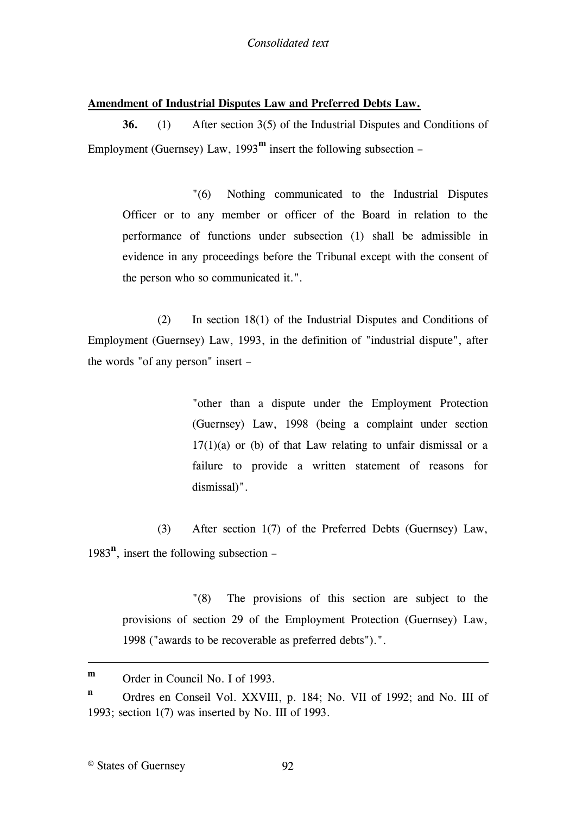## **Amendment of Industrial Disputes Law and Preferred Debts Law.**

**36.** (1) After section 3(5) of the Industrial Disputes and Conditions of Employment (Guernsey) Law,  $1993^{\rm m}$  insert the following subsection –

"(6) Nothing communicated to the Industrial Disputes Officer or to any member or officer of the Board in relation to the performance of functions under subsection (1) shall be admissible in evidence in any proceedings before the Tribunal except with the consent of the person who so communicated it.".

(2) In [section 18\(1\) of the Industrial Disputes and Conditions of](#page-92-0)  [Employment \(Guernsey\) Law, 1993,](#page-92-0) in the definition of "industrial dispute", after the words "of any person" insert –

> "other than a dispute under the Employment Protection (Guernsey) Law, 1998 (being a complaint under section  $17(1)(a)$  or (b) of that Law relating to unfair dismissal or a failure to provide a written statement of reasons for dismissal)".

(3) After section 1(7) of the Preferred Debts (Guernsey) Law, 1983**<sup>n</sup>** , insert the following subsection –

"(8) The provisions of this section are subject to the provisions of section 29 of the Employment Protection (Guernsey) Law, 1998 ("awards to be recoverable as preferred debts").".

<u>.</u>

**m** Order in Council No. I of 1993.

**n** Ordres en Conseil Vol. XXVIII, p. 184; No. VII of 1992; and No. III of 1993; section 1(7) was inserted by No. III of 1993.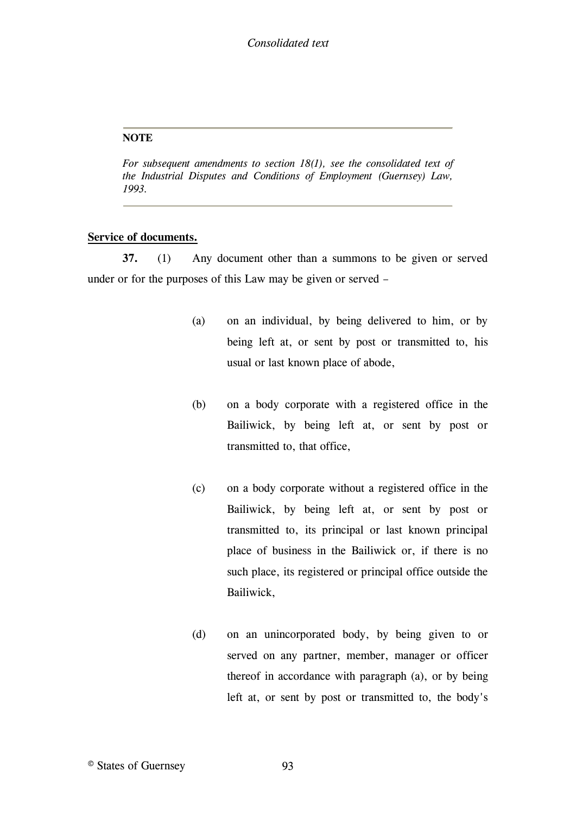#### **NOTE**

<span id="page-92-0"></span>*For subsequent amendments to section 18(1), see the consolidated text of the Industrial Disputes and Conditions of Employment (Guernsey) Law, 1993.*

## **Service of documents.**

**37.** (1) Any document other than a summons to be given or served under or for the purposes of this Law may be given or served –

- (a) on an individual, by being delivered to him, or by being left at, or sent by post or transmitted to, his usual or last known place of abode,
- (b) on a body corporate with a registered office in the Bailiwick, by being left at, or sent by post or transmitted to, that office,
- (c) on a body corporate without a registered office in the Bailiwick, by being left at, or sent by post or transmitted to, its principal or last known principal place of business in the Bailiwick or, if there is no such place, its registered or principal office outside the Bailiwick,
- (d) on an unincorporated body, by being given to or served on any partner, member, manager or officer thereof in accordance with paragraph (a), or by being left at, or sent by post or transmitted to, the body's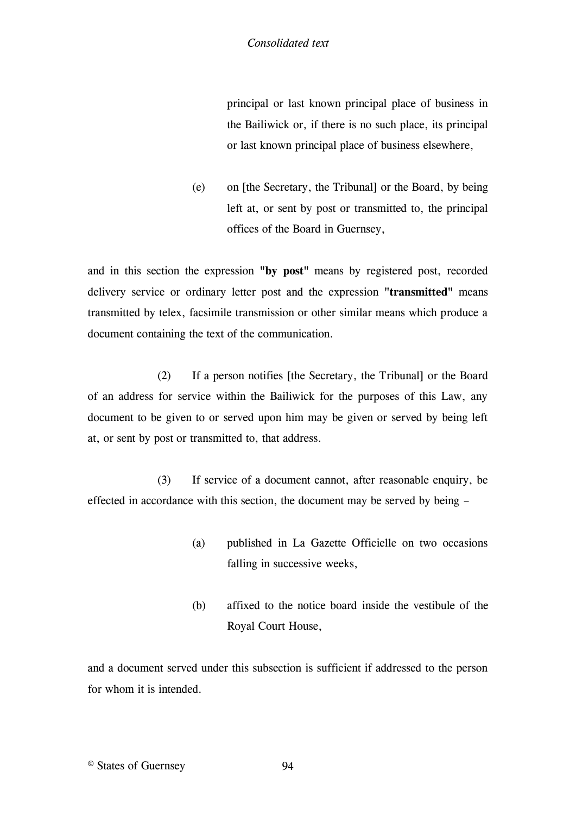principal or last known principal place of business in the Bailiwick or, if there is no such place, its principal or last known principal place of business elsewhere,

(e) on [the Secretary, the Tribunal] or the Board, by being left at, or sent by post or transmitted to, the principal offices of the Board in Guernsey,

and in this section the expression **"by post"** means by registered post, recorded delivery service or ordinary letter post and the expression **"transmitted"** means transmitted by telex, facsimile transmission or other similar means which produce a document containing the text of the communication.

(2) If a person notifies [\[the Secretary, the Tribunal\]](#page-95-0) or the Board of an address for service within the Bailiwick for the purposes of this Law, any document to be given to or served upon him may be given or served by being left at, or sent by post or transmitted to, that address.

(3) If service of a document cannot, after reasonable enquiry, be effected in accordance with this section, the document may be served by being –

- (a) published in La Gazette Officielle on two occasions falling in successive weeks,
- (b) affixed to the notice board inside the vestibule of the Royal Court House,

and a document served under this subsection is sufficient if addressed to the person for whom it is intended.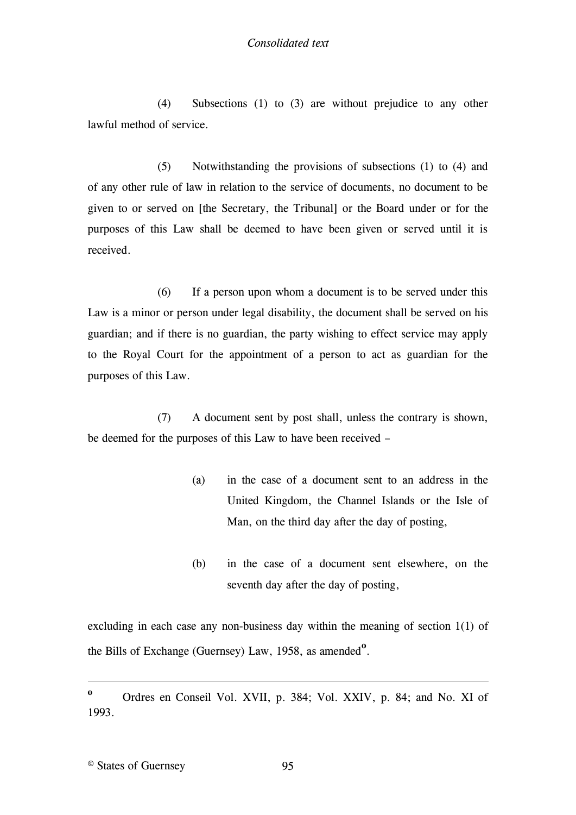(4) Subsections (1) to (3) are without prejudice to any other lawful method of service.

(5) Notwithstanding the provisions of subsections (1) to (4) and of any other rule of law in relation to the service of documents, no document to be given to or served on [the Secretary, the Tribunal] or the Board under or for the purposes of this Law shall be deemed to have been given or served until it is received.

(6) If a person upon whom a document is to be served under this Law is a [minor](#page-95-1) or person under legal disability, the document shall be served on his [guardian;](#page-95-2) and if there is no guardian, the party wishing to effect service may apply to the Royal Court for the appointment of a person to act as guardian for the purposes of this Law.

(7) A document sent by post shall, unless the contrary is shown, be deemed for the purposes of this Law to have been received –

- (a) in the case of a document sent to an address in the United Kingdom, the Channel Islands or the Isle of Man, on the third day after the day of posting,
- (b) in the case of a document sent elsewhere, on the seventh day after the day of posting,

excluding in each case any non-business day within the meaning of section 1(1) of the Bills of Exchange (Guernsey) Law, 1958, as amended<sup>o</sup>.

1

**o** Ordres en Conseil Vol. XVII, p. 384; Vol. XXIV, p. 84; and No. XI of 1993.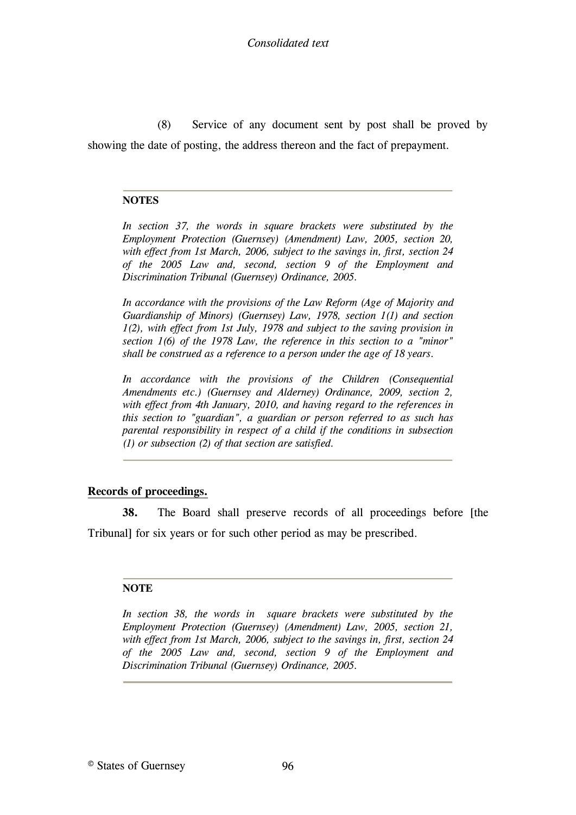(8) Service of any document sent by post shall be proved by showing the date of posting, the address thereon and the fact of prepayment.

## **NOTES**

<span id="page-95-0"></span>*In section 37, the words in square brackets were substituted by the Employment Protection (Guernsey) (Amendment) Law, 2005, section 20, with effect from 1st March, 2006, subject to the savings in, first, section 24 of the 2005 Law and, second, section 9 of the Employment and Discrimination Tribunal (Guernsey) Ordinance, 2005.*

<span id="page-95-1"></span>*In accordance with the provisions of the Law Reform (Age of Majority and Guardianship of Minors) (Guernsey) Law, 1978, section 1(1) and section 1(2), with effect from 1st July, 1978 and subject to the saving provision in section 1(6) of the 1978 Law, the reference in this section to a "minor" shall be construed as a reference to a person under the age of 18 years.*

<span id="page-95-2"></span>*In accordance with the provisions of the Children (Consequential Amendments etc.) (Guernsey and Alderney) Ordinance, 2009, section 2, with effect from 4th January, 2010, and having regard to the references in this section to "guardian", a guardian or person referred to as such has parental responsibility in respect of a child if the conditions in subsection (1) or subsection (2) of that section are satisfied.*

## **Records of proceedings.**

**38.** The Board shall preserve records of all proceedings before [\[the](#page-95-3)  [Tribunal\]](#page-95-3) for six years or for such other period as may be prescribed.

## **NOTE**

<span id="page-95-3"></span>*In section 38, the words in square brackets were substituted by the Employment Protection (Guernsey) (Amendment) Law, 2005, section 21, with effect from 1st March, 2006, subject to the savings in, first, section 24 of the 2005 Law and, second, section 9 of the Employment and Discrimination Tribunal (Guernsey) Ordinance, 2005.*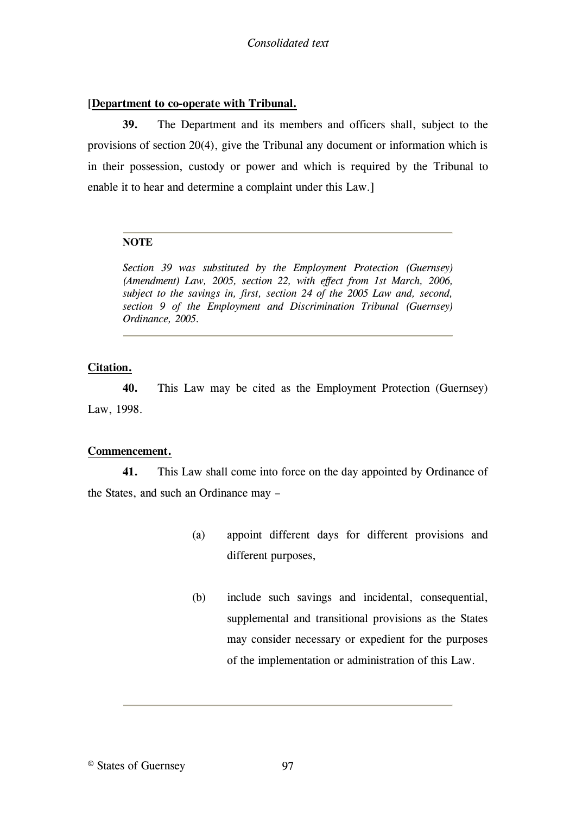#### [**[Department to co-operate with Tribunal.](#page-96-0)**

**39.** [The Department and its members and officers shall, subject to the](#page-96-0)  [provisions of section 20\(4\), give the Tribunal any document or information which is](#page-96-0)  [in their possession, custody or power and which is required by the Tribunal to](#page-96-0)  [enable it to hear and determine a complaint under this Law.\]](#page-96-0)

#### **NOTE**

<span id="page-96-0"></span>*Section 39 was substituted by the Employment Protection (Guernsey) (Amendment) Law, 2005, section 22, with effect from 1st March, 2006, subject to the savings in, first, section 24 of the 2005 Law and, second, section 9 of the Employment and Discrimination Tribunal (Guernsey) Ordinance, 2005.*

## **Citation.**

**40.** This Law may be cited as the Employment Protection (Guernsey) Law, 1998.

#### **Commencement.**

**41.** This Law [shall come into force on the day appointed by Ordinance of](#page-97-0)  [the States,](#page-97-0) and such an Ordinance may –

- (a) appoint different days for different provisions and different purposes,
- (b) include such savings and incidental, consequential, supplemental and transitional provisions as the States may consider necessary or expedient for the purposes of the implementation or administration of this Law.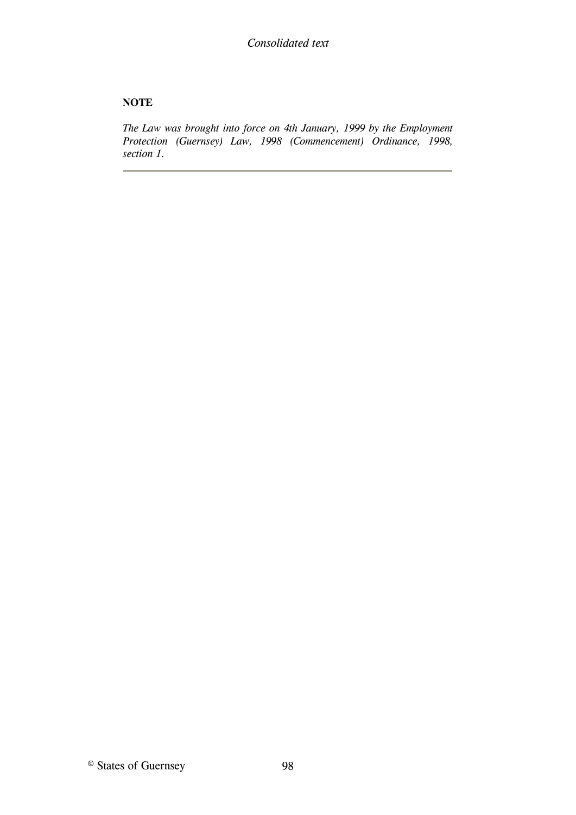## **NOTE**

<span id="page-97-0"></span>*The Law was brought into force on 4th January, 1999 by the Employment Protection (Guernsey) Law, 1998 (Commencement) Ordinance, 1998, section 1.*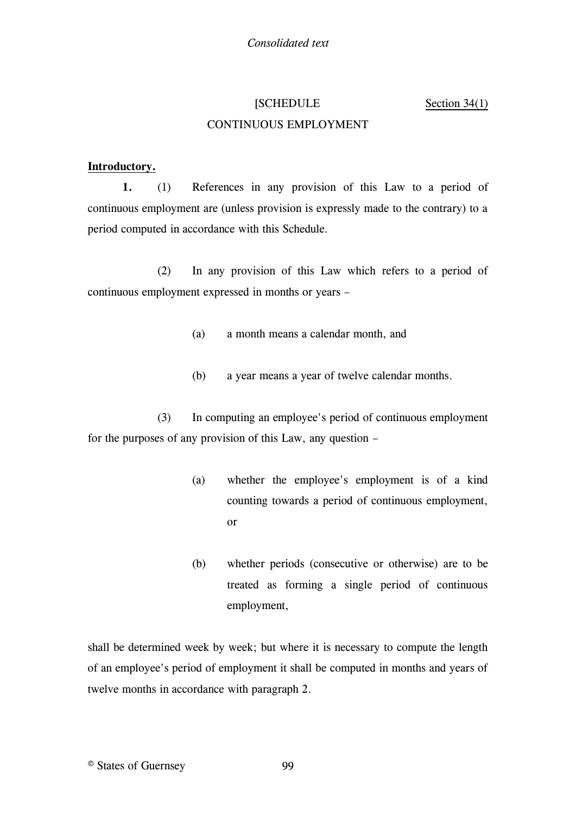# [\[SCHEDULE](#page-103-0) [Section 34\(1\)](#page-103-0) [CONTINUOUS EMPLOYMENT](#page-103-0)

## **[Introductory.](#page-103-0)**

**1.** (1) [References in any provision of this Law to a period of](#page-103-0)  [continuous employment are \(unless provision is expressly made to the contrary\) to a](#page-103-0)  [period computed in accordance with this Schedule.](#page-103-0)

(2) [In any provision of this Law which refers to a period of](#page-103-0)  continuous employment [expressed in months or years](#page-103-0) –

- (a) [a month means a calendar month, and](#page-103-0)
- (b) [a year means a year of twelve calendar months.](#page-103-0)

(3) [In computing an employee's period of continuous employment](#page-103-0)  [for the purposes of any provision of this Law, any question](#page-103-0) –

- (a) [whether the employee's employment is of a kind](#page-103-0)  [counting towards a period of continuous employment,](#page-103-0)  [or](#page-103-0)
- (b) [whether periods \(consecutive or otherwise\) are to be](#page-103-0)  [treated as forming a single period of continuous](#page-103-0)  [employment,](#page-103-0)

[shall be determined week by week; but where it is necessary to compute the length](#page-103-0)  [of an employee's period of employment it shall be computed in months and years of](#page-103-0)  [twelve months in accordance with paragraph 2.](#page-103-0)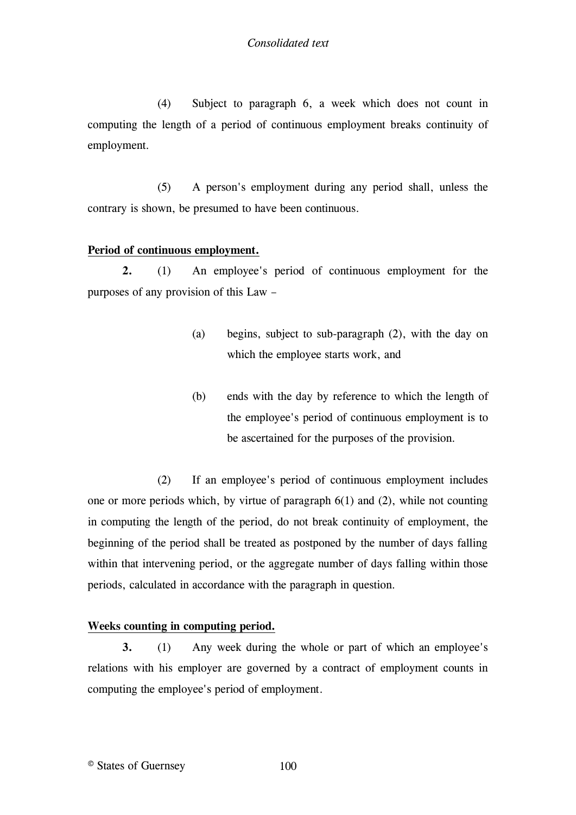(4) Subject to paragraph 6, a week which does not count in computing the length of a period of continuous employment breaks continuity of employment.

(5) A person's employment during any period shall, unless the contrary is shown, be presumed to have been continuous.

## **Period of continuous employment.**

**2.** (1) An employee's period of continuous employment for the purposes of any provision of this Law –

- (a) begins, subject to sub-paragraph (2), with the day on which the employee starts work, and
- (b) ends with the day by reference to which the length of the employee's period of continuous employment is to be ascertained for the purposes of the provision.

(2) If an employee's period of continuous employment includes one or more periods which, by virtue of paragraph 6(1) and (2), while not counting in computing the length of the period, do not break continuity of employment, the beginning of the period shall be treated as postponed by the number of days falling within that intervening period, or the aggregate number of days falling within those periods, calculated in accordance with the paragraph in question.

## **Weeks counting in computing period.**

**3.** (1) Any week during the whole or part of which an employee's relations with his employer are governed by a contract of employment counts in computing the employee's period of employment.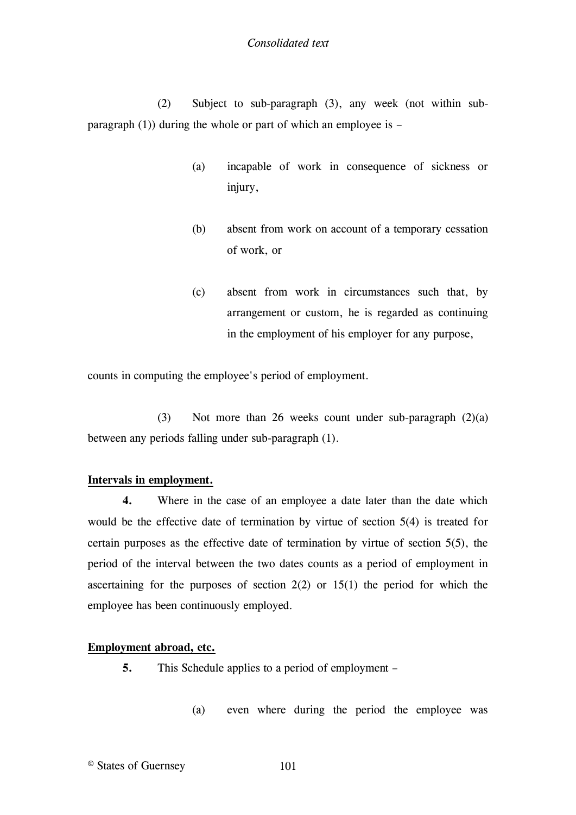(2) Subject to sub-paragraph (3), any week (not within subparagraph (1)) during the whole or part of which an employee is –

- (a) incapable of work in consequence of sickness or injury,
- (b) absent from work on account of a temporary cessation of work, or
- (c) absent from work in circumstances such that, by arrangement or custom, he is regarded as continuing in the employment of his employer for any purpose,

counts in computing the employee's period of employment.

(3) Not more than 26 weeks count under sub-paragraph (2)(a) between any periods falling under sub-paragraph (1).

## **Intervals in employment.**

**4.** Where in the case of an employee a date later than the date which would be the effective date of termination by virtue of section 5(4) is treated for certain purposes as the effective date of termination by virtue of section 5(5), the period of the interval between the two dates counts as a period of employment in ascertaining for the purposes of section  $2(2)$  or  $15(1)$  the period for which the employee has been continuously employed.

## **Employment abroad, etc.**

- **5.** This Schedule applies to a period of employment
	- (a) even where during the period the employee was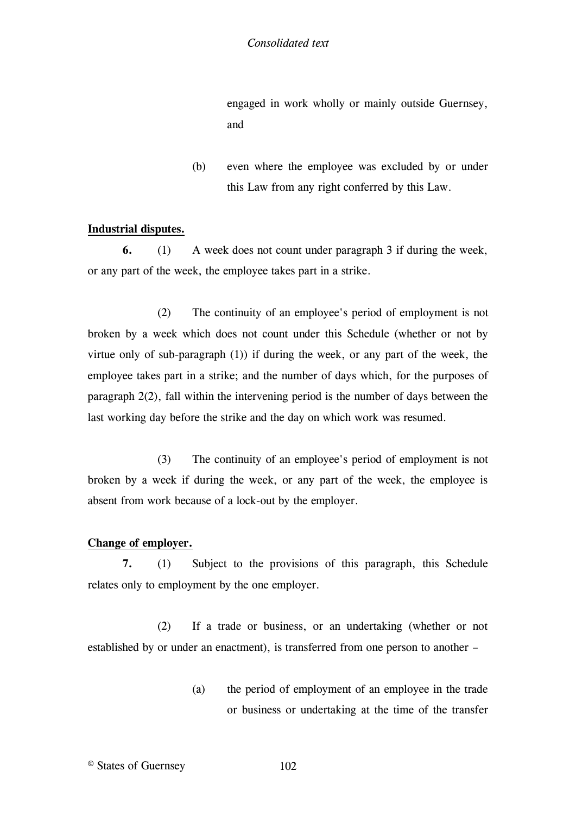engaged in work wholly or mainly outside Guernsey, and

(b) even where the employee was excluded by or under this Law from any right conferred by this Law.

## **Industrial disputes.**

**6.** (1) A week does not count under paragraph 3 if during the week, or any part of the week, the employee takes part in a strike.

(2) The continuity of an employee's period of employment is not broken by a week which does not count under this Schedule (whether or not by virtue only of sub-paragraph (1)) if during the week, or any part of the week, the employee takes part in a strike; and the number of days which, for the purposes of paragraph 2(2), fall within the intervening period is the number of days between the last working day before the strike and the day on which work was resumed.

(3) The continuity of an employee's period of employment is not broken by a week if during the week, or any part of the week, the employee is absent from work because of a lock-out by the employer.

## **Change of employer.**

**7.** (1) Subject to the provisions of this paragraph, this Schedule relates only to employment by the one employer.

(2) If a trade or business, or an undertaking (whether or not established by or under an enactment), is transferred from one person to another –

> (a) the period of employment of an employee in the trade or business or undertaking at the time of the transfer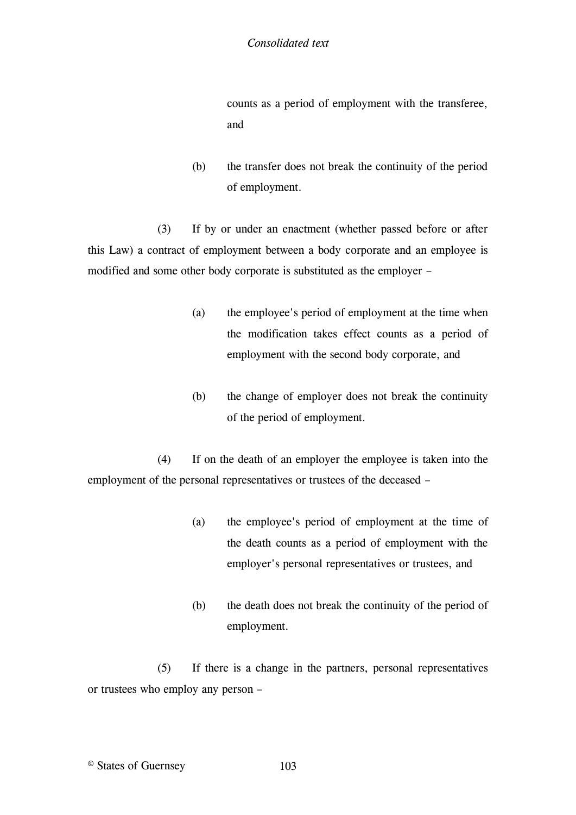counts as a period of employment with the transferee, and

(b) the transfer does not break the continuity of the period of employment.

(3) If by or under an enactment (whether passed before or after this Law) a contract of employment between a body corporate and an employee is modified and some other body corporate is substituted as the employer –

- (a) the employee's period of employment at the time when the modification takes effect counts as a period of employment with the second body corporate, and
- (b) the change of employer does not break the continuity of the period of employment.

(4) If on the death of an employer the employee is taken into the employment of the personal representatives or trustees of the deceased –

- (a) the employee's period of employment at the time of the death counts as a period of employment with the employer's personal representatives or trustees, and
- (b) the death does not break the continuity of the period of employment.

(5) If there is a change in the partners, personal representatives or trustees who employ any person –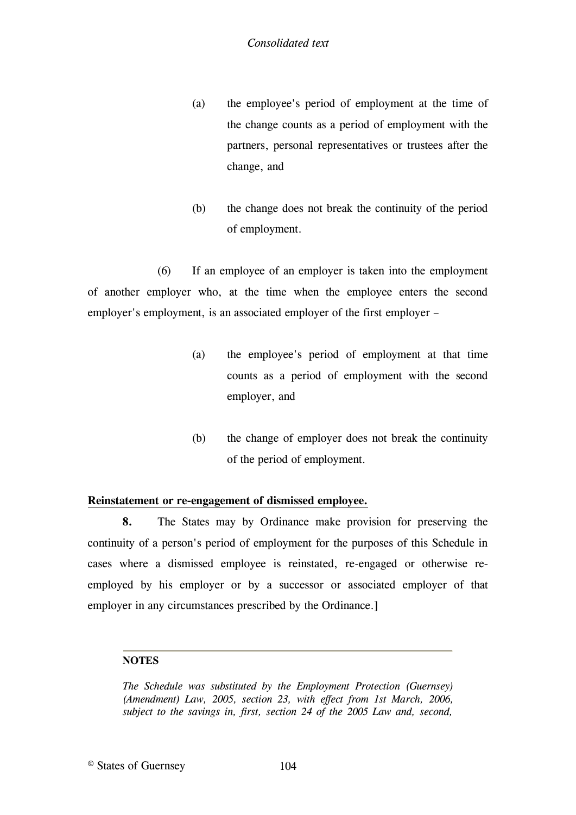- (a) the employee's period of employment at the time of the change counts as a period of employment with the partners, personal representatives or trustees after the change, and
- (b) the change does not break the continuity of the period of employment.

(6) If an employee of an employer is taken into the employment of another employer who, at the time when the employee enters the second employer's employment, is an associated employer of the first employer –

- (a) the employee's period of employment at that time counts as a period of employment with the second employer, and
- (b) the change of employer does not break the continuity of the period of employment.

## **Reinstatement or re-engagement of dismissed employee.**

**8.** The States may by Ordinance make provision for preserving the continuity of a person's period of employment for the purposes of this Schedule in cases where a dismissed employee is reinstated, re-engaged or otherwise reemployed by his employer or by a successor or associated employer of that employer in any circumstances prescribed by the Ordinance.]

## **NOTES**

<span id="page-103-0"></span>*The Schedule was substituted by the Employment Protection (Guernsey) (Amendment) Law, 2005, section 23, with effect from 1st March, 2006, subject to the savings in, first, section 24 of the 2005 Law and, second,*